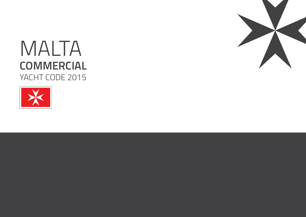

# MALTA **COMMERCIAL**  YACHT CODE 2015

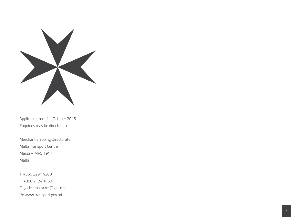

Applicable from 1st October 2015 Enquiries may be directed to:

Merchant Shipping Directorate Malta Transport Centre Marsa – MRS 1917 Malta

T: +356 2291 4200 F: +356 2124 1460 E: yachtsmalta.tm@gov.mt W: www.transport.gov.mt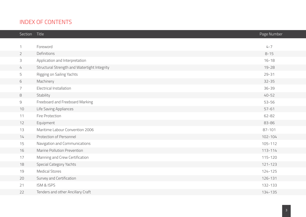# INDEX OF CONTENTS

| Section        | Title                                        | Page Number |
|----------------|----------------------------------------------|-------------|
|                |                                              |             |
| 1              | Foreword                                     | $4 - 7$     |
| $\overline{2}$ | Definitions                                  | $8 - 15$    |
| 3              | Application and Interpretation               | $16 - 18$   |
| 4              | Structural Strength and Watertight Integrity | $19 - 28$   |
| 5              | Rigging on Sailing Yachts                    | $29 - 31$   |
| 6              | Machinery                                    | $32 - 35$   |
| 7              | <b>Electrical Installation</b>               | $36 - 39$   |
| 8              | Stability                                    | $40 - 52$   |
| 9              | Freeboard and Freeboard Marking              | 53-56       |
| 10             | Life Saving Appliances                       | $57 - 61$   |
| 11             | Fire Protection                              | 62-82       |
| 12             | Equipment                                    | 83-86       |
| 13             | Maritime Labour Convention 2006              | $87 - 101$  |
| 14             | Protection of Personnel                      | $102 - 104$ |
| 15             | Navigation and Communications                | 105-112     |
| 16             | Marine Pollution Prevention                  | $113 - 114$ |
| 17             | Manning and Crew Certification               | 115-120     |
| 18             | <b>Special Category Yachts</b>               | $121 - 123$ |
| 19             | <b>Medical Stores</b>                        | 124-125     |
| 20             | Survey and Certification                     | 126-131     |
| 21             | ISM & ISPS                                   | 132-133     |
| 22             | Tenders and other Ancillary Craft            | 134-135     |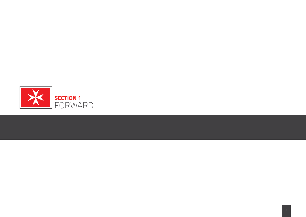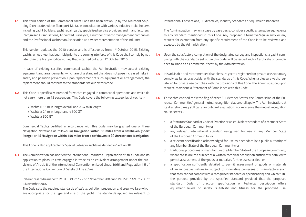**1.1** This third edition of the Commercial Yacht Code has been drawn up by the Merchant Shipping Directorate, within Transport Malta, in consultation with various industry stake holders including yacht builders, yacht repair yards, specialised service providers and manufacturers, Recognised Organisations, Appointed Surveyors, a number of yacht management companies and the Professional Yachtsman Association as a wider representation of the industry.

This version updates the 2010 version and is effective as from 1st October 2015. Existing yachts, whose keel has been laid prior to the coming into force of this Code shall comply by not later than the first periodical survey that is carried out after 1<sup>st</sup> October 2015.

In case of existing certified commercial yachts, the Administration may accept existing equipment and arrangements, which are of a standard that does not pose increased risks in safety and pollution prevention. Upon replacement of such equipment or arrangements, the replacement should conform to the standards set out by this code.

- **1.2** This Code is specifically intended for yachts engaged in commercial operations and which do not carry more than 12 passengers. This Code covers the following categories of yachts :-
	- Yachts  $\geq 15$  m in length overall and  $< 24$  m in length,
	- Yachts ≥ 24 m in length and < 500 GT,
	- Yachts ≥ 500 GT.

Commercial Yachts certified in accordance with this Code may be granted one of three Navigation Notations as follows: (a) **Navigation within 60 miles from a safehaven (Short Range)**, or (b) **Navigation within 150 miles from a safehaven** or (c) **Unrestricted Navigation.** 

This Code is also applicable for Special Category Yachts as defined in Section 18.

**1.3** The Administration has notified the International Maritime Organisation of this Code and its application to pleasure craft engaged in trade as an equivalent arrangement under the provisions of Article 8 of the International Convention on Load Lines, 1966 and Regulation I-5 of the International Convention of Safety of Life at Sea.

Reference is to be made to IMO LL.3/Circ.172 of 7 November 2007 and IMO SLS.14/Circ.298 of 8 November 2007.

The Code sets the required standards of safety, pollution prevention and crew welfare which are appropriate for the type and size of the yacht. The standards applied are relevant to International Conventions, EU directives, Industry Standards or equivalent standards.

The Administration may, on a case by case basis, consider specific alternative equivalents to any standard mentioned in this Code. Any proposed alternative/equivalency or any request for exemption from any specific requirement of the Code is to be reviewed and accepted by the Administration.

- **1.4** Upon the satisfactory completion of the designated survey and inspections, a yacht complying with the standards set out in this Code, will be issued with a Certificate of Compliance to Trade as a Commercial Yacht, by the Administration.
- **1.5** It is advisable and recommended that pleasure yachts registered for private use, voluntary comply, as far as practicable, with the standards of this Code. When a pleasure yacht registered for private use complies with the provisions of this Code, the Administration, upon request, may issue a Statement of Compliance with this Code.
- **1.6** For yachts entitled to fly the flag of other EU Member States, the Commission of the European Communities' general mutual recognition clause shall apply. The Administration, at its discretion, may still carry an onboard evaluation. For reference the mutual recognition clause states:
	- a. a Statutory Standard or Code of Practice or an equivalent standard of a Member State of the European Community; or
	- b. any relevant international standard recognised for use in any Member State of the European Community; or
	- c. a relevant specification acknowledged for use as a standard by a public authority of any Member State of the European Community; or
	- d. traditional procedures of manufacture of a Member State of the European Community where these are the subject of a written technical description sufficiently detailed to permit assessment of the goods or materials for the use specified; or
	- e. a specification sufficiently detailed to permit assessment of goods or materials of an innovative nature (or subject to innovative processes of manufacture such that they cannot comply with a recognised standard or specification) and which fulfill the purpose provided by the specified standard provided that the proposed standard, Code of practice, specification or technical description offers equivalent levels of safety, suitability and fitness for the proposed use.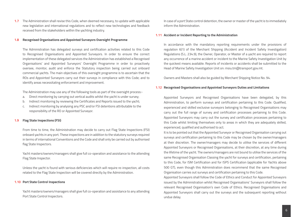**1.7** The Administration shall revise this Code, when deemed necessary, to update with applicable new legislation and international regulations and to reflect new technologies and feedback received from the stakeholders within the yachting industry.

#### **1.8 Recognised Organisations and Appointed Surveyors Oversight Programme**

The Administration has delegated surveys and certification activities related to this Code to Recognised Organisations and Appointed Surveyors. In order to ensure the correct implementation of these delegated services the Administration has established a Recognised Organisations' and Appointed Surveyors' Oversight Programme in order to proactively oversee, monitor, audit and enforce the Statutory inspection being carried out onboard commercial yachts. The main objectives of this oversight programme is to ascertain that the ROs and Appointed Surveyors carry out their surveys in compliance with this Code; and to identify areas necessitating enforcement and improvement.

The Administration may use any of the following tools as part of the oversight process:-

- a. Direct monitoring by carrying out vertical audits whilst the yacht is under survey;
- b. Indirect monitoring by reviewing the Certificates and Reports issued to the yacht;
- c. Indirect monitoring by analysing any PSC and/or FSI detentions attributable to the responsibility of the RO or Appointed Surveyor.

#### **1.9 Flag State Inspections (FSI)**

From time to time, the Administration may decide to carry out Flag State Inspections (FSI) onboard yachts in any port. These inspections are in addition to the statutory surveys required in terms of international Conventions and the Code and shall only be carried out by authorised flag State Inspectors.

Yacht masters/owners/managers shall give full co-operation and assistance to the attending Flag State Inspector.

Unless the yacht is found with serious deficiencies which will require re-inspection, all costs related to the Flag State Inspection will be covered directly by the Administration.

#### **1.10 Port State Control Inspections**

Yacht masters/owners/managers shall give full co-operation and assistance to any attending Port State Control Inspectors.

In case of a port State control detention, the owner or master of the yacht is to immediately inform the Administration.

#### **1.11 Accident or Incident Reporting to the Administration**

In accordance with the mandatory reporting requirements under the provisions of regulation 6(1) of the Merchant Shipping (Accident and Incident Safety Investigation) Regulations (S.L. 234.9), the Owner, Operator, or Master of a yacht are required to report any occurrence of a marine accident or incident to the Marine Safety Investigation Unit by the quickest means available. Reports of incidents or accidents shall be submitted to the Head of Marine Safety Investigation Unit on: msiu.tm@transport.gov.mt.

Owners and Masters shall also be guided by Merchant Shipping Notice No. 94.

#### **1.12 Recognised Organisations and Appointed Surveyors Duties and Limitations**

Appointed Surveyors and Recognised Organisations have been delegated, by this Administration, to perform surveys and certification pertaining to this Code. Qualified, experienced and skilled exclusive surveyors belonging to Recognised Organisations may carry out the full range of survey and certification processes pertaining to this Code. Appointed Surveyors may carry out the survey and certification processes pertaining to this Code whilst limiting themselves only to areas in which they are adequately skilled, experienced, qualified and authorised to act.

It is to be pointed out that the Appointed Surveyor or Recognised Organisation carrying out surveys and certification pertaining to this Code may be chosen by the owner/managers at their discretion. The owner/managers may decide to utilise the services of different Appointed Surveyors or Recognised Organisations, at their discretion, at any time during the lifetime of the yacht. The owners/managers are not bound to utilise the services of the same Recognised Organisation Classing the yacht for surveys and certification, pertaining to this Code, for ISM Certification and for ISPS Certification (applicable for Yachts above 500 GT), even though this Administration does recommend that the same Recognised Organisation carries out surveys and certification pertaining to this Code.

Appointed Surveyors shall follow the Code of Ethics and Conduct for Appointed Surveyors issued by the Administration whilst Recognised Organisations' Surveyors shall follow the relevant Recognised Organisation's own Code of Ethics. Recognised Organisations and Appointed Surveyors shall carry out the surveys and the subsequent reporting without undue delay.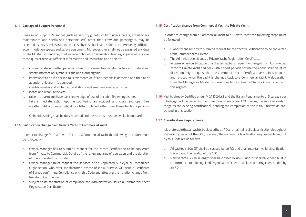#### **1.13 Carriage of Support Personnel**

Carriage of Support Personnel (such as security guards, child minders, carers, entertainers, maintenance and specialised personnel etc) other than crew and passengers, may be accepted by this Administration, on a case by case basis and subject to there being sufficient accommodation spaces and safety equipment. Moreover, they shall not be assigned any duty on the Muster List and they shall receive onboard familiarisation training, in personal survival techniques or receive sufficient information and instruction to be able to :-

- a. communicate with other persons onboard on elementary safety matters and understand safety information symbols, signs and alarm signals;
- b. know what to do if a person falls overboard or if fire or smoke is detected or if the fire or abandon ship alarm is sounded;
- c. identify muster and embarcation stations and emergency escape routes;
- d. locate and wear lifejackets;
- e. raise the alarm and have basic knowledge of use of portable fire extinguishers;
- f. take immediate action upon encountering an accident and close and open fire, weathertight and watertight doors fitted onboard other than those for hull openings.

Onboard training shall be duly recorded and the records must be available onboard.

#### **1.14 Certification change from Private Yacht to Commercial Yacht**

In order to change from a Private Yacht to a Commercial Yacht the following procedure must be followed :-

- a. Owner/Manager has to submit a request for the Yachts Certification to be converted from Private to Commercial. Details of the range and area of operation and the duration of operation shall be included.
- b. Owner/Manager must request the services of an Appointed Surveyor or Recognised Organisation, who after satisfactory outcome of Initial Surveys will issue a Certificate of Survey confirming Compliance with this Code and attesting the notation change from Private to Commercial.
- c. Subject to its satisfaction of compliance the Administration issues a Commercial Yacht Registration Certificate.

#### **1.15 Certification change from Commercial Yacht to Private Yacht**

In order to change from a Commercial Yacht to a Private Yacht the following steps must be followed:-

- a. Owner/Manager has to submit a request for the Yacht's Certification to be converted from Commercial to Private.
- b. The Administration issues a Private Yacht Registration Certificate.
- c. In cases when Certification of a Charter Yacht is frequently changed from Commercial Yacht to Private Yacht and back within short periods of time the Administration, at its discretion, might request that the Commercial Yacht Certificate be retained onboard and re-used when the yacht is changed back to a Commercial Yacht. A declaration from the Manager or Master or Owner has to be submitted to this Administration in this regards.
- **1.16** Yachts already Certified under MCA LY2/LY3 and the Italian Regolamento di Sicurezza per il Noleggio will be issued with a three month provisional COC (having the same navigation range as the existing certification), pending the completion of the Initial Surveys as prescribed in this section.

#### **1.17 Classification Requirements**

It is preferable that all yachts be classed by an RO and maintain valid classification throughout the validity period of the COC, however, the minimum Classification requirements set out by this Code are as follows:

- a. All yachts ≥ 500 GT shall be classed by an RO and shall maintain valid classification throughout the validity of the COC.
- b. New yachts ≥ 24 m in length shall be classed by an RO and/or shall have been built in conformance to a Recognised Organisation Rules' and classed during construction by an RO.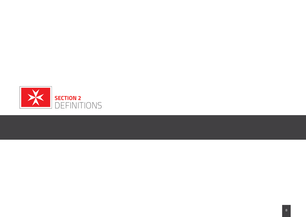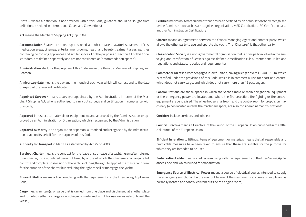(Note – where a definition is not provided within this Code, guidance should be sought from definitions provided in International Codes and Conventions)

**Act** means the Merchant Shipping Act (Cap. 234)

**Accommodation** Spaces are those spaces used as public spaces, lavatories, cabins, offices, medication areas, cinemas, entertainment rooms, health and beauty treatment areas, pantries containing no cooking appliances and similar spaces. For the purposes of section 11 of this Code, 'corridors' are defined separately and are not considered as 'accommodation spaces';

**Administration** shall, for the purpose of this Code, mean the Registrar-General of Shipping and Seamen;

**Anniversary date** means the day and the month of each year which will correspond to the date of expiry of the relevant certificate;

**Appointed Surveyor** means a surveyor appointed by the Administration, in terms of the Merchant Shipping Act, who is authorised to carry out surveys and certification in compliance with this Code;

**Approved** in respect to materials or equipment means approved by the Administration or approved by an Administration or Organisation, which is recognised by the Administration;

**Approved Authority** is an organisation or person, authorised and recognised by the Administration to act on its behalf for the purposes of this Code;

**Authority for Transport** in Malta as established by Act XV of 2009;

**Bareboat Charter** means the contract for the lease or sub-lease of a yacht, hereinafter referred to as charter, for a stipulated period of time, by virtue of which the charterer shall acquire full control and complete possession of the yacht, including the right to appoint the master and crew for the duration of the charter but excluding the right to sell or mortgage the yacht;

**Buoyant lifeline** means a line complying with the requirements of the Life-Saving Appliances Code;

**Cargo** means an item(s) of value that is carried from one place and discharged at another place and for which either a charge or no charge is made and is not for use exclusively onboard the vessel;

**Certified** means an item/equipment that has been certified by an organisation/body recognised by the Administration such as a recognised organisation, MED Certification, ISO Certification and another Administration Certification;

**Charter** means an agreement between the Owner/Managing Agent and another party, which allows the other party to use and operate the yacht. The "Charterer" is that other party;

**Classification Society** is a non-governmental organisation that is principally involved in the surveying and certification of vessels against defined classification rules, international rules and regulations and statutory codes and requirements;

**Commercial Yacht** is a yacht engaged in lawful trade, having a length overall (LOA) ≥ 15 m, which is certified under the provisions of this Code, which is in commercial use for sport or pleasure, which does not carry cargo, and which does not carry more than 12 passengers:

**Control Stations** are those spaces in which the yacht's radio or main navigational equipment or the emergency power are located and where the fire detection, fire fighting or fire control equipment are centralised. The wheelhouse, chartroom and the control room for propulsion machinery (when located outside the machinery space) are also considered as 'control stations';

**Corridors** include corridors and lobbies;

**Council Directive** means a Directive of the Council of the European Union published in the Official Journal of the European Union;

**Efficient in relation** to fittings, items of equipment or materials means that all reasonable and practicable measures have been taken to ensure that these are suitable for the purpose for which they are intended to be used;

**Embarkation Ladder** means a ladder complying with the requirements of the Life- Saving Appliances Code and which is used for embarkation;

**Emergency Source of Electrical Power** means a source of electrical power, intended to supply the emergency switchboard in the event of failure of the main electrical source of supply and is normally located and controlled from outside the engine room;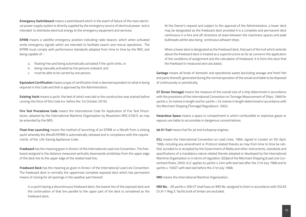**Emergency Switchboard** means a switchboard which in the event of failure of the main electrical power supply system is directly supplied by the emergency source of electrical power and is intended to distribute electrical energy to the emergency equipment and services;

**EPIRB** means a satellite emergency position-indicating radio beacon, which when activated emits emergency signals which are intended to facilitate search and rescue operations. The EPIRB must comply with performance standards adopted from time to time by the IMO, and being capable of :-

- a. floating free and being automatically activated if the yacht sinks, or
- b. being manually activated by the persons onboard, and
- c. must be able to be carried by one person;

**Equivalent Certification** means a type of certification that is deemed equivalent to what is being required in this Code and that is approved by the Administration;

**Existing Yacht** means a yacht, the keel of which was laid or the construction was started before coming into force of this Code (i.e. before the 1st October 2015);

**Fire Test Procedures Code** means the International Code for Application of Fire Test Procedures, adopted by the International Maritime Organisation by Resolution MSC.61(67), as may be amended by the IMO;

**Float-free Launching** means the method of launching of an EPIRB or a liferaft from a sinking yacht whereby the liferaft/EPIRB is automatically released and in compliance with the requirements of the Life-Saving Appliances Code;

**Freeboard** has the meaning given in Annex I of the International Load Line Convention. The freeboard assigned is the distance measured vertically downwards amidships from the upper edge of the deck line to the upper edge of the related load line;

**Freeboard Deck** has the meaning as given in Annex I of the International Load Line Convention. The freeboard deck is normally the uppermost complete exposed deck which has permanent means of closing for all openings in the weather part thereof;

In a yacht having a discontinuous freeboard deck, the lowest line of the exposed deck and the continuation of that line parallel to the upper part of the deck is considered as the freeboard deck;

At the Owner's request and subject to the approval of the Administration, a lower deck may be designated as the freeboard deck provided it is a complete and permanent deck continuous in a fore and aft directions at least between the machinery spaces and peak bulkheads whilst also being continuous athwart ships;

When a lower deck is designated as the freeboard deck, that part of the hull which extends above the freeboard deck is treated as a superstructure so far as concerns the application of the conditions of assignment and the calculation of freeboard. It is from this deck that the freeboard is measured and calculated;

**Garbage** means all kinds of domestic and operational waste (excluding sewage and fresh fish and parts thereof), generated during the normal operation of the vessel and liable to be disposed of continuously or periodically;

**GT (Gross Tonnage)** means the measure of the overall size of a ship determined in accordance with the provisions of the International Convention on Tonnage Measurement of Ships, 1969 for yachts ≥ 24 metres in length and for yachts < 24 metres in length determined in accordance with the Merchant Shipping (Tonnage) Regulations 2002;

**Hazardous Space** means a space or compartment in which combustible or explosive gases or vapours are liable to accumulate in dangerous concentrations;

**Jet A1 Fuel** means fuel for jet and turboprop engines;

**ICLL** means the International Convention on Load Lines, 1966, signed in London on 5th April, 1966, including any amendment or Protocol related thereto as may from time to time be ratified, acceded to or accepted by the Government of Malta and other instruments, standards and specifications of a mandatory nature related thereto adopted or developed by the International Maritime Organisation or in terms of regulation 3(2)(a) of the Merchant Shipping (Load Line Convention) Rules, 2003; ILLC applies to yachts ≥ 24m with keel laid after the 21st July 1968 and to yachts ≥ 150GT with keel laid before the 21st July 1968;

**IMO** means the International Maritime Organisation;

**IMO No.** - All yachts ≥ 300 GT shall have an IMO No. assigned to them in accordance with SOLAS Ch.XI-1 Reg.3. Yachts built of timber are excluded;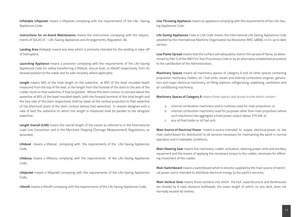**Inflatable Lifejacket** means a lifejacket complying with the requirements of the Life- Saving Appliances Code;

**Instructions for on-board Maintenance** means the instructions complying with the requirements of SOLAS III – Life-Saving Appliances and Arrangements, Regulation 36;

**Landing Area** (helipad) means any area which is primarily intended for the landing or take-off of helicopters;

**Launching Appliance** means a provision complying with the requirements of the Life-Saving Appliances Code for safely transferring a lifeboat, rescue boat, or liferaft respectively, from its stowed position to the water and its safe recovery where applicable;

**Length** means 96% of the total length on the waterline at 85% of the least moulded depth measured from the top of the keel, or the length from the foreside of the stem to the axis of the rudder stock on that waterline, if that be greater. Where the stem contour is concave above the waterline at 85% of the least moulded depth, both the forward terminal of the total length and the fore side of the stem respectively shall be taken at the vertical projection to that waterline of the aftermost point of the stem contour (above that waterline). In vessels designed with a rake of keel the waterline on which this length is measured shall be parallel to the designed waterline;

**Length Overall (LOA)** means the overall length of the vessel as referred to in the International Load Line Convention and in the Merchant Shipping (Tonnage Measurement) Regulations, as amended;

**Lifeboat** means a lifeboat complying with the requirements of the Life-Saving Appliances Code;

**Lifebuoy** means a lifebuoy complying with the requirements of the Life-Saving Appliances Code;

**Lifejacket** means a lifejacket complying with the requirements of the Life-Saving Appliances Code;

**Liferaft** means a liferaft complying with the requirements of the Life Saving Appliances Code;

**Line Throwing Appliance** means an appliance complying with the requirements of the Life-Saving Appliances Code;

**Life Saving Appliances** Code or LSA Code means the International Life Saving Appliances Code adopted by the International Maritime Organisation by Resolution MSC.48(66), in it's up to date version;

**Low Flame Spread** means that the surface will adequately restrict the spread of flame, as determined by Part 5 of the IMO Fire Test Procedures Code or by an alternative established procedure to the satisfaction of the Administration;

**Machinery Spaces** means all machinery spaces of category A and all other spaces containing propulsion machinery, boilers, oil / fuel units, steam and internal combustion engines, generators and major electrical machinery, oil filling stations, refrigerating, stabilising, ventilation and air conditioning machinery;

**Machinery Spaces of Category A** means those spaces and access trunks which contain:-

- a. internal combustion machinery and/or turbines used for main propulsion; or
- b. internal combustion machinery used for purposes other than main propulsion where such machinery has aggregate a total power output above 375 kW; or
- c. any oil fired boiler or oil fuel unit;

**Main Source of Electrical Power** means a source intended to supply electrical power to the main switchboard for distribution to all services necessary for maintaining the yacht in normal operation and in habitable conditions;

**Main Steering Gear** means the machinery, rudder, activators, steering power units and ancillary equipment and the means of applying the necessary torque to the rudder, necessary for effecting movement of the rudder;

**Main Switchboard** means a switchboard which is directly supplied by the main source of electrical power and is intended to distribute electrical energy to the yacht's services;

**Main Vertical Zone** means those sections into which the hull, superstructure and deckhouses are divided by A class divisions bulkheads, the mean length of which, on any deck, does not normally exceed 40 metres;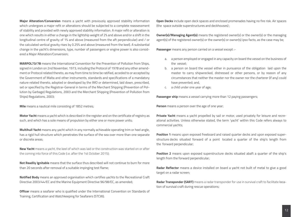**Major Alteration/Conversion** means a yacht with previously approved stability information which undergoes a major refit or alterations should be subjected to a complete reassessment of stability and provided with newly approved stability information. A major refit or alteration is one which results in either a change in the lightship weight of 2% and above and/or a shift in the longitudinal centre of gravity of 1% and above (measured from the aft perpendicular) and / or the calculated vertical gravity rises by 0.25% and above (measured from the keel). A substantial change in the yacht's dimensions, type, number of passengers or engine power is also considered a Major Alteration/Conversion;

**MARPOL73/78** means the International Convention for the Prevention of Pollution from Ships, signed in London on 2nd November, 1973, including the Protocol of 1978 and any other amendment or Protocol related thereto, as may from time to time be ratified, acceded to or accepted by the Government of Malta and other instruments, standards and specifications of a mandatory nature related thereto, adopted or developed by the IMO or determined, laid down, prescribed, set or specified by the Registrar-General in terms of the Merchant Shipping (Prevention of Pollution by Garbage) Regulations, 2003 and the Merchant Shipping (Prevention of Pollution from Ships) Regulations, 2003;

**Mile** means a nautical mile consisting of 1852 metres;

**Motor Yacht** means a yacht which is described in the register and on the certificate of registry as such, and which has a sole means of propulsion by either one or more power units;

**Multihull Yacht** means any yacht which in any normally achievable operating trim or heel angle, has a rigid hull structure which penetrates the surface of the sea over more than one separate or discrete areas;

**New Yacht** means a yacht, the keel of which was laid or the construction was started on or after the coming into force of this Code (i.e. after the 1st October 2015);

**Not Readily Ignitable** means that the surface thus described will not continue to burn for more than 20 seconds after removal of a suitable impinging test flame;

**Notified Body** means an approved organisation which certifies yachts to the Recreational Craft Directive 2003/44/EC and the Marine Equipment Directive 96/98/EC, as amended;

**Officer** means a seafarer who is qualified under the International Convention on Standards of Training, Certification and Watchkeeping for Seafarers (STCW);

**Open Decks** include open deck spaces and enclosed promenades having no fire risk. Air spaces (the space outside superstructures and deckhouses) ;

**Owner(s)/Managing Agent(s)** means the registered owner(s) or the owner(s) or the managing agent(s) of the registered owner(s) or the owner(s) or owner(s) ipso facto, as the case may be;

**Passenger** means any person carried on a vessel except :-

- a. a person employed or engaged in any capacity on board the vessel on the business of the vessel;
- b. a person on board the vessel either in pursuance of the obligation laid upon the master to carry shipwrecked, distressed or other persons, or by reason of any circumstances that neither the master nor the owner nor the charterer (if any) could have prevented; and,
- c. a child under one year of age;

**Passenger ship** means a vessel carrying more than 12 paying passengers;

**Person** means a person over the age of one year;

**Private Yacht** means a yacht propelled by sail or motor, used privately for leisure and recreational activities. Unless otherwise stated, the term 'yacht' within this Code refers always to commercial yachts;

**Position 1** means upon exposed freeboard and raised quarter decks and upon exposed superstructure decks situated forward of a point located a quarter of the ship's length from the forward perpendicular;

**Position 2** means upon exposed superstructure decks situated abaft a quarter of the ship's length from the forward perpendicular;

**Radar Reflector** means a device installed on board a yacht not built of metal to give a good target on a radar screen;

**Radar Transponder (SART)** means a radar transponder for use in survival craft to facilitate location of survival craft during rescue operations;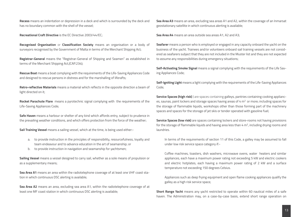**Recess** means an indentation or depression in a deck and which is surrounded by the deck and has no boundary common with the shell of the vessel;

**Recreational Craft Directive** is the EC Directive 2003/44/EC;

**Recognised Organisation** or **Classification Society** means an organisation or a body of surveyors recognised by the Government of Malta in terms of the Merchant Shipping Act;

**Registrar-General** means the "Registrar-General of Shipping and Seamen" as established in terms of the Merchant Shipping Act,(CAP.234);

**Rescue Boat** means a boat complying with the requirements of the Life-Saving Appliances Code and designed to rescue persons in distress and for the marshalling of liferafts;

**Retro-reflective Materials** means a material which reflects in the opposite direction a beam of light directed on it;

**Rocket Parachute Flare** means a pyrotechnic signal complying with the requirements of the Life-Saving Appliances Code;

**Safe Haven** means a harbour or shelter of any kind which affords entry, subject to prudence in the prevailing weather conditions, and which offers protection from the force of the weather;

**Sail Training Vessel** means a sailing vessel, which at the time, is being used either:-

- a. to provide instruction in the principles of responsibility, resourcefulness, loyalty and team endeavour and to advance education in the art of seamanship; or
- b. to provide instruction in navigation and seamanship for yachtsmen;

**Sailing Vessel** means a vessel designed to carry sail, whether as a sole means of propulsion or as a supplementary means;

**Sea Area A1** means an area within the radiotelephone coverage of at least one VHF coast station in which continuous DSC alerting is available;

**Sea Area A2** means an area, excluding sea area A1, within the radiotelephone coverage of at least one MF coast station in which continuous DSC alerting is available;

**Sea Area A3** means an area, excluding sea areas A1 and A2, within the coverage of an Inmarsat geostationary satellite in which continuous alerting is available;

**Sea Area A4** means an area outside sea areas A1, A2 and A3;

**Seafarer** means a person who is employed or engaged in any capacity onboard the yacht on the business of the yacht. Trainees and/or volunteers onboard sail training vessels are not considered as seafarers subject that they are not included in the Muster list and they are not expected to assume any responsibilities during emergency situations;

**Self-Activating Smoke Signal** means a signal complying with the requirements of the Life Saving Appliances Code;

**Self-Igniting Light** means a light complying with the requirements of the Life-Saving Appliances Code;

**Service Spaces (high risk)** ) are spaces containing galleys, pantries containing cooking appliances, saunas, paint lockers and storage spaces having areas of 4 m<sup>2</sup> or more; including spaces for the storage of flammable liquids, workshops other than those forming part of the machinery spaces and spaces for the storage of jet skis or tender operated with gasoline fuel;

**Service Spaces (low risk)** are spaces containing lockers and store-rooms not having provisions for the storage of flammable liquids and having area less than  $4 \text{ m}^2$ , including drying rooms and laundries.

In terms of the requirements of section 11 of this Code, a galley may be assumed to fall under low risk service space category if:-

Coffee machines, toasters, dish washers, microwave ovens, water heaters and similar appliances, each have a maximum power rating not exceeding 5 kW and electric cookers and electric hotplates, each having a maximum power rating of 2 kW and a surface temperature not exceeding 150 degrees Celsius.

Appliances such as deep frying equipment and open flame cooking appliances qualify the galley as a high risk service space;

**Short Range Yacht** means any yacht restricted to operate within 60 nautical miles of a safe haven. The Administration may, on a case-by-case basis, extend short range operation on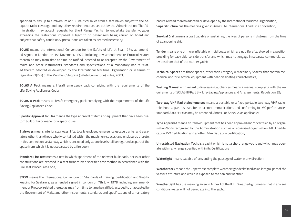specified routes up to a maximum of 150 nautical miles from a safe haven subject to the adequate radio coverage and any other requirements as set out by the Administration. The Administration may accept requests for Short Range Yachts to undertake transfer voyages exceeding the restrictions imposed, subject to no passengers being carried on board and subject that safety conditions/ precautions are taken as deemed necessary;

**SOLAS** means the International Convention for the Safety of Life at Sea, 1974, as amended signed in London on 1st November, 1974, including any amendment or Protocol related thereto as may from time to time be ratified, acceded to or accepted by the Government of Malta and other instruments, standards and specifications of a mandatory nature related thereto adopted or developed by the International Maritime Organisation or in terms of regulation 3(2)(a) of the Merchant Shipping (Safety Convention) Rules, 2003;

**SOLAS A Pack** means a liferaft emergency pack complying with the requirements of the Life-Saving Appliances Code;

**SOLAS B Pack** means a liferaft emergency pack complying with the requirements of the Life Saving Appliances Code;

**Specific Approval for Use** means the type approval of items or equipment that have been custom built or tailor made for a specific use;

**Stairways** means Interior stairways, lifts, totally enclosed emergency escape trunks, and escalators other than (those wholly contained within the machinery spaces) and enclosures thereto. In this connection, a stairway which is enclosed only at one level shall be regarded as part of the space from which it is not separated by a fire door;

**Standard Fire Test** means a test in which specimens of the relevant bulkheads, decks or other constructions are exposed in a test furnace by a specified test method in accordance with the Fire Test Procedures Code;

**STCW** means the International Convention on Standards of Training, Certification and Watchkeeping for Seafarers, as amended signed in London on 7th July, 1978, including any amendment or Protocol related thereto as may from time to time be ratified, acceded to or accepted by the Government of Malta and other instruments, standards and specifications of a mandatory nature related thereto adopted or developed by the International Maritime Organisation; **Superstructure** has the meaning given in Annex I to International Load Line Convention;

**Survival Craft** means a craft capable of sustaining the lives of persons in distress from the time of abandoning ship;

**Tender** means one or more inflatable or rigid boats which are not liferafts, stowed in a position providing for easy side-to-side transfer and which may not engage in separate commercial activities from that of the mother yacht;

**Technical Spaces** are those spaces, other than Category A Machinery Spaces, that contain mechanical and/or electrical equipment with heat dissipating characteristics;

**Training Manual** with regard to live-saving appliances means a manual complying with the requirements of SOLAS III/Part B – Life-Saving Appliances and Arrangements, Regulation 35;

**Two-way VHF Radiotelephone set** means a portable or a fixed portable two-way VHF radiotelephone apparatus used for on-scene communications and conforming to IMO performances standard A.809 (19) as may be amended, Annex I or Annex 2, as applicable;

**Type Approved** means an item/equipment that has been approved and/or certified by an organisation/body recognised by the Administration such as a recognised organisation, MED Certification, ISO Certification and another Administration Certification;

**Unrestricted Navigation Yacht** is a yacht which is not a short range yacht and which may operate within any range specified within its Certification;

**Watertight** means capable of preventing the passage of water in any direction;

**Weatherdeck** means the uppermost complete weathertight deck fitted as an integral part of the vessel's structure and which is exposed to the sea and weather;

**Weathertight** has the meaning given in Annex I of the ICLL. Weathertight means that in any sea conditions water will not penetrate into the yacht;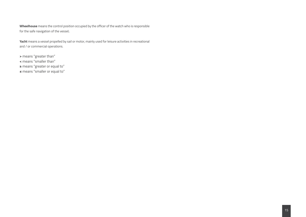**Wheelhouse** means the control position occupied by the officer of the watch who is responsible for the safe navigation of the vessel;

**Yacht** means a vessel propelled by sail or motor, mainly used for leisure activities in recreational and / or commercial operations.

**>** means "greater than"

- **<** means "smaller than"
- **≥** means "greater or equal to"

**≤** means "smaller or equal to"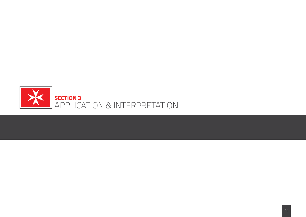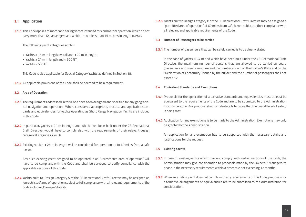# **3.1 Application**

**3.1.1** This Code applies to motor and sailing yachts intended for commercial operation, which do not carry more than 12 passengers and which are not less than 15 metres in length overall.

The following yacht categories apply:-

- Yachts ≥ 15 m in length overall and < 24 m in length,
- Yachts ≥ 24 m in length and < 500 GT,
- Yachts ≥ 500 GT.

This Code is also applicable for Special Category Yachts as defined in Section 18.

**3.1.2** All applicable provisions of the Code shall be deemed to be a requirement.

### **3.2 Area of Operation**

- **3.2.1** The requirements addressed in this Code have been designed and specified for any geographical navigation and operation. Where considered appropriate, practical and applicable standards and equivalencies for yachts operating as Short Range Navigation Yachts are included in this Code.
- **3.2.2** In particular, vachts ≤ 24 m in length and which have been built under the CE Recreational Craft Directive, would have to comply also with the requirements of their relevant design category (Categories A or B).
- **3.2.3** Existing yachts < 24 m in length will be considered for operation up to 60 miles from a safe haven.

Any such existing yacht designed to be operated in an "unrestricted area of operation" will have to be compliant with the Code and shall be surveyed to verify compliance with the applicable sections of this Code.

**3.2.4** Yachts built to Design Category A of the CE Recreational Craft Directive may be assigned an 'unrestricted' area of operation subject to full compliance with all relevant requirements of the Code including Damage Stability.

**3.2.5** Yachts built to Design Category B of the CE Recreational Craft Directive may be assigned a "permitted area of operation" of 60 miles from safe haven subject to their compliance with all relevant and applicable requirements of the Code.

#### **3.3 Number of Passengers to be carried**

**3.3.1** The number of passengers that can be safely carried is to be clearly stated.

In the case of yachts ≤ 24 m and which have been built under the CE Recreational Craft Directive, the maximum number of persons that are allowed to be carried on board (passengers and crew) cannot exceed the number shown on the Builder's Plate and on the "Declaration of Conformity" issued by the builder and the number of passengers shall not exceed 12.

#### **3.4 Equivalent Standards and Exemptions**

- **3.4.1** Proposals for the application of alternative standards and equivalencies must at least be equivalent to the requirements of the Code and are to be submitted to the Administration for consideration. Any proposal shall include details to prove that the overall level of safety is being met.
- **3.4.2** Application for any exemptions is to be made to the Administration. Exemptions may only be granted by the Administration.

An application for any exemption has to be supported with the necessary details and justifications for the request.

- **3.5 Existing Yachts**
- **3.5.1** In case of existing yachts which may not comply with certain sections of the Code, the Administration may give consideration to proposals made by the Owners / Managers to phase in the necessary requirements within a timescale not exceeding 12 months.
- **3.5.2** When an existing yacht does not comply with any requirements of this Code, proposals for alternative arrangements or equivalencies are to be submitted to the Administration for consideration.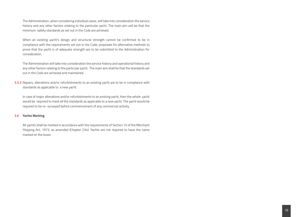The Administration, when considering individual cases, will take into consideration the service history and any other factors relating to the particular yacht. The main aim will be that the minimum safety standards as set out in the Code are achieved.

When an existing yacht's design and structural strength cannot be confirmed to be in compliance with the requirements set out in the Code, proposals for alternative methods to prove that the yacht is of adequate strength are to be submitted to the Administration for consideration.

The Administration will take into consideration the service history and operational history and any other factors relating to the particular yacht. The main aim shall be that the standards set out in the Code are achieved and maintained.

**3.5.3** Repairs, alterations and/or refurbishments to an existing yacht are to be in compliance with standards as applicable to a new yacht.

In case of major alterations and/or refurbishments to an existing yacht, then the whole yacht would be required to meet all the standards as applicable to a new yacht. The yacht would be required to be re- surveyed before commencement of any commercial activity.

#### **3.6 Yachts Marking**

All yachts shall be marked in accordance with the requirements of Section 15 of the Merchant Shipping Act, 1973, as amended (Chapter 234). Yachts are not required to have the name marked on the bows.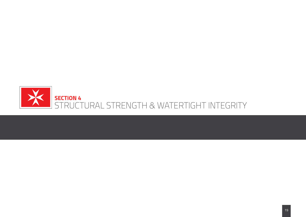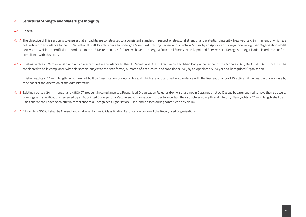# **4. Structural Strength and Watertight Integrity**

## **4.1 General**

- **4.1.1** The objective of this section is to ensure that all yachts are constructed to a consistent standard in respect of structural strength and watertight integrity. New yachts < 24 m in length which are not certified in accordance to the CE Recreational Craft Directive have to undergo a Structural Drawing Review and Structural Survey by an Appointed Surveyor or a Recognised Organisation whilst new yachts which are certified in accordance to the CE Recreational Craft Directive have to undergo a Structural Survey by an Appointed Surveyor or a Recognised Organisation in order to confirm compliance with this code.
- **4.1.2** Existing yachts < 24 m in length and which are certified in accordance to the CE Recreational Craft Directive by a Notified Body under either of the Modules B+C, B+D, B+E, B+F, G or H will be considered to be in compliance with this section, subject to the satisfactory outcome of a structural and condition survey by an Appointed Surveyor or a Recognised Organisation.

Existing yachts < 24 m in length, which are not built to Classification Society Rules and which are not certified in accordance with the Recreational Craft Directive will be dealt with on a case by case basis at the discretion of the Administration.

**4.1.3** Existing yachts ≥ 24 m in length and < 500 GT, not built in compliance to a Recognised Organisation Rules' and/or which are not in Class need not be Classed but are required to have their structural drawings and specifications reviewed by an Appointed Surveyor or a Recognised Organisation in order to ascertain their structural strength and integrity. New yachts ≥ 24 m in length shall be in Class and/or shall have been built in compliance to a Recognised Organisation Rules' and classed during construction by an RO.

**4.1.4** All yachts ≥ 500 GT shall be Classed and shall maintain valid Classification Certification by one of the Recognised Organisations.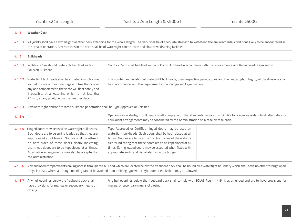| 4.1.5   | <b>Weather Deck</b>                                                                                                                                                                                                                                                                                                                                                                                                                                                                                                                                                                                                                                                                                                                      |
|---------|------------------------------------------------------------------------------------------------------------------------------------------------------------------------------------------------------------------------------------------------------------------------------------------------------------------------------------------------------------------------------------------------------------------------------------------------------------------------------------------------------------------------------------------------------------------------------------------------------------------------------------------------------------------------------------------------------------------------------------------|
| 4.1.5.1 | All yachts shall have a watertight weather deck extending for the whole length. The deck shall be of adequate strength to withstand the environmental conditions likely to be encountered in<br>the area of operation. Any recesses in the deck shall be of watertight construction and shall have draining facilities.                                                                                                                                                                                                                                                                                                                                                                                                                  |
| 4.1.6   | <b>Bulkheads</b>                                                                                                                                                                                                                                                                                                                                                                                                                                                                                                                                                                                                                                                                                                                         |
| 4.1.6.1 | Yachts ≥ 24 m shall be fitted with a Collision Bulkhead in accordance with the requirements of a Recognised Organisation.<br>Yachts < 24 m should preferably be fitted with a<br>Collision Bulkhead.                                                                                                                                                                                                                                                                                                                                                                                                                                                                                                                                     |
| 4.1.6.2 | The number and location of watertight bulkheads, their respective penetrations and the watertight integrity of the divisions shall<br>Watertight bulkheads shall be situated in such a way<br>so that in case of minor damage and free flooding of<br>be in accordance with the requirements of a Recognised Organisation.<br>any one compartment, the yacht will float safely and,<br>if possible, at a waterline which is not less than<br>75 mm, at any point, below the weather deck.                                                                                                                                                                                                                                                |
| 4.1.6.3 | Any watertight and/or fire rated bulkhead penetration shall be Type Approved or Certified.                                                                                                                                                                                                                                                                                                                                                                                                                                                                                                                                                                                                                                               |
| 4.1.6.4 | Openings in watertight bulkheads shall comply with the standards required in SOLAS for cargo vessels whilst alternative or<br>equivalent arrangements may be considered by the Administration on a case by case basis.                                                                                                                                                                                                                                                                                                                                                                                                                                                                                                                   |
| 4.1.6.5 | Hinged doors may be used on watertight bulkheads.<br>Type Approved or Certified hinged doors may be used on<br>watertight bulkheads. Such doors shall be kept closed at all<br>Such doors are to be spring loaded so that they are<br>times. Notices are to be affixed on both sides of these doors<br>kept closed at all times. Notices shall be affixed<br>on both sides of these doors clearly indicating<br>clearly indicating that these doors are to be kept closed at all<br>times. Spring loaded doors may be accepted when fitted with<br>that these doors are to be kept closed at all times.<br>appropriate audio and visual alarms on the bridge.<br>Alternative arrangements may also be accepted by<br>the Administration. |
| 4.1.6.6 | Any enclosed compartments having access through the hull and which are located below the freeboard deck shall be bound by a watertight boundary which shall have no other through open<br>-ings. In cases where a through opening cannot be avoided than a sliding type watertight door or equivalent may be allowed.                                                                                                                                                                                                                                                                                                                                                                                                                    |
| 4.1.6.7 | Any hull openings below the freeboard deck shall<br>Any hull openings below the freeboard deck shall comply with SOLAS Reg II-1/15-1, as amended and are to have provisions for<br>have provisions for manual or secondary means of<br>manual or secondary means of closing.<br>closing.                                                                                                                                                                                                                                                                                                                                                                                                                                                 |

Arrangements, on existing yachts, that provide an equivalent level of safety in respect of downflooding risks may be considered by the Administration.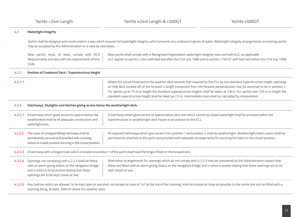Yachts <24m Length

| 4.2     | <b>Watertight Integrity</b>                                                                                                                                                                              |                                                                                                                                                                                                                                                                                                                                                                                                                                                                                                                                        |
|---------|----------------------------------------------------------------------------------------------------------------------------------------------------------------------------------------------------------|----------------------------------------------------------------------------------------------------------------------------------------------------------------------------------------------------------------------------------------------------------------------------------------------------------------------------------------------------------------------------------------------------------------------------------------------------------------------------------------------------------------------------------------|
|         | may be accepted by this Administration on a case by case basis.                                                                                                                                          | Yachts shall be designed and constructed in a way which ensures full watertight integrity, which prevents any undesired ingress of water. Watertight integrity arrangements on existing yachts                                                                                                                                                                                                                                                                                                                                         |
|         | New yachts must, at least, comply with RCD<br>Requirements and also with the requirements of this<br>Code.                                                                                               | New yachts shall comply with a Recognised Organisation watertight integrity rules and with ILLC, as applicable.<br>ILLC applies to yachts ≥ 24m with keel laid after the 21st July 1968 and to yachts ≥ 150 GT with keel laid before the 21st July 1968.                                                                                                                                                                                                                                                                               |
| 4.2.1   | Position of Freeboard Deck / Superstructure Height                                                                                                                                                       |                                                                                                                                                                                                                                                                                                                                                                                                                                                                                                                                        |
| 4.2.1.1 |                                                                                                                                                                                                          | Where the actual freeboard to the weather deck exceeds that required by the ICLL by one standard superstructure height, openings<br>on that deck located aft of the forward $\frac{y}{4}$ length (measured from the forward perpendicular) may be assumed to be in position 2.<br>For yachts up to 75 m in length the standard superstructure heights shall be taken as 1.8 m. For yachts over 125 m in length the<br>standard superstructure height shall be taken as 2.3 m. Intermediate sizes shall be calculated by interpolation. |
| 4.2.2   | Hatchways, Skylights and Hatches giving access below the weathertight deck.                                                                                                                              |                                                                                                                                                                                                                                                                                                                                                                                                                                                                                                                                        |
| 4.2.2.1 | A hatchway which gives access to spaces below the<br>weatherdeck shall be of adequate construction and<br>watertightness.                                                                                | A hatchway which gives access to spaces below deck and which cannot be closed watertight shall be enclosed within the<br>superstructure or weathertight deck house in accordance to the ICLL.                                                                                                                                                                                                                                                                                                                                          |
| 4.2.2.2 | The cover of a hinged/sliding hatchway shall be<br>permanently secured and provided with a locking<br>device to enable positive securing in the closed position.                                         | All exposed hatchways which give access from position 1 and position 2 shall be weathertight. Weathertight hatch covers shall be<br>permanently attached to the yacht and provided with adequate arrangements for securing the hatch in the closed position.                                                                                                                                                                                                                                                                           |
| 4.2.2.3 | A hatchway with a hinged cover which is located at position 1 of the yacht shall have the hinges fitted on the forward end.                                                                              |                                                                                                                                                                                                                                                                                                                                                                                                                                                                                                                                        |
| 4.2.2.4 | Openings not complying with 4.2.2.3 shall be fitted<br>with an alarm giving status on the navigation bridge<br>and a notice is to be posted stating that these<br>openings are to be kept closed at sea. | Alternative arrangements for openings which do not comply with 4.2.2.3 may be considered by the Administration subject that<br>these are fitted with an alarm giving status on the navigation bridge and a notice is posted stating that these openings are to be<br>kept closed at sea.                                                                                                                                                                                                                                               |
| 4.2.2.5 | coaming being, at least, 300mm above the weather deck.                                                                                                                                                   | Any hatches which are allowed to be kept open at sea shall, not exceed an area of 1m <sup>2</sup> at the top of the coaming, shall be located as close as possible to the centre line and be fitted with a                                                                                                                                                                                                                                                                                                                             |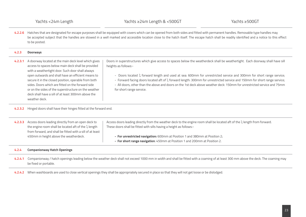4.2.2.6 Hatches that are designated for escape purposes shall be equipped with covers which can be opened from both sides and fitted with permanent handles. Removable type handles may be accepted subject that the handles are stowed in a well marked and accessible location close to the hatch itself. The escape hatch shall be readily identified and a notice to this effect to be posted.

| 4.2.3   | <b>Doorways</b>                                                                                                                                                                                                                                                                                                                                                                                                                                                  |                                                                                                                                                                                                                                                                                                                                                                                                                                                                                                                                                                        |
|---------|------------------------------------------------------------------------------------------------------------------------------------------------------------------------------------------------------------------------------------------------------------------------------------------------------------------------------------------------------------------------------------------------------------------------------------------------------------------|------------------------------------------------------------------------------------------------------------------------------------------------------------------------------------------------------------------------------------------------------------------------------------------------------------------------------------------------------------------------------------------------------------------------------------------------------------------------------------------------------------------------------------------------------------------------|
| 4.2.3.1 | A doorway located at the main deck level which gives<br>access to spaces below main deck shall be provided<br>with a weathertight door. Such door shall always<br>open outwards and shall have an efficient means to<br>secure it in the closed position, operable from both<br>sides. Doors which are fitted on the forward side<br>or on the sides of the superstructure on the weather<br>deck shall have a sill of at least 300mm above the<br>weather deck. | Doors in superstructures which give access to spaces below the weatherdeck shall be weathertight. Each doorway shall have sill<br>heights as follows:-<br>- Doors located X forward length and used at sea: 600mm for unrestricted service and 300mm for short range service;<br>- Forward facing doors located aft of $\chi$ forward length: 300mm for unrestricted service and 150mm for short range service;<br>- All doors, other than the above and doors on the 1st deck above weather deck: 150mm for unrestricted service and 75mm<br>for short range service. |
| 4.2.3.2 | Hinged doors shall have their hinges fitted at the forward end.                                                                                                                                                                                                                                                                                                                                                                                                  |                                                                                                                                                                                                                                                                                                                                                                                                                                                                                                                                                                        |
| 4.2.3.3 | Access doors leading directly from an open deck to<br>the engine room shall be located aft of the 1/4 length<br>from forward, and shall be fitted with a sill of at least<br>450mm in height above the weatherdeck.                                                                                                                                                                                                                                              | Access doors leading directly from the weather deck to the engine room shall be located aft of the $\chi$ length from forward.<br>These doors shall be fitted with sills having a height as follows:-<br>- For unrestricted navigation: 600mm at Position 1 and 380mm at Position 2;<br>- For short range navigation: 450mm at Position 1 and 200mm at Position 2.                                                                                                                                                                                                     |
| 4.2.4   | <b>Companionway Hatch Openings</b>                                                                                                                                                                                                                                                                                                                                                                                                                               |                                                                                                                                                                                                                                                                                                                                                                                                                                                                                                                                                                        |

**4.2.4.1** Companionway / hatch openings leading below the weather deck shall not exceed 1000 mm in width and shall be fitted with a coaming of at least 300 mm above the deck. The coaming may be fixed or portable.

**4.2.4.2** When washboards are used to close vertical openings they shall be appropriately secured in place so that they will not get loose or be dislodged.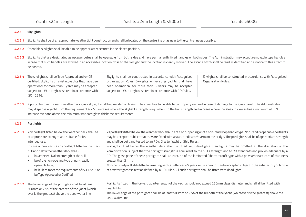| 4.2.5   | <b>Skylights</b>                                                                                                                                                                                                                                                                                                                                                                                                                                                 |                                                                                                                                                                                                                                                                                                                                                                                                                                                                                                                                                                                                                                                                                                                                                                                                                                                                                                                                                                                                                                                                    |                                                                                     |
|---------|------------------------------------------------------------------------------------------------------------------------------------------------------------------------------------------------------------------------------------------------------------------------------------------------------------------------------------------------------------------------------------------------------------------------------------------------------------------|--------------------------------------------------------------------------------------------------------------------------------------------------------------------------------------------------------------------------------------------------------------------------------------------------------------------------------------------------------------------------------------------------------------------------------------------------------------------------------------------------------------------------------------------------------------------------------------------------------------------------------------------------------------------------------------------------------------------------------------------------------------------------------------------------------------------------------------------------------------------------------------------------------------------------------------------------------------------------------------------------------------------------------------------------------------------|-------------------------------------------------------------------------------------|
| 4.2.5.1 | Skylights shall be of an appropriate weathertight construction and shall be located on the centre line or as near to the centre line as possible.                                                                                                                                                                                                                                                                                                                |                                                                                                                                                                                                                                                                                                                                                                                                                                                                                                                                                                                                                                                                                                                                                                                                                                                                                                                                                                                                                                                                    |                                                                                     |
| 4.2.5.2 | Openable skylights shall be able to be appropriately secured in the closed position.                                                                                                                                                                                                                                                                                                                                                                             |                                                                                                                                                                                                                                                                                                                                                                                                                                                                                                                                                                                                                                                                                                                                                                                                                                                                                                                                                                                                                                                                    |                                                                                     |
| 4.2.5.3 | Skylights that are designated as escape routes shall be openable from both sides and have permanently fixed handles on both sides. The Administration may accept removable type handles<br>in case that such handles are stowed in an accessible location close to the skylight and the location is clearly marked. The escape hatch shall be readily identified and a notice to this effect to<br>be posted.                                                    |                                                                                                                                                                                                                                                                                                                                                                                                                                                                                                                                                                                                                                                                                                                                                                                                                                                                                                                                                                                                                                                                    |                                                                                     |
| 4.2.5.4 | The skylights shall be Type Approved and/or CE<br>Certified. Skylights on existing yachts that have been<br>operational for more than 5 years may be accepted<br>subject to a Watertightness test in accordance with<br>ISO 12216.                                                                                                                                                                                                                               | Skylights shall be constructed in accordance with Recognised<br>Organisation Rules. Skylights on existing yachts that have<br>been operational for more than 5 years may be accepted<br>subject to a Watertightness test in accordance with RO Rules.                                                                                                                                                                                                                                                                                                                                                                                                                                                                                                                                                                                                                                                                                                                                                                                                              | Skylights shall be constructed in accordance with Recognised<br>Organisation Rules. |
| 4.2.5.5 | A portable cover for each weatherdeck glass skylight shall be provided on board. The cover has to be able to be properly secured in case of damage to the glass panel. The Administration<br>may dispense a yacht from the requirement 4.2.5.5 in cases where the skylight strength is equivalent to the hull strength and in cases where the glass thickness has a minimum of 30%<br>increase over and above the minimum standard glass thickness requirements. |                                                                                                                                                                                                                                                                                                                                                                                                                                                                                                                                                                                                                                                                                                                                                                                                                                                                                                                                                                                                                                                                    |                                                                                     |
| 4.2.6   | <b>Portlights</b>                                                                                                                                                                                                                                                                                                                                                                                                                                                |                                                                                                                                                                                                                                                                                                                                                                                                                                                                                                                                                                                                                                                                                                                                                                                                                                                                                                                                                                                                                                                                    |                                                                                     |
| 4.2.6.1 | Any portlight fitted below the weather deck shall be<br>of appropriate strength and suitable for its<br>intended use.<br>In case of new yachts any portlight fitted in the main<br>hull and below the weather deck shall:-<br>have the equivalent strength of the hull;<br>be of the non-opening type or non-readily<br>openable type;<br>be built to meet the requirements of ISO 12216 or<br>be Type Approved or Certified.                                    | All portlights fitted below the weather deck shall be of a non-opening or of a non-readily openable type. Non-readily openable portlights<br>may be accepted subject that they are fitted with a status indicator/alarm on the bridge. The portlights shall be of appropriate strength<br>and shall be built and tested to an RO's Charter Yacht or Ship Rules'.<br>Portlights fitted below the weather deck shall be fitted with deadlights. Deadlights may be omitted, at the discretion of the<br>Administration, subject that the portlight strength is equivalent to the hull's strength and to RO standards and proven adequate by a<br>RO. The glass pane of these portlights shall, at least, be of the laminated (shatterproof) type with a polycarbonate core of thickness<br>greater than 3 mm.<br>Non-certified portlights fitted on existing yachts with over a 5 years service period may be accepted subject to the satisfactory outcome<br>of a watertightness test as defined by a RO Rules. All such portlights shall be fitted with deadlights. |                                                                                     |
| 4.2.6.2 | The lower edge of the portlights shall be at least<br>500mm or 2.5% of the breadth of the yacht (which<br>ever is the greatest) above the deep water line.                                                                                                                                                                                                                                                                                                       | Portlights fitted in the forward quarter length of the yacht should not exceed 250mm glass diameter and shall all be fitted with<br>deadlights.<br>The lower edge of the portlights shall be at least 500mm or 2.5% of the breadth of the yacht (whichever is the greatest) above the<br>deep water line.                                                                                                                                                                                                                                                                                                                                                                                                                                                                                                                                                                                                                                                                                                                                                          |                                                                                     |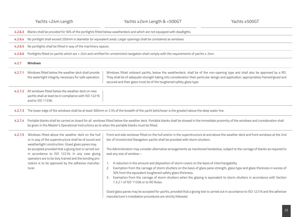|         | Yachts <24m Length                                                                                                                                                                                                                                                                                                                                                                                 | Yachts ≥24m Length & <500GT                                                                                                                                                                                                                                                                                                                                                                                                                                                                                                                                                                                                                                                                                                                                                                                                                                                                                                                                                                                                                                                    | Yachts ≥500GT |
|---------|----------------------------------------------------------------------------------------------------------------------------------------------------------------------------------------------------------------------------------------------------------------------------------------------------------------------------------------------------------------------------------------------------|--------------------------------------------------------------------------------------------------------------------------------------------------------------------------------------------------------------------------------------------------------------------------------------------------------------------------------------------------------------------------------------------------------------------------------------------------------------------------------------------------------------------------------------------------------------------------------------------------------------------------------------------------------------------------------------------------------------------------------------------------------------------------------------------------------------------------------------------------------------------------------------------------------------------------------------------------------------------------------------------------------------------------------------------------------------------------------|---------------|
| 4.2.6.3 |                                                                                                                                                                                                                                                                                                                                                                                                    | Blanks shall be provided for 50% of the portlights fitted below weatherdeck and which are not equipped with deadlights.                                                                                                                                                                                                                                                                                                                                                                                                                                                                                                                                                                                                                                                                                                                                                                                                                                                                                                                                                        |               |
| 4.2.6.4 |                                                                                                                                                                                                                                                                                                                                                                                                    | No portlight shall exceed 250mm in diameter (or equivalent area). Larger openings shall be considered as windows.                                                                                                                                                                                                                                                                                                                                                                                                                                                                                                                                                                                                                                                                                                                                                                                                                                                                                                                                                              |               |
| 4.2.6.5 | No portlights shall be fitted in way of the machinery spaces.                                                                                                                                                                                                                                                                                                                                      |                                                                                                                                                                                                                                                                                                                                                                                                                                                                                                                                                                                                                                                                                                                                                                                                                                                                                                                                                                                                                                                                                |               |
| 4.2.6.6 |                                                                                                                                                                                                                                                                                                                                                                                                    | Portlights fitted on yachts which are < 24m and certified for unrestricted navigation shall comply with the requirements of yachts ≥ 24m.                                                                                                                                                                                                                                                                                                                                                                                                                                                                                                                                                                                                                                                                                                                                                                                                                                                                                                                                      |               |
| 4.2.7   | <b>Windows</b>                                                                                                                                                                                                                                                                                                                                                                                     |                                                                                                                                                                                                                                                                                                                                                                                                                                                                                                                                                                                                                                                                                                                                                                                                                                                                                                                                                                                                                                                                                |               |
| 4.2.7.1 | Windows fitted below the weather deck shall provide<br>the watertight integrity necessary for safe operation.                                                                                                                                                                                                                                                                                      | Windows fitted onboard yachts, below the weatherdeck, shall be of the non-opening type and shall also be approved by a RO.<br>They shall be of adequate strength taking into consideration their particular design and application, appropriately framed/glued and<br>secured and their glass must be of the toughened safety glass type.                                                                                                                                                                                                                                                                                                                                                                                                                                                                                                                                                                                                                                                                                                                                      |               |
|         | 4.2.7.2 All windows fitted below the weather deck on new<br>yachts shall at least be in compliance with ISO 12216<br>and/or ISO 11336.                                                                                                                                                                                                                                                             |                                                                                                                                                                                                                                                                                                                                                                                                                                                                                                                                                                                                                                                                                                                                                                                                                                                                                                                                                                                                                                                                                |               |
| 4.2.7.3 |                                                                                                                                                                                                                                                                                                                                                                                                    | The lower edge of the windows shall be at least 500mm or 2.5% of the breadth of the yacht (whichever is the greater) above the deep water line.                                                                                                                                                                                                                                                                                                                                                                                                                                                                                                                                                                                                                                                                                                                                                                                                                                                                                                                                |               |
| 4.2.7.4 | be given in the Master's Operational Instructions as to when the portable blanks must be fitted.                                                                                                                                                                                                                                                                                                   | Portable blanks shall be carried on board for all windows fitted below the weather deck. Portable blanks shall be stowed in the immediate proximity of the windows and consideration shall                                                                                                                                                                                                                                                                                                                                                                                                                                                                                                                                                                                                                                                                                                                                                                                                                                                                                     |               |
| 4.2.7.5 | Windows fitted above the weather deck on the hull<br>or in way of the superstructure shall be of sound and<br>weathertight construction. Glued glass panes may<br>be accepted provided that a gluing test is carried out<br>in accordance to ISO 12216. In any case gluing<br>operators are to be duly trained and the bonding pro-<br>cedure is to be approved by the adhesive manufac-<br>turer. | Front and side windows fitted on the hull and/or in the superstructure at and above the weather deck and front windows at the 2nd<br>tier of Unrestricted Navigation yachts shall be provided with storm shutters.<br>The Administration may consider alternative arrangements as mentioned herebelow, subject to the carriage of blanks as required to<br>seal any size of window :-<br>A reduction in the amount and disposition of storm covers on the basis of interchangability.<br>Exemption from the carriage of storm shutters on the basis of glass pane strength, glass type and glass thickness in excess of<br>2.<br>30% from the equivalent toughened safety glass thickness.<br>Exemption from the carriage of storm shutters when the glazing is equivalent to storm shutters in accordance with Section<br>3.<br>7.3.2.1 of ISO 11336 or to RO Rules.<br>Glued glass panes may be accepted for yachts, provided that a gluing test is carried out in accordance to ISO 12216 and the adhesive<br>manufacturer's installation procedures are strictly followed. |               |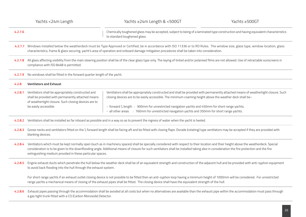|         | Yachts <24m Length                                                                                                                                                                       | Yachts ≥24m Length & <500GT                                                                                                                                                                                                                                                                                                                                                                                                                                      | Yachts ≥500GT |
|---------|------------------------------------------------------------------------------------------------------------------------------------------------------------------------------------------|------------------------------------------------------------------------------------------------------------------------------------------------------------------------------------------------------------------------------------------------------------------------------------------------------------------------------------------------------------------------------------------------------------------------------------------------------------------|---------------|
| 4.2.7.6 |                                                                                                                                                                                          | Chemically toughened glass may be accepted, subject to being of a laminated type construction and having equivalent characteristics<br>to standard toughened glass.                                                                                                                                                                                                                                                                                              |               |
| 4.2.7.7 |                                                                                                                                                                                          | Windows installed below the weatherdeck must be Type Approved or Certified, be in accordance with ISO 11336 or to RO Rules. The window size, glass type, window location, glass<br>characteristics, frame & glass securing, yacht's area of operation and onboard damage mitigation procedures shall be taken into consideration.                                                                                                                                |               |
| 4.2.7.8 | compliance with ISO 8468 is permitted.                                                                                                                                                   | All glass affecting visibility from the main steering position shall be of the clear glass type only. The laying of tinted and/or polarised films are not allowed. Use of retractable sunscreens in                                                                                                                                                                                                                                                              |               |
| 4.2.7.9 | No windows shall be fitted in the forward quarter length of the yacht.                                                                                                                   |                                                                                                                                                                                                                                                                                                                                                                                                                                                                  |               |
| 4.2.8   | <b>Ventilators and Exhaust</b>                                                                                                                                                           |                                                                                                                                                                                                                                                                                                                                                                                                                                                                  |               |
| 4.2.8.1 | Ventilators shall be appropriately constructed and<br>shall be provided with permanently attached means<br>of weathertight closure. Such closing devices are to<br>be easily accessible. | Ventilators shall be appropriately constructed and shall be provided with permanently attached means of weathertight closure. Such<br>closing devices are to be easily accessible. The minimum coaming height above the weather deck shall be:-<br>- forward $\frac{1}{4}$ length : 900mm for unrestricted navigation yachts and 450mm for short range yachts;<br>- all other areas : 760mm for unrestricted navigation yachts and 350mm for short range yachts. |               |
|         |                                                                                                                                                                                          | 4.2.8.2 Ventilators shall be installed as far inboard as possible and in a way so as to prevent the ingress of water when the yacht is heeled.                                                                                                                                                                                                                                                                                                                   |               |
| 4.2.8.3 | blanking devices.                                                                                                                                                                        | Goose necks and ventilators fitted on the 1/ <sub>4</sub> forward length shall be facing aft and be fitted with closing flaps. Dorade (rotating) type ventilators may be accepted if they are provided with                                                                                                                                                                                                                                                      |               |
| 4.2.8.4 | extinguishing medium provided in these particular spaces.                                                                                                                                | Ventilators which must be kept normally open (such as in machinery spaces) shall be specially considered with respect to their location and their height above the weatherdeck. Special<br>consideration is to be given to the downflooding angle. Additional means of closure for such ventilators shall be installed taking also in consideration the fire protection and the fire                                                                             |               |
| 4.2.8.5 | to avoid back flooding into the hull through the exhaust system.                                                                                                                         | Engine exhaust ducts which penetrate the hull below the weather deck shall be of an equivalent strength and construction of the adjacent hull and be provided with anti-syphon equipment                                                                                                                                                                                                                                                                         |               |
|         |                                                                                                                                                                                          | For short range yachts if an exhaust outlet closing device is not possible to be fitted then an anti-syphon loop having a minimum height of 1000mm will be considered. For unrestricted<br>range yachts a mechanical means of closing of the exhaust pipes shall be fitted. The closing device shall have the equivalent strength of the hull.                                                                                                                   |               |
| 4.2.8.6 | a gas tight trunk fitted with a CO (Carbon Monoxide) Detector.                                                                                                                           | Exhaust pipes passing through the accommodation shall be avoided at all costs but when no alternatives are available than the exhaust pipe within the accommodation must pass through                                                                                                                                                                                                                                                                            |               |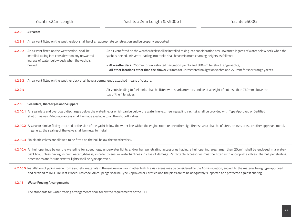| 4.2.9   | <b>Air Vents</b>                                                                                                                                                       |                                                                                                                                                                                                                                                                                                                                                                                                                                                                |
|---------|------------------------------------------------------------------------------------------------------------------------------------------------------------------------|----------------------------------------------------------------------------------------------------------------------------------------------------------------------------------------------------------------------------------------------------------------------------------------------------------------------------------------------------------------------------------------------------------------------------------------------------------------|
| 4.2.9.1 | An air vent fitted on the weatherdeck shall be of an appropriate construction and be properly supported.                                                               |                                                                                                                                                                                                                                                                                                                                                                                                                                                                |
|         | 4.2.9.2 An air vent fitted on the weatherdeck shall be<br>installed taking into consideration any unwanted<br>ingress of water below deck when the yacht is<br>heeled. | An air vent fitted on the weatherdeck shall be installed taking into consideration any unwanted ingress of water below deck when the<br>yacht is heeled. Air vents leading into tanks shall have minimum coaming heights as follows:<br>- At weatherdeck: 760mm for unrestricted navigation yachts and 380mm for short range yachts;<br>- All other locations other than the above: 450mm for unrestricted navigation yachts and 220mm for short range yachts. |
| 4.2.9.3 | An air vent fitted on the weather deck shall have a permanently attached means of closure.                                                                             |                                                                                                                                                                                                                                                                                                                                                                                                                                                                |
| 4.2.9.4 |                                                                                                                                                                        | Air vents leading to fuel tanks shall be fitted with spark arrestors and be at a height of not less than 760mm above the<br>top of the filler pipes.                                                                                                                                                                                                                                                                                                           |
| 4.2.10  | Sea Inlets, Discharges and Scuppers                                                                                                                                    |                                                                                                                                                                                                                                                                                                                                                                                                                                                                |
|         | shut off valves. Adequate access shall be made available to all the shut off valves.                                                                                   | 4.2.10.1 All sea inlets and overboard discharges below the waterline, or which can be below the waterline (e.g. heeling sailing yachts), shall be provided with Type Approved or Certified                                                                                                                                                                                                                                                                     |
|         | In general, the sealing of the valve shall be metal to metal.                                                                                                          | 4.2.10.2 A valve or similar fitting attached to the side of the yacht below the water line within the engine room or any other high fire risk area shall be of steel, bronze, brass or other approved metal.                                                                                                                                                                                                                                                   |
|         | 4.2.10.3 No plastic valves are allowed to be fitted on the hull below the weatherdeck.                                                                                 |                                                                                                                                                                                                                                                                                                                                                                                                                                                                |
|         | accessories and/or underwater lights shall be type approved.                                                                                                           | 4.2.10.4 All hull openings below the waterline for speed logs, underwater lights and/or hull penetrating accessories having a hull opening area larger than 20cm <sup>2</sup> shall be enclosed in a water-<br>tight box, unless having in-built watertightness, in order to ensure watertightness in case of damage. Retractable accessories must be fitted with appropriate valves. The hull penetrating                                                     |
|         |                                                                                                                                                                        | 4.2.10.5 Installation of piping made from synthetic materials in the engine room or in other high fire risk areas may be considered by the Administration, subject to the material being type approved<br>and certified to IMO Fire Test Procedures code. All couplings shall be Type Approved or Certified and the pipes are to be adequately supported and protected against chafing.                                                                        |
| 4.2.11  | <b>Water Freeing Arrangements</b>                                                                                                                                      |                                                                                                                                                                                                                                                                                                                                                                                                                                                                |

The standards for water freeing arrangements shall follow the requirements of the ICLL.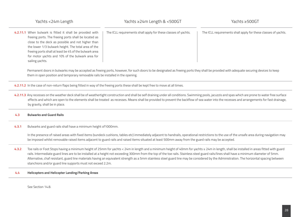|       | Yachts <24m Length                                                                                                                                                                                                                                                                                                                                             | Yachts ≥24m Length & <500GT                                                                                                                                                                                                                                                                                                                                                                                                                                                                                                                                                            | Yachts ≥500GT                                                  |
|-------|----------------------------------------------------------------------------------------------------------------------------------------------------------------------------------------------------------------------------------------------------------------------------------------------------------------------------------------------------------------|----------------------------------------------------------------------------------------------------------------------------------------------------------------------------------------------------------------------------------------------------------------------------------------------------------------------------------------------------------------------------------------------------------------------------------------------------------------------------------------------------------------------------------------------------------------------------------------|----------------------------------------------------------------|
|       | 4.2.11.1 When bulwark is fitted it shall be provided with<br>freeing ports. The freeing ports shall be located as<br>close to the deck as possible and not higher than<br>the lower 1/3 bulwark height. The total area of the<br>freeing ports shall at least be 4% of the bulwark area<br>for motor yachts and 10% of the bulwark area for<br>sailing yachts. | The ICLL requirements shall apply for these classes of yachts.                                                                                                                                                                                                                                                                                                                                                                                                                                                                                                                         | The ICLL requirements shall apply for these classes of yachts. |
|       | them in open position and temporary removable rails be installed in the opening.                                                                                                                                                                                                                                                                               | Permanent doors in bulwarks may be accepted as freeing ports, however, for such doors to be designated as freeing ports they shall be provided with adequate securing devices to keep                                                                                                                                                                                                                                                                                                                                                                                                  |                                                                |
|       |                                                                                                                                                                                                                                                                                                                                                                | 4.2.11.2 In the case of non-return flaps being fitted in way of the freeing ports these shall be kept free to move at all times.                                                                                                                                                                                                                                                                                                                                                                                                                                                       |                                                                |
|       | by gravity, shall be in place.                                                                                                                                                                                                                                                                                                                                 | 4.2.11.3 Any recesses on the weather deck shall be of weathertight construction and shall be self draining under all conditions. Swimming pools, jacuzzis and spas which are prone to water free surface<br>effects and which are open to the elements shall be treated as recesses. Means shall be provided to prevent the backflow of sea water into the recesses and arrangements for fast drainage,                                                                                                                                                                                |                                                                |
| 4.3   | <b>Bulwarks and Guard Rails</b>                                                                                                                                                                                                                                                                                                                                |                                                                                                                                                                                                                                                                                                                                                                                                                                                                                                                                                                                        |                                                                |
| 4.3.1 | Bulwarks and guard rails shall have a minimum height of 1000mm.                                                                                                                                                                                                                                                                                                |                                                                                                                                                                                                                                                                                                                                                                                                                                                                                                                                                                                        |                                                                |
|       |                                                                                                                                                                                                                                                                                                                                                                | In the presence of raised areas with fixed items (sundeck cushions, tables etc) immediately adjacent to handrails, operational restrictions to the use of the unsafe area during navigation may<br>be imposed whilst removable raised items adjacent to guard rails and raised items situated at least 500mm away from the guard rails may be accepted.                                                                                                                                                                                                                                |                                                                |
| 4.3.2 | stanchions and/or guard line supports must not exceed 2.2m.                                                                                                                                                                                                                                                                                                    | Toe rails or Foot Stops having a minimum height of 25mm for yachts < 24m in length and a minimum height of 40mm for yachts ≥ 24m in length, shall be installed in areas fitted with guard<br>rails. Intermediate guard lines are to be installed at a height not exceeding 300mm from the top of the toe rails. Stainless steel guard rails/lines shall have a minimum diameter of 5mm.<br>Alternative, chaf resistant, guard line materials having an equivalent strength as a 5mm stainless steel guard line may be considered by the Administration. The horizontal spacing between |                                                                |
| 4.4   | <b>Helicopters and Helicopter Landing/Parking Areas</b>                                                                                                                                                                                                                                                                                                        |                                                                                                                                                                                                                                                                                                                                                                                                                                                                                                                                                                                        |                                                                |
|       |                                                                                                                                                                                                                                                                                                                                                                |                                                                                                                                                                                                                                                                                                                                                                                                                                                                                                                                                                                        |                                                                |

See Section 14.8.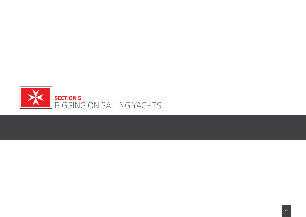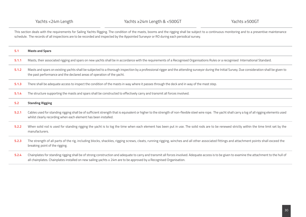This section deals with the requirements for Sailing Yachts Rigging. The condition of the masts, booms and the rigging shall be subject to a continuous monitoring and to a preventive maintenance schedule. The records of all inspections are to be recorded and inspected by the Appointed Surveyor or RO during each periodical survey.

| 5.1   | <b>Masts and Spars</b>                                                                                                                                                                                                                                                                                                  |
|-------|-------------------------------------------------------------------------------------------------------------------------------------------------------------------------------------------------------------------------------------------------------------------------------------------------------------------------|
| 5.1.1 | Masts, their associated rigging and spars on new yachts shall be in accordance with the requirements of a Recognised Organisations Rules or a recognised International Standard.                                                                                                                                        |
| 5.1.2 | Masts and spars on existing yachts shall be subjected to a thorough inspection by a professional rigger and the attending surveyor during the Initial Survey. Due consideration shall be given to<br>the past performance and the declared areas of operation of the yacht.                                             |
| 5.1.3 | There shall be adequate access to inspect the condition of the masts in way where it passes through the deck and in way of the mast step.                                                                                                                                                                               |
| 5.1.4 | The structure supporting the masts and spars shall be constructed to effectively carry and transmit all forces involved.                                                                                                                                                                                                |
| 5.2   | <b>Standing Rigging</b>                                                                                                                                                                                                                                                                                                 |
| 5.2.1 | Cables used for standing rigging shall be of sufficient strength that is equivalent or higher to the strength of non-flexible steel wire rope. The yacht shall carry a log of all rigging elements used<br>whilst clearly recording when each element has been installed.                                               |
| 5.2.2 | When solid rod is used for standing rigging the yacht is to log the time when each element has been put in use. The solid rods are to be renewed strictly within the time limit set by the<br>manufacturers.                                                                                                            |
| 5.2.3 | The strength of all parts of the rig, including blocks, shackles, rigging screws, cleats, running rigging, winches and all other associated fittings and attachment points shall exceed the<br>breaking point of the rigging.                                                                                           |
| 5.2.4 | Chainplates for standing rigging shall be of strong construction and adequate to carry and transmit all forces involved. Adequate access is to be given to examine the attachment to the hull of<br>all chainplates. Chainplates installed on new sailing yachts ≥ 24m are to be approved by a Recognised Organisation. |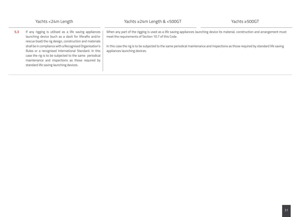**5.3** If any rigging is utilised as a life saving appliances launching device (such as a davit for liferafts and/or rescue boat) the rig design, construction and materials shall be in compliance with a Recognised Organisation's Rules or a recognised International Standard. In this case the rig is to be subjected to the same periodical maintenance and inspections as those required by standard life saving launching devices.

When any part of the rigging is used as a life saving appliances launching device its material, construction and arrangement must meet the requirements of Section 10.7 of this Code.

In this case the rig is to be subjected to the same periodical maintenance and inspections as those required by standard life saving appliances launching devices.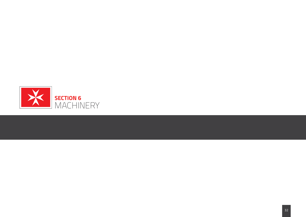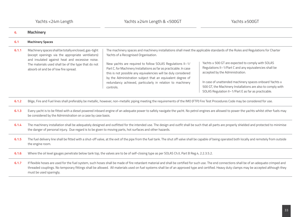| 6.    | <b>Machinery</b>                                                                                                                                                                                                                                              |                                                                                                                                                                                                                                                                                                                                                                                                                                                                                                                     |                                                                                                                                                                                                                                                                                                                                 |
|-------|---------------------------------------------------------------------------------------------------------------------------------------------------------------------------------------------------------------------------------------------------------------|---------------------------------------------------------------------------------------------------------------------------------------------------------------------------------------------------------------------------------------------------------------------------------------------------------------------------------------------------------------------------------------------------------------------------------------------------------------------------------------------------------------------|---------------------------------------------------------------------------------------------------------------------------------------------------------------------------------------------------------------------------------------------------------------------------------------------------------------------------------|
| 6.1   | <b>Machinery Spaces</b>                                                                                                                                                                                                                                       |                                                                                                                                                                                                                                                                                                                                                                                                                                                                                                                     |                                                                                                                                                                                                                                                                                                                                 |
| 6.1.1 | Machinery spaces shall be totally enclosed, gas-tight<br>(except openings via the appropriate ventilators)<br>and insulated against heat and excessive noise.<br>The materials used shall be of the type that do not<br>absorb oil and be of low fire spread. | The machinery spaces and machinery installations shall meet the applicable standards of the Rules and Regulations for Charter<br>Yachts of a Recognised Organisation.<br>New yachts are required to follow SOLAS Regulations II-1/<br>Part C, for Machinery Installations as far as practicable. In case<br>this is not possible any equivalencies will be duly considered<br>by the Administration subject that an equivalent degree of<br>redundancy achieved, particularly in relation to machinery<br>controls. | Yachts ≥ 500 GT are expected to comply with SOLAS<br>Regulations II-1/Part C and any equivalencies shall be<br>accepted by the Administration.<br>In case of unattended machinery spaces onboard Yachts ≥<br>500 GT, the Machinery Installations are also to comply with<br>SOLAS Regulation II-1/Part E as far as practicable. |
| 6.1.2 |                                                                                                                                                                                                                                                               | Bilge, Fire and Fuel lines shall preferably be metallic, however, non-metallic piping meeting the requirements of the IMO (FTP) Fire Test Procedures Code may be considered for use.                                                                                                                                                                                                                                                                                                                                |                                                                                                                                                                                                                                                                                                                                 |
| 6.1.3 | Every yacht is to be fitted with a diesel powered inboard engine of an adequate power to safely navigate the yacht. No petrol engines are allowed to power the yachts whilst other fuels may<br>be considered by the Administration on a case by case basis.  |                                                                                                                                                                                                                                                                                                                                                                                                                                                                                                                     |                                                                                                                                                                                                                                                                                                                                 |
| 6.1.4 | the danger of personal injury. Due regard is to be given to moving parts, hot surfaces and other hazards.                                                                                                                                                     | The machinery installation shall be adequately designed and outfitted for the intended use. The design and outfit shall be such that all parts are properly shielded and protected to minimise                                                                                                                                                                                                                                                                                                                      |                                                                                                                                                                                                                                                                                                                                 |
| 6.1.5 | the engine room.                                                                                                                                                                                                                                              | The fuel delivery line shall be fitted with a shut-off valve, at the exit of the pipe from the fuel tank. The shut off valve shall be capable of being operated both locally and remotely from outside                                                                                                                                                                                                                                                                                                              |                                                                                                                                                                                                                                                                                                                                 |
| 6.1.6 |                                                                                                                                                                                                                                                               | Where the oil level gauges penetrate below tank top, the valves are to be of self-closing type as per SOLAS Ch.II, Part B Reg.4, 2.2.3.5.2.                                                                                                                                                                                                                                                                                                                                                                         |                                                                                                                                                                                                                                                                                                                                 |
| 6.1.7 | must be used sparingly.                                                                                                                                                                                                                                       | If flexible hoses are used for the fuel system, such hoses shall be made of fire retardant material and shall be certified for such use. The end connections shall be of an adequate crimped and<br>threaded couplings. No temporary fittings shall be allowed. All materials used on fuel systems shall be of an approved type and certified. Heavy duty clamps may be accepted although they                                                                                                                      |                                                                                                                                                                                                                                                                                                                                 |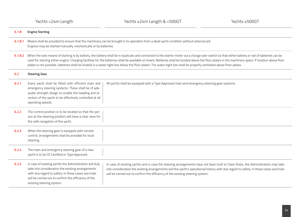| 6.1.8   | <b>Engine Starting</b>                                                                                                                                                                                                                                                                                                                                                                                                                                                                                                                                                                                                   |  |  |
|---------|--------------------------------------------------------------------------------------------------------------------------------------------------------------------------------------------------------------------------------------------------------------------------------------------------------------------------------------------------------------------------------------------------------------------------------------------------------------------------------------------------------------------------------------------------------------------------------------------------------------------------|--|--|
| 6.1.8.1 | Means shall be provided to ensure that the machinery can be brought in to operation from a dead yacht condition without external aid.<br>Engines may be started manually, mechanically or by batteries.                                                                                                                                                                                                                                                                                                                                                                                                                  |  |  |
| 6.1.8.2 | When the sole means of starting is by battery, the battery shall be in duplicate and connected to the starter motor via a change over switch so that either battery or set of batteries can be<br>used for starting either engine. Charging facilities for the batteries shall be available on board. Batteries shall be located above the floor plates in the machinery space. If location above floor<br>plates is not possible, batteries shall be located in a water tight box below the floor plates. The water tight box shall be properly ventilated above floor plates.                                          |  |  |
| 6.2     | <b>Steering Gear</b>                                                                                                                                                                                                                                                                                                                                                                                                                                                                                                                                                                                                     |  |  |
| 6.2.1   | Every yacht shall be fitted with efficient main and<br>All yachts shall be equipped with a Type Approved main and emergency steering gear systems.<br>emergency steering systems. These shall be of ade-<br>quate strength design to enable the heading and di-<br>rection of the yacht to be effectively controlled at all<br>operating speeds.                                                                                                                                                                                                                                                                         |  |  |
| 6.2.2   | The control position is to be located so that the per-<br>son at the steering position will have a clear view for<br>the safe navigation of the yacht.                                                                                                                                                                                                                                                                                                                                                                                                                                                                   |  |  |
| 6.2.3   | When the steering gear is equipped with remote<br>control, arrangements shall be provided for local<br>steering.                                                                                                                                                                                                                                                                                                                                                                                                                                                                                                         |  |  |
| 6.2.4   | The main and emergency steering gear of a new<br>yacht is to be CE Certified or Type Approved.                                                                                                                                                                                                                                                                                                                                                                                                                                                                                                                           |  |  |
| 6.2.5   | In case of existing yachts the Administration will duly<br>In case of existing yachts and in case the steering arrangements have not been built to Class Rules, the Administration may take<br>take into consideration the existing arrangements<br>into consideration the existing arrangements and the yacht's operational history with due regard to safety. In these cases sea trials<br>with due regard to safety. In these cases sea trials<br>will be carried out to confirm the efficiency of the existing steering system.<br>will be carried out to confirm the efficiency of the<br>existing steering system. |  |  |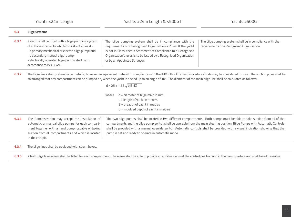| 6.3   | <b>Bilge Systems</b>                                                                                                                                                                                                                                                                                                                                                                                      |                                                                                                                                                                                                                                                                                                                                                                                                                                                        |                                                                                                        |
|-------|-----------------------------------------------------------------------------------------------------------------------------------------------------------------------------------------------------------------------------------------------------------------------------------------------------------------------------------------------------------------------------------------------------------|--------------------------------------------------------------------------------------------------------------------------------------------------------------------------------------------------------------------------------------------------------------------------------------------------------------------------------------------------------------------------------------------------------------------------------------------------------|--------------------------------------------------------------------------------------------------------|
| 6.3.1 | A yacht shall be fitted with a bilge pumping system<br>of sufficient capacity which consists of at least:-<br>- a primary mechanical or electric bilge pump; and<br>- a secondary manual bilge pump;<br>- electrically operated bilge pumps shall be in<br>accordance to ISO 8849.                                                                                                                        | The bilge pumping system shall be in compliance with the<br>requirements of a Recognised Organisation's Rules. If the yacht<br>is not in Class, then a Statement of Compliance to a Recognised<br>Organisation's rules is to be issued by a Recognised Organisation<br>or by an Appointed Surveyor.                                                                                                                                                    | The bilge pumping system shall be in compliance with the<br>requirements of a Recognised Organisation. |
| 6.3.2 | The bilge lines shall preferably be metallic, however an equivalent material in compliance with the IMO FTP - Fire Test Procedures Code may be considered for use. The suction pipes shall be<br>so arranged that any compartment can be pumped dry when the yacht is heeled up to an angle of 10°. The diameter of the main bilge line shall be calculated as follows:-<br>$d = 25 + 1.68 \sqrt{L(B+D)}$ |                                                                                                                                                                                                                                                                                                                                                                                                                                                        |                                                                                                        |
|       |                                                                                                                                                                                                                                                                                                                                                                                                           | $d =$ diameter of bilge main in mm<br>where<br>$L =$ length of yacht in metres<br>$B =$ breadth of yacht in metres<br>$D =$ moulded depth of yacht in metres                                                                                                                                                                                                                                                                                           |                                                                                                        |
| 6.3.3 | The Administration may accept the installation of<br>automatic or manual bilge pumps for each compart-<br>ment together with a hand pump, capable of taking<br>suction from all compartments and which is located<br>in the cockpit.                                                                                                                                                                      | The two bilge pumps shall be located in two different compartments. Both pumps must be able to take suction from all of the<br>compartments and the bilge pump switch shall be operable from the main steering position. Bilge Pumps with Automatic Controls<br>shall be provided with a manual override switch. Automatic controls shall be provided with a visual indication showing that the<br>pump is set and ready to operate in automatic mode. |                                                                                                        |
| 6.3.4 | The bilge lines shall be equipped with strum boxes.                                                                                                                                                                                                                                                                                                                                                       |                                                                                                                                                                                                                                                                                                                                                                                                                                                        |                                                                                                        |
| 6.3.5 | A high bilge level alarm shall be fitted for each compartment. The alarm shall be able to provide an audible alarm at the control position and in the crew quarters and shall be addressable.                                                                                                                                                                                                             |                                                                                                                                                                                                                                                                                                                                                                                                                                                        |                                                                                                        |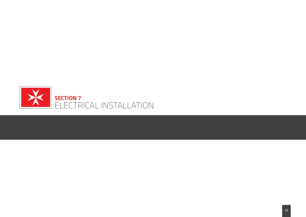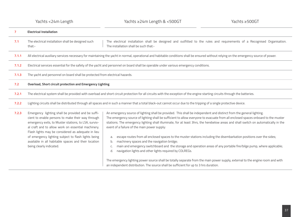| 7     | <b>Electrical Installation</b>                                                                                                                                                                                                                                                                                                                                                                                         |                                                                                                                                                                                                                                                                                                                                                                                                                                                                                                                                                                                                                                                                                                                                                                                                                                                                                                                                                                                                                                                               |  |  |
|-------|------------------------------------------------------------------------------------------------------------------------------------------------------------------------------------------------------------------------------------------------------------------------------------------------------------------------------------------------------------------------------------------------------------------------|---------------------------------------------------------------------------------------------------------------------------------------------------------------------------------------------------------------------------------------------------------------------------------------------------------------------------------------------------------------------------------------------------------------------------------------------------------------------------------------------------------------------------------------------------------------------------------------------------------------------------------------------------------------------------------------------------------------------------------------------------------------------------------------------------------------------------------------------------------------------------------------------------------------------------------------------------------------------------------------------------------------------------------------------------------------|--|--|
| 7.1   | The electrical installation shall be designed such<br>The electrical installation shall be designed and outfitted to the rules and requirements of a Recognised Organisation.<br>The installation shall be such that:-<br>that:-                                                                                                                                                                                       |                                                                                                                                                                                                                                                                                                                                                                                                                                                                                                                                                                                                                                                                                                                                                                                                                                                                                                                                                                                                                                                               |  |  |
| 7.1.1 | All electrical auxiliary services necessary for maintaining the yacht in normal, operational and habitable conditions shall be ensured without relying on the emergency source of power.                                                                                                                                                                                                                               |                                                                                                                                                                                                                                                                                                                                                                                                                                                                                                                                                                                                                                                                                                                                                                                                                                                                                                                                                                                                                                                               |  |  |
| 7.1.2 | Electrical services essential for the safety of the yacht and personnel on board shall be operable under various emergency conditions.                                                                                                                                                                                                                                                                                 |                                                                                                                                                                                                                                                                                                                                                                                                                                                                                                                                                                                                                                                                                                                                                                                                                                                                                                                                                                                                                                                               |  |  |
| 7.1.3 | The yacht and personnel on board shall be protected from electrical hazards.                                                                                                                                                                                                                                                                                                                                           |                                                                                                                                                                                                                                                                                                                                                                                                                                                                                                                                                                                                                                                                                                                                                                                                                                                                                                                                                                                                                                                               |  |  |
| 7.2   | <b>Overload, Short circuit protection and Emergency Lighting</b>                                                                                                                                                                                                                                                                                                                                                       |                                                                                                                                                                                                                                                                                                                                                                                                                                                                                                                                                                                                                                                                                                                                                                                                                                                                                                                                                                                                                                                               |  |  |
| 7.2.1 | The electrical system shall be provided with overload and short circuit protection for all circuits with the exception of the engine starting circuits through the batteries.                                                                                                                                                                                                                                          |                                                                                                                                                                                                                                                                                                                                                                                                                                                                                                                                                                                                                                                                                                                                                                                                                                                                                                                                                                                                                                                               |  |  |
| 7.2.2 | Lighting circuits shall be distributed through all spaces and in such a manner that a total black-out cannot occur due to the tripping of a single protective device.                                                                                                                                                                                                                                                  |                                                                                                                                                                                                                                                                                                                                                                                                                                                                                                                                                                                                                                                                                                                                                                                                                                                                                                                                                                                                                                                               |  |  |
| 7.2.3 | Emergency lighting shall be provided and be suffi-<br>cient to enable persons to make their way through<br>emergency exits, to Muster stations, to LSA, surviv-<br>al craft and to allow work on essential machinery.<br>Flash lights may be considered as adequate in lieu<br>of emergency lighting subject to flash lights being<br>available in all habitable spaces and their location<br>being clearly indicated. | An emergency source of lighting shall be provided. This shall be independent and distinct from the general lighting.<br>The emergency source of lighting shall be sufficient to allow everyone to evacuate from all enclosed spaces onboard to the muster<br>stations. The emergency lighting shall illuminate, for at least 3hrs, the herebelow areas and shall switch on automatically in the<br>event of a failure of the main power supply:<br>escape routes from all enclosed spaces to the muster stations including the disembarkation positions over the sides;<br>a.<br>machinery spaces and the navigation bridge;<br>b.<br>main and emergency switchboard and the storage and operation areas of any portable fire/bilge pump, where applicable;<br>C.<br>navigation lights and other lights required by COLREGs.<br>d.<br>The emergency lighting power source shall be totally separate from the main power supply, external to the engine room and with<br>an independent distribution. The source shall be sufficient for up to 3 hrs duration. |  |  |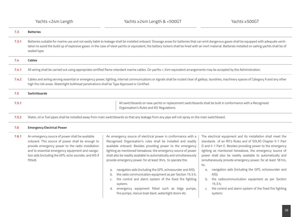| 7.3   | <b>Batteries</b>                                                                                                                                                                                                                                                                                                                                                                                                            |  |  |
|-------|-----------------------------------------------------------------------------------------------------------------------------------------------------------------------------------------------------------------------------------------------------------------------------------------------------------------------------------------------------------------------------------------------------------------------------|--|--|
| 7.3.1 | Batteries suitable for marine use and not easily liable to leakage shall be installed onboard. Stowage areas for batteries that can emit dangerous gases shall be equipped with adequate venti-<br>lation to avoid the build up of explosive gases. In the case of steel yachts or equivalent, the battery lockers shall be lined with an inert material. Batteries installed on sailing yachts shall be of<br>sealed type. |  |  |
| 7.4   | <b>Cables</b>                                                                                                                                                                                                                                                                                                                                                                                                               |  |  |
| 7.4.1 | All wiring shall be carried out using appropriate certified flame retardant marine cables. On yachts < 24m equivalent arrangements may be accepted by the Administration.                                                                                                                                                                                                                                                   |  |  |
| 7.4.2 | Cables and wiring serving essential or emergency power, lighting, internal communications or signals shall be routed clear of galleys, laundries, machinery spaces of Category A and any other<br>high fire risk areas. Watertight bulkhead penetrations shall be Type Approved or Certified.                                                                                                                               |  |  |
| 7.5   | <b>Switchboards</b>                                                                                                                                                                                                                                                                                                                                                                                                         |  |  |
| 7.5.1 | All switchboards on new yachts or replacement switchboards shall be built in conformance with a Recognised<br>Organisation's Rules and IEE Regulations.                                                                                                                                                                                                                                                                     |  |  |
| 7.5.2 | Water, oil or fuel pipes shall be installed away from main switchboards so that any leakage from any pipe will not spray on the main switchboard.                                                                                                                                                                                                                                                                           |  |  |
| 7.6   | <b>Emergency Electrical Power</b>                                                                                                                                                                                                                                                                                                                                                                                           |  |  |
| 7.6.1 | The electrical equipment and its installation shall meet the<br>An emergency source of power shall be available<br>An emergency source of electrical power in conformance with a<br>onboard. This source of power shall be enough to<br>Recognised Organisation's rules shall be installed and readily<br>standards of an RO's Rules and of SOLAS Chapter II-1 Part                                                         |  |  |

provide emergency power to the radio installation and to essential emergency equipment and navigation aids (including the GPS, echo sounder, and AIS if fitted).

available onboard. Besides providing power to the emergency lighting as mentioned hereabove, the emergency source of power shall also be readily available to automatically and simultaneously provide emergency power, for at least 3hrs, to operate the:

- a. navigation aids (including the GPS, echosounder and AIS);
- b. the radio communication equipment as per Section 15.3.5;
- c. the control and alarm system of the fixed fire fighting system;
- d. emergency equipment fitted such as bilge pumps, fire pumps, rescue boat davit, watertight doors etc.

D and II-1 Part E. Besides providing power to the emergency lighting as mentioned hereabove, the emergency source of power shall also be readily available to automatically and simultaneously provide emergency power, for at least 18 hrs, to;

- a. navigation aids (including the GPS, echosounder and AIS);
- b. the radiocommunication equipment as per Section 15.3.5;
- c. the control and alarm system of the fixed fire fighting system;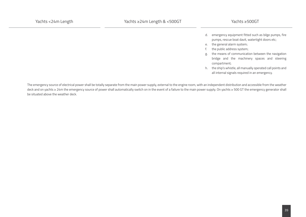- d. emergency equipment fitted such as bilge pumps, fire pumps, rescue boat davit, watertight doors etc;
- e. the general alarm system;
- f. the public address system;
- g. the means of communication between the navigation bridge and the machinery spaces and steering compartment;
- h. the ship's whistle, all manually operated call points and all internal signals required in an emergency.

The emergency source of electrical power shall be totally separate from the main power supply, external to the engine room, with an independent distribution and accessible from the weather deck and on yachts ≥ 24m the emergency source of power shall automatically switch on in the event of a failure to the main power supply. On yachts ≥ 500 GT the emergency generator shall be situated above the weather deck.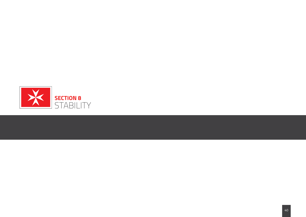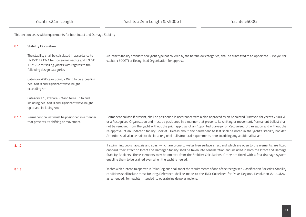This section deals with requirements for both Intact and Damage Stability

| 8.1   | <b>Stability Calculation</b>                                                                                                                                                              |                                                                                                                                                                                                                                                                                                                                                                                                                                                                                                                                                                                                                                                                         |
|-------|-------------------------------------------------------------------------------------------------------------------------------------------------------------------------------------------|-------------------------------------------------------------------------------------------------------------------------------------------------------------------------------------------------------------------------------------------------------------------------------------------------------------------------------------------------------------------------------------------------------------------------------------------------------------------------------------------------------------------------------------------------------------------------------------------------------------------------------------------------------------------------|
|       | The stability shall be calculated in accordance to<br>EN ISO12217-1 for non sailing yachts and EN ISO<br>12217-2 for sailing yachts with regards to the<br>following design categories :- | An Intact Stability standard of a yacht type not covered by the herebelow categories, shall be submitted to an Appointed Surveyor (for<br>yachts < 500GT) or Recognised Organisation for approval.                                                                                                                                                                                                                                                                                                                                                                                                                                                                      |
|       | Category 'A' (Ocean Going) - Wind force exceeding<br>beaufort 8 and significant wave height<br>exceeding 4m;                                                                              |                                                                                                                                                                                                                                                                                                                                                                                                                                                                                                                                                                                                                                                                         |
|       | Category 'B' (Offshore) - Wind force up to and<br>including beaufort 8 and significant wave height<br>up to and including 4m.                                                             |                                                                                                                                                                                                                                                                                                                                                                                                                                                                                                                                                                                                                                                                         |
| 8.1.1 | Permanent ballast must be positioned in a manner<br>that prevents its shifting or movement.                                                                                               | Permanent ballast, if present, shall be positioned in accordance with a plan approved by an Appointed Surveyor (for yachts < 500GT)<br>or a Recognised Organisation and must be positioned in a manner that prevents its shifting or movement. Permanent ballast shall<br>not be removed from the yacht without the prior approval of an Appointed Surveyor or Recognised Organisation and without the<br>re-approval of an updated Stability Booklet. Details about any permanent ballast shall be noted in the yacht's stability booklet.<br>Attention shall also be paid to the local or global hull structural requirements prior to adding any additional ballast. |
| 8.1.2 |                                                                                                                                                                                           | If swimming pools, jacuzzis and spas, which are prone to water free surface affect and which are open to the elements, are fitted<br>onboard, their effect on Intact and Damage Stability shall be taken into consideration and included in both the Intact and Damage<br>Stability Booklets. These elements may be omitted from the Stability Calculations if they are fitted with a fast drainage system<br>enabling them to be drained even when the yacht is heeled.                                                                                                                                                                                                |
| 8.1.3 |                                                                                                                                                                                           | Yachts which intend to operate in Polar Regions shall meet the requirements of one of the recognised Classification Societies. Stability<br>conditions shall include those for icing. Reference shall be made to the IMO Guidelines for Polar Regions, Resolution A.1024(26),<br>as amended, for yachts intended to operate inside polar regions.                                                                                                                                                                                                                                                                                                                       |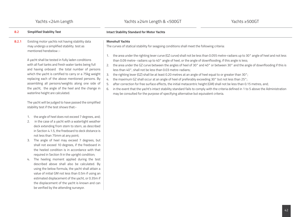**College** 

| 8.2   | <b>Simplified Stability Test</b>                                                                                                                                                                                                                                                                                                                                                                                                                                                                                                                                                                                                                                                                                                                                                                                                                                                                                                                                                                                                                                                                                                                                                                                                                                                   | <b>Intact Stability Standard for Motor Yachts</b>                                                                                                                                                                                                                                                                                                                                                                                                                                                                                                                                                                                                                                                                                                                                                                                                                                                                                                                                                                                                     |  |
|-------|------------------------------------------------------------------------------------------------------------------------------------------------------------------------------------------------------------------------------------------------------------------------------------------------------------------------------------------------------------------------------------------------------------------------------------------------------------------------------------------------------------------------------------------------------------------------------------------------------------------------------------------------------------------------------------------------------------------------------------------------------------------------------------------------------------------------------------------------------------------------------------------------------------------------------------------------------------------------------------------------------------------------------------------------------------------------------------------------------------------------------------------------------------------------------------------------------------------------------------------------------------------------------------|-------------------------------------------------------------------------------------------------------------------------------------------------------------------------------------------------------------------------------------------------------------------------------------------------------------------------------------------------------------------------------------------------------------------------------------------------------------------------------------------------------------------------------------------------------------------------------------------------------------------------------------------------------------------------------------------------------------------------------------------------------------------------------------------------------------------------------------------------------------------------------------------------------------------------------------------------------------------------------------------------------------------------------------------------------|--|
| 8.2.1 | Existing motor yachts not having stability data<br>may undergo a simplified stability test as<br>mentioned herebelow :-                                                                                                                                                                                                                                                                                                                                                                                                                                                                                                                                                                                                                                                                                                                                                                                                                                                                                                                                                                                                                                                                                                                                                            | <b>Monohull Yachts</b><br>The curves of statical stability for seagoing conditions shall meet the following criteria:                                                                                                                                                                                                                                                                                                                                                                                                                                                                                                                                                                                                                                                                                                                                                                                                                                                                                                                                 |  |
|       | A yacht shall be tested in fully laden conditions<br>with all fuel tanks and fresh water tanks being full<br>and having onboard the total number of persons<br>which the yacht is certified to carry or a 75kg weight<br>replacing each of the above mentioned persons. By<br>assembling all persons/weights along one side of<br>the yacht, the angle of the heel and the change in<br>waterline height are calculated.<br>The yacht will be judged to have passed the simplified<br>stability test if the test shows that:-<br>the angle of heel does not exceed 7 degrees, and;<br>1.<br>in the case of a yacht with a watertight weather<br>2.<br>deck extending from stem to stern, as described<br>in Section 4.1.5, the freeboard to deck distance is<br>not less than 75mm at any point;<br>The angle of heel may exceed 7 degrees, but<br>3.<br>shall not exceed 10 degrees, if the freeboard in<br>the heeled condition is in accordance with that<br>required in Section 9 in the upright condition;<br>The heeling moment applied during the test<br>4.<br>described above shall also be calculated. By<br>using the below formula, the yacht shall attain a<br>value of initial GM not less than 0.5m if using an<br>estimated displacement of the yacht, or 0.35m if | the area under the righting lever curve (GZ curve) shall not be less than 0.055 metre-radians up to 30° angle of heel and not less<br>1.<br>than 0.09 metre- radians up to 40° angle of heel, or the angle of downflooding, if this angle is less;<br>2. the area under the GZ curve between the angles of heel of 30° and 40° or between 30° and the angle of downflooding if this is<br>less than 40°, shall not be less than 0.03 metre-radians;<br>the righting lever (GZ) shall be at least 0.20 metres at an angle of heel equal to or greater than 30°;<br>3.<br>the maximum GZ shall occur at an angle of heel of preferably exceeding 30° but not less than 25°;<br>4.<br>after correction for free surface effects, the initial metacentric height (GM) shall not be less than 0.15 metres, and;<br>5.<br>in the event that the yacht's intact stability standard fails to comply with the criteria defined in 1 to 5 above the Administration<br>6.<br>may be consulted for the purpose of specifying alternative but equivalent criteria. |  |
|       | the displacement of the yacht is known and can<br>be verified by the attending surveyor.                                                                                                                                                                                                                                                                                                                                                                                                                                                                                                                                                                                                                                                                                                                                                                                                                                                                                                                                                                                                                                                                                                                                                                                           |                                                                                                                                                                                                                                                                                                                                                                                                                                                                                                                                                                                                                                                                                                                                                                                                                                                                                                                                                                                                                                                       |  |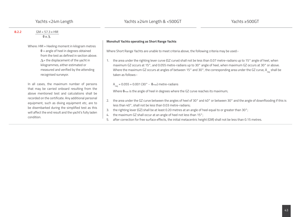| 8.2.2 | $GM = 57.3 \times HM$                                                                                                                                                                                                                                                                            |                                                                                                                                                                                                                                                                                                                                                                                                                                                                                                                 |
|-------|--------------------------------------------------------------------------------------------------------------------------------------------------------------------------------------------------------------------------------------------------------------------------------------------------|-----------------------------------------------------------------------------------------------------------------------------------------------------------------------------------------------------------------------------------------------------------------------------------------------------------------------------------------------------------------------------------------------------------------------------------------------------------------------------------------------------------------|
|       | $\theta$ x $\Delta$                                                                                                                                                                                                                                                                              |                                                                                                                                                                                                                                                                                                                                                                                                                                                                                                                 |
|       |                                                                                                                                                                                                                                                                                                  | <b>Monohull Yachts operating as Short Range Yachts</b>                                                                                                                                                                                                                                                                                                                                                                                                                                                          |
|       | Where: HM = Heeling moment in kilogram metres<br>$\theta$ = angle of heel in degrees obtained<br>from the test as defined in section above.<br>$\Delta$ = the displacement of the yacht in<br>kilogrammes, either estimated or<br>measured and verified by the attending<br>recognised surveyor. | Where Short Range Yachts are unable to meet criteria above, the following criteria may be used:-<br>the area under the righting lever curve (GZ curve) shall not be less than 0.07 metre-radians up to 15° angle of heel, when<br>maximum GZ occurs at 15°, and 0.055 metre-radians up to 30° angle of heel, when maximum GZ occurs at 30° or above.<br>Where the maximum GZ occurs at angles of between 15° and 30°, the corresponding area under the GZ curve, A <sub>nn</sub> shall be<br>taken as follows:- |
|       | In all cases, the maximum number of persons<br>that may be carried onboard resulting from the<br>above mentioned test and calculations shall be                                                                                                                                                  | $A_{\text{req}} = 0.055 + 0.001 (30^{\circ} - \theta_{\text{max}})$ metre-radians<br>Where Omax is the angle of heel in degrees where the GZ curve reaches its maximum;                                                                                                                                                                                                                                                                                                                                         |
|       | recorded on the certificate. Any additional personal<br>equipment, such as diving equipment etc, are to<br>be disembarked during the simplified test as this<br>will affect the end result and the yacht's fully laden<br>condition.                                                             | the area under the GZ curve between the angles of heel of 30° and 40° or between 30° and the angle of downflooding if this is<br>less than 40°, shall not be less than 0.03 metre-radians;<br>the righting lever (GZ) shall be at least 0.20 metres at an angle of heel equal to or greater than 30°;<br>З.<br>the maximum GZ shall occur at an angle of heel not less than 15°;<br>4.<br>after correction for free surface effects, the initial metacentric height (GM) shall not be less than 0.15 metres.    |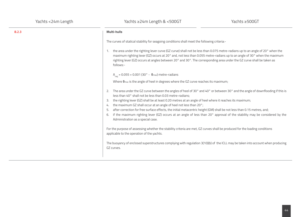# **8.2.3 Multi-hulls**

The curves of statical stability for seagoing conditions shall meet the following criteria:-

1. the area under the righting lever curve (GZ curve) shall not be less than 0.075 metre-radians up to an angle of 20° when the maximum righting lever (GZ) occurs at 20° and, not less than 0.055 metre-radians up to an angle of 30° when the maximum righting lever (GZ) occurs at angles between 20° and 30°. The corresponding area under the GZ curve shall be taken as follows:-

# A<sub>req</sub> = 0.055 + 0.001 (30° - θ<sub>max</sub>) metre-radians

Where **θ**max is the angle of heel in degrees where the GZ curve reaches its maximum;

- 2. The area under the GZ curve between the angles of heel of 30° and 40° or between 30° and the angle of downflooding if this is less than 40° shall not be less than 0.03 metre-radians;
- 3. the righting lever (GZ) shall be at least 0.20 metres at an angle of heel where it reaches its maximum;
- 4. the maximum GZ shall occur at an angle of heel not less than 20°;
- 5. after correction for free surface effects, the initial metacentric height (GM) shall be not less than 0.15 metres, and;
- 6. if the maximum righting lever (GZ) occurs at an angle of less than 20° approval of the stability may be considered by the Administration as a special case.

For the purpose of assessing whether the stability criteria are met, GZ curves shall be produced for the loading conditions applicable to the operation of the yachts.

The buoyancy of enclosed superstructures complying with regulation 3(10)(b) of the ICLL may be taken into account when producing GZ curves.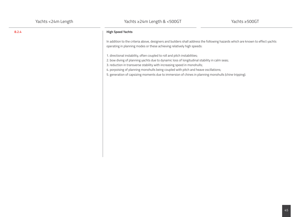# **8.2.4 High Speed Yachts**

In addition to the criteria above, designers and builders shall address the following hazards which are known to effect yachts operating in planning modes or these achieving relatively high speeds:

1. directional instability, often coupled to roll and pitch instabilities;

- 2. bow diving of planning yachts due to dynamic loss of longitudinal stability in calm seas;
- 3. reduction in transverse stability with increasing speed in monohulls;

4. porpoising of planning monohulls being coupled with pitch and heave oscillations;

5. generation of capsizing moments due to immersion of chines in planning monohulls (chine tripping).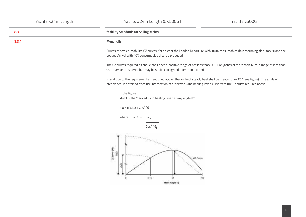| 8.3   | <b>Stability Standards for Sailing Yachts</b>                                                                                                                                                                                                             |  |
|-------|-----------------------------------------------------------------------------------------------------------------------------------------------------------------------------------------------------------------------------------------------------------|--|
| 8.3.1 | <b>Monohulls</b>                                                                                                                                                                                                                                          |  |
|       | Curves of statical stability (GZ curves) for at least the Loaded Departure with 100% consumables (but assuming slack tanks) and the<br>Loaded Arrival with 10% consumables shall be produced.                                                             |  |
|       | The GZ curves required as above shall have a positive range of not less than 90°. For yachts of more than 45m, a range of less than<br>90° may be considered but may be subject to agreed operational criteria.                                           |  |
|       | In addition to the requirements mentioned above, the angle of steady heel shall be greater than 15° (see figure). The angle of<br>steady heel is obtained from the intersection of a 'derived wind heeling lever' curve with the GZ curve required above. |  |
|       | In the figure:<br>'dwhl' = the 'derived wind heeling lever' at any angle $0^\circ$                                                                                                                                                                        |  |
|       | $= 0.5 \times WLO \times Cos^{1.3} \theta$                                                                                                                                                                                                                |  |
|       | where $WLO = GZ_f$                                                                                                                                                                                                                                        |  |
|       | $\cos^{1.3} \theta_f$                                                                                                                                                                                                                                     |  |
|       | $GL$ Lever $(90)$<br>g<br>GZ Curve<br>>15<br>6f<br>Heel Angle (*)                                                                                                                                                                                         |  |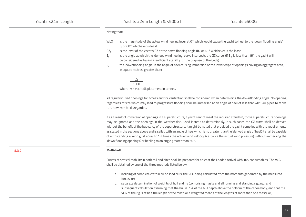Noting that:-

- WLO is the magnitude of the actual wind heeling lever at 0° which would cause the yacht to heel to the 'down flooding angle' **θ**<sub>f</sub> or 60° whichever is least.
- GZ<sub>f</sub> is the lever of the yacht's GZ at the down flooding angle  $(\theta_f)$  or 60° whichever is the least.
- **θ**<sub>f</sub> is the angle at which the 'derived wind heeling' curve intersects the GZ curve. (If **θ**<sub>d</sub> is less than 15° the yacht will be considered as having insufficient stability for the purpose of the Code).
- **θ**<sub>d</sub> the 'downflooding angle' is the angle of heel causing immersion of the lower edge of openings having an aggregate area, in square metres, greater than:

```
\frac{\Delta}{1500}where \Lambda = yacht displacement in tonnes.
```
All regularly used openings for access and for ventilation shall be considered when determining the downflooding angle. No opening regardless of size which may lead to progressive flooding shall be immersed at an angle of heel of less than 40°. Air pipes to tanks can, however, be disregarded.

If as a result of immersion of openings in a superstructure, a yacht cannot meet the required standard, those superstructure openings may be ignored and the openings in the weather deck used instead to determine **θ<sup>f</sup>** . In such cases the GZ curve shall be derived without the benefit of the buoyancy of the superstructure. It might be noted that provided the yacht complies with the requirements as stated in the sections above and is sailed with an angle of heel which is no greater than the 'derived angle of heel', it shall be capable of withstanding a wind gust equal to 1.4 times the actual wind velocity (i.e. twice the actual wind pressure) without immersing the 'down flooding openings', or heeling to an angle greater than 60°.

#### **Multi-hull**

Curves of statical stability in both roll and pitch shall be prepared for at least the Loaded Arrival with 10% consumables. The VCG shall be obtained by one of the three methods listed below:-

- a. inclining of complete craft in air on load cells, the VCG being calculated from the moments generated by the measured forces, or;
- b. separate determination of weights of hull and rig (comprising masts and all running and standing rigging), and subsequent calculation assuming that the hull is 75% of the hull depth above the bottom of the canoe body, and that the VCG of the rig is at half the length of the mast (or a weighted means of the lengths of more than one mast), or;

**8.3.2**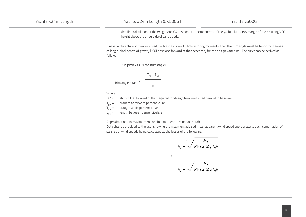c. detailed calculation of the weight and CG position of all components of the yacht, plus a 15% margin of the resulting VCG height above the underside of canoe body.

If naval architecture software is used to obtain a curve of pitch restoring moments, then the trim angle must be found for a series of longitudinal centre of gravity (LCG) positions forward of that necessary for the design waterline. The curve can be derived as follows:

GZ in pitch = CG' x cos (trim angle)

$$
Trim angle = \tan^{-1} \left( \frac{T_{FP} - T_{AP}}{L_{BP}} \right)
$$

Where:

CG' = shift of LCG forward of that required for design trim, measured parallel to baseline

- $T_{\text{FP}}$  = draught at forward perpendicular<br> $T_{\text{ap}}$  = draught at aft perpendicular
	-

 $T_{AP}$  = draught at aft perpendicular<br>  $L_{BD}$  = length between perpendicular length between perpendiculars

Approximations to maximum roll or pitch moments are not acceptable.

Data shall be provided to the user showing the maximum advised mean apparent wind speed appropriate to each combination of sails, such wind speeds being calculated as the lesser of the following:-

$$
V_w = \sqrt{\frac{LM_R}{A'_s h \cos \Phi_R + A_b b}}
$$

OR

$$
V_w = \sqrt{\frac{LM_{p}}{A'_s h \cos \Phi_{p} + A_b b}}
$$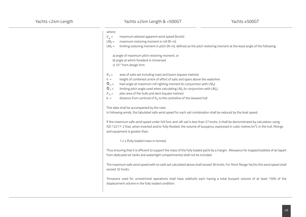| where:           |                                                                                                                                                                                                                                                                             |
|------------------|-----------------------------------------------------------------------------------------------------------------------------------------------------------------------------------------------------------------------------------------------------------------------------|
| $V_{W} =$        | maximum advised apparent wind speed (knots)                                                                                                                                                                                                                                 |
| $LM_R =$         | maximum restoring moment in roll (N-m)                                                                                                                                                                                                                                      |
| $LMp =$          | limiting restoring moment in pitch (N-m), defined as the pitch restoring moment at the least angle of the following:                                                                                                                                                        |
|                  | a) angle of maximum pitch restoring moment, or                                                                                                                                                                                                                              |
|                  | b) angle at which foredeck is immersed                                                                                                                                                                                                                                      |
|                  | c) 10° from design trim                                                                                                                                                                                                                                                     |
| $A'_5 =$         | area of sails set including mast and boom (square metres)                                                                                                                                                                                                                   |
| $h =$            | height of combined centre of effort of sails and spars above the waterline                                                                                                                                                                                                  |
| $\Phi_R =$       | heel angle at maximum roll righting moment (in conjunction with LMR)                                                                                                                                                                                                        |
| $\Phi_{\rm p} =$ | limiting pitch angle used when calculating $LM_p$ (in conjunction with $LM_p$ )                                                                                                                                                                                             |
| $A_D =$          | plan area of the hulls and deck (square metres)                                                                                                                                                                                                                             |
| $b =$            | distance from centroid of $AD$ to the centreline of the leeward hull                                                                                                                                                                                                        |
|                  | This data shall be accompanied by the note:                                                                                                                                                                                                                                 |
|                  | In following winds, the tabulated safe wind speed for each sail combination shall be reduced by the boat speed.                                                                                                                                                             |
|                  | If the maximum safe wind speed under full fore-and-aft sail is less than 27 knots, it shall be demonstrated by calculation using<br>ISO 12217-2 that, when inverted and/or fully flooded, the volume of buoyancy, expressed in cubic metres ( $m3$ ), in the hull, fittings |
|                  | and equipment is greater than:                                                                                                                                                                                                                                              |
|                  | 1.2 x (fully loaded mass in tonnes)                                                                                                                                                                                                                                         |
|                  | Thus ensuring that it is efficient to support the mass of the fully loaded yacht by a margin. Allowance for trapped bubbles of air (apart                                                                                                                                   |

from dedicated air tanks and watertight compartments) shall not be included.

The maximum safe wind speed with no sails set calculated above shall exceed 36 knots. For Short Range Yachts this wind speed shall exceed 32 knots.

Trimarans used for unrestricted operations shall have sidehulls each having a total buoyant volume of at least 150% of the displacement volume in the fully loaded condition.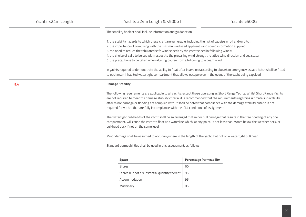The stability booklet shall include information and guidance on:-

1. the stability hazards to which these craft are vulnerable, including the risk of capsize in roll and/or pitch;

2. the importance of complying with the maximum advised apparent wind speed information supplied;

3. the need to reduce the tabulated safe wind speeds by the yacht speed in following winds;

4. the choice of sails to be set with respect to the prevailing wind strength, relative wind direction and sea state;

5. the precautions to be taken when altering course from a following to a beam wind.

In yachts required to demonstrate the ability to float after inversion (according to above) an emergency escape hatch shall be fitted to each main inhabited watertight compartment that allows escape even in the event of the yacht being capsized.

### **Damage Stability**

The following requirements are applicable to all yachts, except those operating as Short Range Yachts. Whilst Short Range Yachts are not required to meet the damage stability criteria, it is recommended that the requirements regarding ultimate survivability after minor damage or flooding are complied with. It shall be noted that compliance with the damage stability criteria is not required for yachts that are fully in compliance with the ICLL conditions of assignment.

The watertight bulkheads of the yacht shall be so arranged that minor hull damage that results in the free flooding of any one compartment, will cause the yacht to float at a waterline which, at any point, is not less than 75mm below the weather deck, or bulkhead deck if not on the same level.

Minor damage shall be assumed to occur anywhere in the length of the yacht, but not on a watertight bulkhead.

Standard permeabilities shall be used in this assessment, as follows:-

| <b>Space</b>                                  | <b>Percentage Permeability</b> |
|-----------------------------------------------|--------------------------------|
| Stores                                        | 60                             |
| Stores but not a substantial quantity thereof | 95                             |
| Accommodation                                 | 95                             |
| Machinery                                     | 85                             |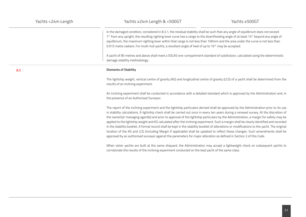In the damaged condition, considered in 8.3.1, the residual stability shall be such that any angle of equilibrium does not exceed 7° from any upright, the resulting righting lever curve has a range to the downflooding angle of at least 15° beyond any angle of equilibrium, the maximum righting lever within that range is not less than 100mm and the area under the curve is not less than 0.015 metre radians. For multi-hull yachts, a resultant angle of heel of up to 10° may be accepted.

A yacht of 85 metres and above shall meet a SOLAS one-compartment standard of subdivision, calculated using the deterministic damage stability methodology.

#### **Elements of Stability**

The lightship weight, vertical centre of gravity (KG) and longitudinal centre of gravity (LCG) of a yacht shall be determined from the results of an inclining experiment.

An inclining experiment shall be conducted in accordance with a detailed standard which is approved by the Administration and, in the presence of an Authorised Surveyor.

The report of the inclining experiment and the lightship particulars derived shall be approved by the Administration prior to its use in stability calculations. A lightship check shall be carried out once in every ten years during a renewal survey. At the discretion of the owner(s)/ managing agent(s) and prior to approval of the lightship particulars by the Administration, a margin for safety may be applied to the lightship weight and KG calculated after the inclining experiment. Such a margin shall be clearly identified and recorded in the stability booklet. A formal record shall be kept in the stability booklet of alterations or modifications to the yacht. The original location of the KG and LCG (including Margin if applicable) shall be updated to reflect these changes. Such amendments shall be approved by an authorised surveyor against the parameters for major alteration as defined in Section 2 of this Code.

When sister yachts are built at the same shipyard, the Administration may accept a lightweight check on subsequent yachts to corroborate the results of the inclining experiment conducted on the lead yacht of the same class.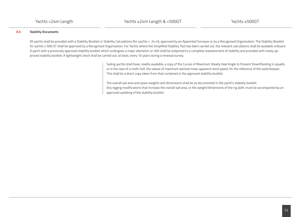# **8.6 Stability Documents**

All yachts shall be provided with a Stability Booklet or Stability Calculations (for yachts < 24 m), approved by an Appointed Surveyor or by a Recognised Organisation. The Stability Booklet for yachts ≥ 500 GT shall be approved by a Recognised Organisation. For Yachts where the Simplified Stability Test has been carried out, the relevant calculations shall be available onboard. A yacht with a previously approved stability booklet which undergoes a major alteration or refit shall be subjected to a complete reassessment of stability and provided with newly approved stability booklet. A lightweight check shall be carried out, at least, every 10 years during a renewal survey.

> Sailing yachts shall have, readily available, a copy of the Curves of Maximum Steady Heel Angle to Prevent Downflooding in squalls, or in the case of a multi-hull, the values of maximum advised mean apparent wind speed, for the reference of the watchkeeper. This shall be a direct copy taken from that contained in the approved stability booklet.

> The overall sail area and spare weights and dimensions shall be as documented in the yacht's stability booklet. Any rigging modifications that increase the overall sail area, or the weight/dimensions of the rig aloft, must be accompanied by an approved updating of the stability booklet.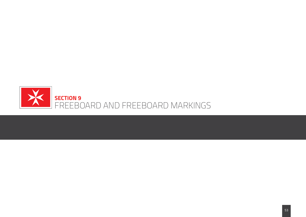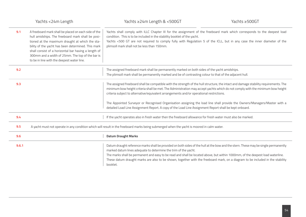|       | Yachts <24m Length                                                                                                                                                                                                                                                                                                                                                           | Yachts ≥24m Length & <500GT                                                                                                                                                                                                                                                                                                                                                                                                                                                                                                                                                                                | Yachts ≥500GT |
|-------|------------------------------------------------------------------------------------------------------------------------------------------------------------------------------------------------------------------------------------------------------------------------------------------------------------------------------------------------------------------------------|------------------------------------------------------------------------------------------------------------------------------------------------------------------------------------------------------------------------------------------------------------------------------------------------------------------------------------------------------------------------------------------------------------------------------------------------------------------------------------------------------------------------------------------------------------------------------------------------------------|---------------|
| 9.1   | A freeboard mark shall be placed on each side of the<br>hull amidships. The freeboard mark shall be posi-<br>tioned at the maximum draught at which the sta-<br>bility of the yacht has been determined. This mark<br>shall consist of a horizontal bar having a length of<br>300mm and a width of 25mm. The top of the bar is<br>to be in line with the deepest water line. | Yachts shall comply with ILLC Chapter III for the assignment of the freeboard mark which corresponds to the deepest load<br>condition. This is to be included in the stability booklet of the yacht.<br>Yachts <500 GT are not required to comply fully with Regulation 5 of the ICLL, but in any case the inner diameter of the<br>plimsoll mark shall not be less than 150mm.                                                                                                                                                                                                                            |               |
| 9.2   |                                                                                                                                                                                                                                                                                                                                                                              | The assigned freeboard mark shall be permanently marked on both sides of the yacht amidships.<br>The plimsoll mark shall be permanently marked and be of contrasting colour to that of the adjacent hull.                                                                                                                                                                                                                                                                                                                                                                                                  |               |
| 9.3   |                                                                                                                                                                                                                                                                                                                                                                              | The assigned freeboard shall be compatible with the strength of the hull structure, the intact and damage stability requirements. The<br>minimum bow height criteria shall be met. The Administration may accept yachts which do not comply with the minimum bow height<br>criteria subject to alternative/equivalent arrangements and/or operational restrictions.<br>The Appointed Surveyor or Recognised Organisation assigning the load line shall provide the Owners/Managers/Master with a<br>detailed Load Line Assignment Report. A copy of the Load Line Assignment Report shall be kept onboard. |               |
| 9.4   |                                                                                                                                                                                                                                                                                                                                                                              | If the yacht operates also in fresh water then the freeboard allowance for fresh water must also be marked.                                                                                                                                                                                                                                                                                                                                                                                                                                                                                                |               |
| 9.5   |                                                                                                                                                                                                                                                                                                                                                                              | A yacht must not operate in any condition which will result in the freeboard marks being submerged when the yacht is moored in calm water.                                                                                                                                                                                                                                                                                                                                                                                                                                                                 |               |
| 9.6   |                                                                                                                                                                                                                                                                                                                                                                              | <b>Datum Draught Marks</b>                                                                                                                                                                                                                                                                                                                                                                                                                                                                                                                                                                                 |               |
| 9.6.1 |                                                                                                                                                                                                                                                                                                                                                                              | Datum draught reference marks shall be provided on both sides of the hull at the bow and the stern. These may be single permanently<br>marked datum lines adequate to determine the trim of the yacht.<br>The marks shall be permanent and easy to be read and shall be located above, but within 1000mm, of the deepest load waterline.<br>These datum draught marks are also to be shown, together with the freeboard mark, on a diagram to be included in the stability<br>booklet.                                                                                                                     |               |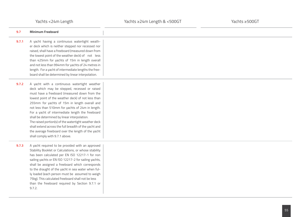| 9.7   | <b>Minimum Freeboard</b>                                                                                                                                                                                                                                                                                                                                                                                                                                                                                                                                                                                               |
|-------|------------------------------------------------------------------------------------------------------------------------------------------------------------------------------------------------------------------------------------------------------------------------------------------------------------------------------------------------------------------------------------------------------------------------------------------------------------------------------------------------------------------------------------------------------------------------------------------------------------------------|
| 9.7.1 | A yacht having a continuous watertight weath-<br>er deck which is neither stepped nor recessed nor<br>raised, shall have a freeboard (measured down from<br>the lowest point of the weather deck) of not less<br>than 425mm for yachts of 15m in length overall<br>and not less than 994mm for yachts of 24 metres in<br>length. For a yacht of intermediate lengths the free-<br>board shall be determined by linear interpolation.                                                                                                                                                                                   |
| 9.7.2 | A yacht with a continuous watertight weather<br>deck which may be stepped, recessed or raised<br>must have a freeboard (measured down from the<br>lowest point of the weather deck) of not less than<br>255mm for yachts of 15m in length overall and<br>not less than 510mm for yachts of 24m in length.<br>For a yacht of intermediate length the freeboard<br>shall be determined by linear interpolation.<br>The raised portion(s) of the watertight weather deck<br>shall extend across the full breadth of the yacht and<br>the average freeboard over the length of the yacht<br>shall comply with 9.7.1 above. |
| 9.7.3 | A yacht required to be provided with an approved<br>Stability Booklet or Calculations, or whose stability<br>has been calculated per EN ISO 12217-1 for non<br>sailing yachts or EN ISO 12217-2 for sailing yachts,<br>shall be assigned a freeboard which corresponds<br>to the draught of the yacht in sea water when ful-<br>ly loaded (each person must be assumed to weigh<br>75kg). This calculated freeboard shall not be less<br>than the freeboard required by Section 9.7.1 or<br>9.7.2.                                                                                                                     |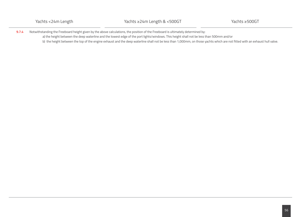**9.7.4** Notwithstanding the Freeboard height given by the above calculations, the position of the Freeboard is ultimately determined by: a) the height between the deep waterline and the lowest edge of the port lights/windows. This height shall not be less than 500mm and/or b) the height between the top of the engine exhaust and the deep waterline shall not be less than 1,000mm, on those yachts which are not fitted with an exhaust hull valve.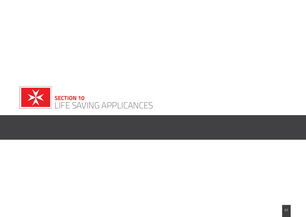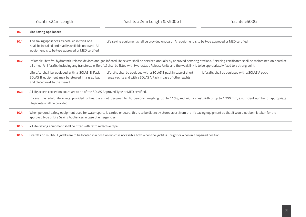| 10.  | <b>Life Saving Appliances</b>                                                                                                                                                                                                                                                                                                                                                        |  |  |
|------|--------------------------------------------------------------------------------------------------------------------------------------------------------------------------------------------------------------------------------------------------------------------------------------------------------------------------------------------------------------------------------------|--|--|
| 10.1 | Life saving appliances as detailed in this Code<br>Life saving equipment shall be provided onboard. All equipment is to be type approved or MED certified.<br>shall be installed and readily available onboard. All<br>equipment is to be type approved or MED certified.                                                                                                            |  |  |
| 10.2 | Inflatable liferafts, hydrostatic release devices and gas inflated lifejackets shall be serviced annually by approved servicing stations. Servicing certificates shall be maintained on board at<br>all times. All liferafts (including any transferable liferafts) shall be fitted with Hydrostatic Release Units and the weak link is to be appropriately fixed to a strong point. |  |  |
|      | Liferafts shall be equipped with a SOLAS B Pack.<br>Liferafts shall be equipped with a SOLAS B pack in case of short<br>Liferafts shall be equipped with a SOLAS A pack.<br>SOLAS B equipment may be stowed in a grab bag<br>range yachts and with a SOLAS A Pack in case of other yachts.<br>and placed next to the liferaft.                                                       |  |  |
| 10.3 | All lifejackets carried on board are to be of the SOLAS Approved Type or MED certified.<br>In case the adult lifejackets provided onboard are not designed to fit persons weighing up to 140kg and with a chest girth of up to 1,750 mm, a sufficient number of appropriate<br>lifejackets shall be provided.                                                                        |  |  |
| 10.4 | When personal safety equipment used for water sports is carried onboard, this is to be distinctly stored apart from the life saving equipment so that it would not be mistaken for the<br>approved type of Life Saving Appliances in case of emergencies.                                                                                                                            |  |  |
| 10.5 | All life-saving equipment shall be fitted with retro reflective tape.                                                                                                                                                                                                                                                                                                                |  |  |
| 10.6 | Liferafts on multihull yachts are to be located in a position which is accessible both when the yacht is upright or when in a capsized position.                                                                                                                                                                                                                                     |  |  |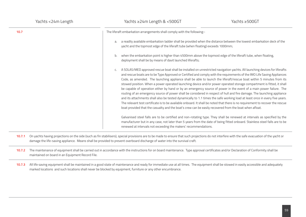| Yachts <24m Length | Yachts $\geq$ 24m Length & <500GT                                                                                                                                                                              | Yachts ≥500GT                                                                                                                                                                                                                                                                                                                                                                                                                                                                                                                                                                                                                                                                                                                                                                                                                                                                                                                                                                                                             |  |
|--------------------|----------------------------------------------------------------------------------------------------------------------------------------------------------------------------------------------------------------|---------------------------------------------------------------------------------------------------------------------------------------------------------------------------------------------------------------------------------------------------------------------------------------------------------------------------------------------------------------------------------------------------------------------------------------------------------------------------------------------------------------------------------------------------------------------------------------------------------------------------------------------------------------------------------------------------------------------------------------------------------------------------------------------------------------------------------------------------------------------------------------------------------------------------------------------------------------------------------------------------------------------------|--|
| 10.7               | The liferaft embarkation arrangements shall comply with the following:-                                                                                                                                        |                                                                                                                                                                                                                                                                                                                                                                                                                                                                                                                                                                                                                                                                                                                                                                                                                                                                                                                                                                                                                           |  |
|                    | a readily available embarkation ladder shall be provided when the distance between the lowest embarkation deck of the<br>a.<br>yacht and the topmost edge of the liferaft tube (when floating) exceeds 1000mm; |                                                                                                                                                                                                                                                                                                                                                                                                                                                                                                                                                                                                                                                                                                                                                                                                                                                                                                                                                                                                                           |  |
|                    | when the embarkation point is higher than 4500mm above the topmost edge of the liferaft tube, when floating,<br>b.<br>deployment shall be by means of davit launched liferafts;                                |                                                                                                                                                                                                                                                                                                                                                                                                                                                                                                                                                                                                                                                                                                                                                                                                                                                                                                                                                                                                                           |  |
|                    | C.<br>boat provided that the casualty and the boat's crew can be easily recovered from the boat when afloat.                                                                                                   | A SOLAS/MED approved rescue boat shall be installed on unrestricted navigation yachts. All launching devices for liferafts<br>and rescue boats are to be Type Approved or Certified and comply with the requirements of the IMO Life Saving Appliances<br>Code, as amended. The launching appliance shall be able to launch the liferaft/rescue boat within 5 minutes from its<br>stowed position. When a power operated launching device and/or power operated storage compartment is fitted, it shall<br>be capable of operation either by hand or by an emergency source of power in the event of a main power failure. The<br>routing of an emergency source of power shall be considered in respect of hull and fire damage. The launching appliance<br>and its attachments shall also be tested dynamically to 1.1 times the safe working load at least once in every five years.<br>The relevant test certificate is to be available onboard. It shall be noted that there is no requirement to recover the rescue |  |
|                    | renewed at intervals not exceeding the makers' recommendations.                                                                                                                                                | Galvanised steel falls are to be certified and non-rotating type. They shall be renewed at intervals as specified by the<br>manufacturer but in any case, not later than 5 years from the date of being fitted onboard. Stainless steel falls are to be                                                                                                                                                                                                                                                                                                                                                                                                                                                                                                                                                                                                                                                                                                                                                                   |  |

- 10.7.1 On yachts having projections on the side (such as fin stabilisers), special provisions are to be made to ensure that such projections do not interfere with the safe evacuation of the yacht or damage the life-saving appliance. Means shall be provided to prevent overboard discharge of water into the survival craft.
- 10.7.2 The maintenance of equipment shall be carried out in accordance with the instructions for on board maintenance. Type approval certificates and/or Declaration of Conformity shall be maintained on board in an Equipment Record File.
- 10.7.3 All life saving equipment shall be maintained in a good state of maintenance and ready for immediate use at all times. The equipment shall be stowed in easily accessible and adequately marked locations and such locations shall never be blocked by equipment, furniture or any other encumbrance.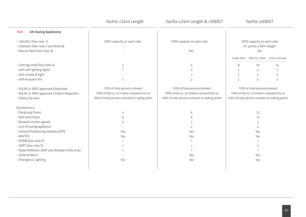|                                                                                                         | Yachts <24m Length                                                                                                             | Yachts ≥24m Length & <500GT                                                                                                     |                                                             | Yachts ≥500GT                 |                                                                                                |
|---------------------------------------------------------------------------------------------------------|--------------------------------------------------------------------------------------------------------------------------------|---------------------------------------------------------------------------------------------------------------------------------|-------------------------------------------------------------|-------------------------------|------------------------------------------------------------------------------------------------|
| <b>Life Saving Appliances</b><br>10.8                                                                   |                                                                                                                                |                                                                                                                                 |                                                             |                               |                                                                                                |
| - Liferafts (See note 1)<br>- Lifeboats (See note 2 and Note 8)<br>- Rescue Boat (See note 3)           | 100% capacity on each side                                                                                                     | 100% capacity on each side<br>Yes                                                                                               | 100% capacity on each side<br>On yachts ≥ 85m length<br>Yes |                               |                                                                                                |
|                                                                                                         |                                                                                                                                |                                                                                                                                 |                                                             |                               | Under 60m 60m to 120m 120m and over                                                            |
| - Liferings total (See note 4)                                                                          | 2                                                                                                                              | 5                                                                                                                               | 8                                                           | 10                            | 14                                                                                             |
| - with self-igniting lights                                                                             | 1                                                                                                                              | 2                                                                                                                               | $\overline{2}$                                              | 4                             | 7                                                                                              |
| - with smoke & light                                                                                    |                                                                                                                                |                                                                                                                                 | $\mathsf{Z}$                                                | $\overline{2}$                | $\overline{2}$                                                                                 |
| - with buoyant line                                                                                     | $\mathbf 1$                                                                                                                    | $\overline{2}$                                                                                                                  | $\overline{2}$                                              | 4                             | 4                                                                                              |
| - SOLAS or MED approved Lifejackets<br>- SOLAS or MED approved Children lifejackets<br>- Safety Harness | 120% of total persons onboard<br>100% of the no. of children onboard (min.4)<br>100% of total persons onboard on sailing boats | 120% of total persons onboard<br>100% of the no. of children onboard (min.4)<br>100% of total persons onboard on sailing yachts |                                                             | 120% of total persons onboard | 100% of the no. of children onboard (min.4)<br>100% of total persons onboard on sailing yachts |
| Pyrotechnics:                                                                                           |                                                                                                                                |                                                                                                                                 |                                                             |                               |                                                                                                |
| - Parachute flares                                                                                      | 4                                                                                                                              | 6                                                                                                                               |                                                             | 12                            |                                                                                                |
| - Red hand flares                                                                                       |                                                                                                                                | 6                                                                                                                               |                                                             | 12                            |                                                                                                |
| - Buoyant smoke signals                                                                                 | 2                                                                                                                              | 2                                                                                                                               |                                                             | 2                             |                                                                                                |
| - Line throwing appliance                                                                               |                                                                                                                                | 2                                                                                                                               |                                                             | 4                             |                                                                                                |
| - General Positioning Satellite (GPS)                                                                   | Yes                                                                                                                            | Yes                                                                                                                             |                                                             | Yes                           |                                                                                                |
| - NAVTEX                                                                                                | Yes                                                                                                                            | Yes                                                                                                                             |                                                             | Yes                           |                                                                                                |
| - EPIRB (See note 5)                                                                                    | 1                                                                                                                              | 1                                                                                                                               |                                                             |                               |                                                                                                |
| - SART (See note 5)                                                                                     |                                                                                                                                | 1                                                                                                                               |                                                             | 2                             |                                                                                                |
| - Radar Reflector (GRP and Wooden Hulls only)                                                           |                                                                                                                                | 1                                                                                                                               |                                                             | 1                             |                                                                                                |
| - General Alarm                                                                                         |                                                                                                                                | Yes                                                                                                                             |                                                             | Yes                           |                                                                                                |
| - Emergency Lighting                                                                                    | Yes                                                                                                                            | Yes                                                                                                                             |                                                             | Yes                           |                                                                                                |
|                                                                                                         |                                                                                                                                |                                                                                                                                 |                                                             |                               |                                                                                                |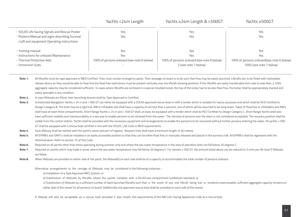|                                                                                              | Yachts <24m Length                         | Yachts ≥24m Length & <500GT                | Yachts ≥500GT                             |
|----------------------------------------------------------------------------------------------|--------------------------------------------|--------------------------------------------|-------------------------------------------|
| - SOLAS Life Saving Signals and Rescue Poster                                                | Yes                                        | Yes                                        | Yes                                       |
| - Posters/Manual and signs describing Survival<br>craft and equipment Operating instructions | Yes                                        | Yes                                        | Yes                                       |
| - Training manual                                                                            | Yes                                        | Yes                                        | Yes                                       |
| - Instructions for onboard Maintenance                                                       | Yes                                        | Yes                                        | Yes                                       |
| - Thermal Protective Aids                                                                    | 100% of persons onboard (see note 6 below) | 100% of persons onboard (see note 6 below) | 100% of persons onboard(see note 6 below) |
| - Immersion Suits                                                                            |                                            | 2 (see note 7 below)                       | 100% (see note 7 below)                   |

- All liferafts must be type approved or MED Certified. They must contain emergency packs. Their stowage on board is to be such that they may be easily launched. Liferafts are to be fitted with hydrostatic release device so they would be able to float free (no float free restrictions must be present vertically over the liferaft stowing position). If the liferafts are easily transferable from side to side then, a 100% aggregate capacity may be considered sufficient. In cases where liferafts are enclosed in a special moulded locker, the top of the locker has to be also float free, the locker shall be appropriately marked and easily openable in any condition. **Note 1.**
- In case lifeboats are fitted, their launching devices shall be Type Approved or Certified. **Note 2.**
- Unrestricted Navigation Yachts ≥ 24 m and < 500 GT can either be equipped with a SOLAS approved rescue boat or with a tender which is suitable for rescue purposes and which shall be RCD Certified to Design Category B. The boat may be a rigid hull, RIB or inflatable and shall have a capacity of not less than 4 persons, one of which will be assumed to be lying down. Tubes of float free or inflatables and RIB's shall have at least three compartments. Short Range Yachts ≥ 24 m and < 500 GT shall, at least, be equipped with a tender which shall be RCD Certified to Design Category C. Short Range Yachts shall also have sufficient mobility and manoeuvrability in a sea way to enable persons to be retrieved from the water. The retrieval of persons over the stern is not considered acceptable. The recovery position shall be visible from the control station. Yachts shall be provided with the necessary equipment and arrangements to enable the person/s to be recovered without further persons entering the water. All yachts ≥ 500 GT shall be equipped with a rescue boat certified in line with the SOLAS, LSA Code or MED requirements. **Note 3.**
- Each lifebuoy shall be marked with the yacht's name and port of registry. Buoyant lines shall have a minimum length of 30 metres. **Note 4.**
- All EPIRB's and SART's shall be installed in an easily accessible position so that they can be either float free or manually released and placed in the survival craft. All EPIRB's shall be registered with the Administration. Refer to section 15 of this Code. **Note 5.**
- Required on all yachts other than those operating during summer only and where the sea water temperature in the area of operation does not fall below 20 degrees C. **Note 6.**
- Required on yachts which may trade in areas where the sea water temperature may fall below 20 degrees C. For vessels ≥ 500 GT, the amount listed above can be reduced to 3 units per life boat if lifeboats are fitted. **Note 7.**
- When lifeboats are provided on either side of the yacht, the lifeboat(s) on each side shall be of a capacity to accommodate the total number of persons onboard. **Note 8.**

Alternative arrangements to the carriage of lifeboats may be considered in the following instances :-

- a) Installation of a Type Approved MES System; or
- b) Substitution of lifeboats by liferafts where the yachts complies with a SOLAS two compartment subdivision standard; or
- c) Substitution of lifeboats by a sufficient number of davit launched liferafts such that in the event of any one liferaft being lost or rendered unserviceable, sufficient aggregate capacity remains on either side of the vessel for all persons on board. Additionally one approved rescue boat shall be provided on each side of the vessel.
- A lifeboat will also be acceptable as a rescue boat provided it also meets the requirements of the IMO Life-Saving Appliances Code as a rescue boat.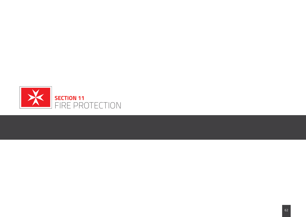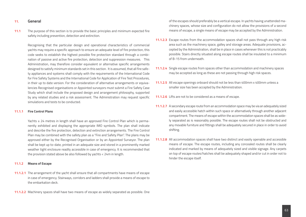# **11. General**

**11.1** The purpose of this section is to provide the basic principles and minimum expected fire safety including prevention, detection and extinction.

 Recognising that the particular design and operational characteristics of commercial yachts may require a specific approach to ensure an adequate level of fire protection, this code seeks to establish the highest possible fire protection standard through a combination of passive and active fire protection, detection and suppression measures. This Administration, may therefore consider equivalent or alternative specific arrangements designed to satisfy minimum standards set in this section. It is assumed, that all fire safety appliances and systems shall comply with the requirements of the International Code for Fire Safety Systems and the International Code for Application of Fire Test Procedures, in their up to date version. For the consideration of alternative arrangements or equivalencies Recognised organisations or Appointed surveyors must submit a Fire Safety Case Study which shall include the proposed design and arrangement philosophy, supported by any related studies and a risk assessment. The Administration may request specific simulations and tests to be conducted.

# **11.1.1 Fire Control Plans**

 Yachts ≥ 24 metres in length shall have an approved Fire Control Plan which is permanently exhibited and displaying the appropriate IMO symbols. The plan shall indicate and describe the fire protection, detection and extinction arrangements. The Fire Control Plan may be combined with the safety plan as a "Fire and Safety Plan". The plans may be approved either by the Recognised Organisation or by an Appointed Surveyor. The plan shall be kept up to-date, printed in an adequate size and stored in a prominently marked weather tight enclosure readily accessible in case of emergency. It is recommended that the provision stated above be also followed by yachts < 24m in length.

#### **11.1.2 Means of Escape**

- **11.1.2.1** The arrangement of the yacht shall ensure that all compartments have means of escape in case of emergency. Stairways, corridors and ladders shall provide a means of escape to the embarkation deck.
- **11.1.2.2** Machinery spaces shall have two means of escape as widely separated as possible. One

of the escapes should preferably be a vertical escape. In yachts having unattended machinery spaces, whose size and configuration do not allow the provisions of a second means of escape, a single means of escape may be accepted by the Administration.

- **11.1.2.3** Escape routes from the accommodation spaces shall not pass through any high risk area such as the machinery space, galley and storage areas. Adequate provisions, accepted by the Administration, shall be in place in cases whenever this is not practicably possible. Stairs directly situated along escape routes shall be insulated to a minimum of B-15 from underneath.
- **11.1.2.4** Single escape routes from spaces other than accommodation and machinery spaces may be accepted as long as these are not passing through high risk spaces.
- **11.1.2.5** All escape openings onboard should not be less than 400mm x 400mm unless a smaller size has been accepted by the Administration.
- **11.1.2.6** Lifts are not to be considered as a means of escape.
- **11.1.2.7** A secondary escape route from an accommodation space may be via an adequately sized and easily accessible hatch within such space or alternatively through another adjacent compartment. The means of escape within the accommodation spaces shall be as widely separated as is reasonably possible. The escape routes shall not be obstructed and any movable furniture and fittings shall be adequately secured in place in order to avoid shifting.
- **11.1.2.8** All accommodation spaces shall have two distinct and easily openable and accessible means of escape. The escape routes, including any concealed routes shall be clearly indicated and marked by means of adequately sized and visible signage. Any carpets on top of escape routes/hatches shall be adequately shaped and/or cut in order not to hinder the escape itself.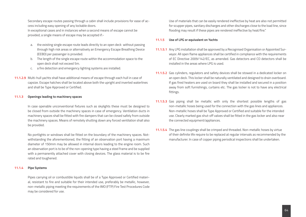Secondary escape routes passing through a cabin shall include provisions for ease of access including easy opening of any lockable doors.

 In exceptional cases and in instances when a second means of escape cannot be provided, a single means of escape may be accepted if:-

- a. the existing single escape route leads directly to an open deck without passing through high risk areas or alternatively an Emergency Escape Breathing Device (EEBD) per passenger is provided.
- b. The length of the single escape route within the accommodation space to the open deck shall not exceed 5m.
- c. a fire detection and emergency lighting systems are installed.
- **11.1.2.9** Multi-hull yachts shall have additional means of escape through each hull in case of capsize. Escape hatches shall be located above both the upright and inverted waterlines and shall be Type Approved or Certified.

# **11.1.3 Openings leading to machinery spaces**

 In case openable unconventional fixtures such as skylights these must be designed to be closed from outside the machinery spaces in case of emergency. Ventilation ducts in machinery spaces shall be fitted with fire dampers that can be closed safely from outside the machinery spaces. Means of remotely shutting down any forced ventilation shall also be provided.

 No portlights or windows shall be fitted on the boundary of the machinery spaces. Notwithstanding the aforementioned, the fitting of an observation port having a maximum diameter of 150mm may be allowed in internal doors leading to the engine room. Such an observation port is to be of the non-opening type having a steel frame and be supplied with a permanently attached cover with closing devices. The glass material is to be fire rated and toughened.

## **11.1.4 Pipe Systems**

 Pipes carrying oil or combustible liquids shall be of a Type Approved or Certified material, resistant to fire and suitable for their intended use, preferably be metallic, however, non-metallic piping meeting the requirements of the IMO (FTP) Fire Test Procedures Code may be considered for use.

 Use of materials that can be easily rendered ineffective by heat are also not permitted for scupper pipes, sanitary discharges and other discharges close to the load line, since flooding may result if these pipes are rendered ineffective by heat/fire."

## **11.1.5 Use of LPG or equivalent on Yachts**

- **11.1.5.1** Any LPG installation shall be approved by a Recognised Organisation or Appointed Surveyor. All open flame appliances shall be certified in compliance with the requirements of EC Directive 2009/142/EC, as amended. Gas detectors and CO detectors shall be installed in the areas where LPG is used.
- **11.1.5.2** Gas cylinders, regulators and safety devices shall be stowed in a dedicated locker on an open deck. This locker shall be naturally ventilated and designed to drain overboard. If gas fired heaters are used on board they shall be installed and secured in a position away from soft furnishings, curtains etc. The gas locker is not to have any electrical fittings.
- **11.1.5.3** Gas piping shall be metallic with only the shortest possible lengths of gas non-metallic hoses being used for the connection with the gas lines and appliances. Non-metallic hoses shall be Type Approved or Certified and suitable for the intended use. Clearly marked gas shut-off valves shall be fitted in the gas locker and also near the connected equipment/appliances.
- **11.1.5.4** The gas line couplings shall be crimped and threaded. Non-metallic hoses by virtue of their definite life require to be replaced at regular intervals as recommended by the manufacturer. In case of copper piping periodical inspections shall be undertaken.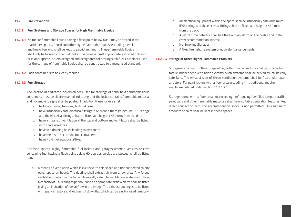#### **11.2 Fire Prevention**

## **11.2.1 Fuel Systems and Storage Spaces for High Flammable Liquids**

- **11.2.1.1** No fuel or flammable liquids having a flash point below 60°C may be stored in the machinery spaces. Petrol and other highly flammable liquids, excluding diesel and heavy fuel oils, shall be kept to a strict minimum. These flammable liquids shall only be located in the fuel tanks of vehicles or craft appropriately stowed onboard or in appropriate lockers designed and designated for storing such fuel. Containers used for the carriage of flammable liquids shall be constructed to a recognised standard.
- **11.2.1.2** Each container is to be clearly marked.

#### **11.2.1.3 Fuel Storage**

The location of dedicated lockers on deck used for stowage of hand-held flammable liquid containers, must be clearly marked indicating that the locker contains flammable material and no-smoking signs shall be posted. In addition these lockers shall:

- a. be located away from any high risk area;
- b. have intrinsically safe electrical fittings in or around them (minimum IP55 rating) and the electrical fittings shall be fitted at a height  $\geq 450$  mm from the deck;
- c. have a means of ventilation at the top and bottom and ventilators shall be fitted with spark arrestors;
- d. have self draining holes leading to overboard;
- e. have means to secure the fuel containers;
- f. have No-Smoking signs affixed;

Enclosed spaces, highly flammable fuel lockers and garages wherein vehicles or craft containing fuel having a flash point below 60 degrees celsius are stowed, shall be fitted with:

a. a means of ventilation which is exclusive to this space and not connected to any other space on board. The ducting shall extract air from a low area. Any forced ventilation motor used is to be intrinsically safe. The ventilation system is to have a capacity of 6 air changes per hour and an appropriate airflow alarm shall be fitted giving an indication of low airflow in the bridge. The exhaust ducting is to be fitted with spark arrestors and with a shut down flap which can be easily closed remotely;

- b. All electrical equipment within the space shall be intrinsically safe (minimum IP55 rating) and the electrical fittings shall be fitted at a height ≥ 450 mm from the deck;
- c. A petrol fume detector shall be fitted with an alarm on the bridge and in the crew accommodation spaces;
- d. No-Smoking Signage;
- e. A fixed fire fighting system or equivalent arrangements.

#### **11.2.1.4 Storage of Other Highly Flammable Products**

Storage rooms used for the storage of highly flammable products shall be provided with totally independent ventilation systems. Such systems shall be served by intrinsically safe fans. The exhaust side of these ventilation systems shall be fitted with spark arrestors. For paint lockers with a floor area exceeding 4m<sup>2</sup>, additional requirements are defined under section 11.3.1.2.1.

Storage rooms with a floor area not exceeding 4m² housing fuel filled lamps, paraffin, paint cans and other flammable materials shall have suitable ventilation features. Any direct connection with any accommodation space is not permitted. Only minimum amounts of paint shall be kept in these spaces.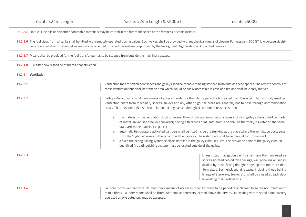**11.2.1.5** No fuel, lube oils or any other flammable materials may be carried in the forecastle space or the forepeak or chain lockers.

**11.2.1.6** The fuel pipes from all tanks shall be fitted with remotely operated closing valves. Such valves shall be provided with mechanical means of closure. For vessels < 500 GT, low voltage electrically operated shut off solenoid valves may be accepted provided the system is approved by the Recognised Organisation or Appointed Surveyor.

**11.2.1.7** Means shall be provided for the fuel transfer pumps to be stopped from outside the machinery spaces.

**11.2.1.8** Fuel filter bowls shall be of metallic construction.

| <b>Ventilation</b><br>11.2.2 |                                                                                                                                                                                                                                                                                                                                                                                                                                                                                                                                                                                                                                                                                                                                                                                                                                                                                                                                                                                                                                                                        |
|------------------------------|------------------------------------------------------------------------------------------------------------------------------------------------------------------------------------------------------------------------------------------------------------------------------------------------------------------------------------------------------------------------------------------------------------------------------------------------------------------------------------------------------------------------------------------------------------------------------------------------------------------------------------------------------------------------------------------------------------------------------------------------------------------------------------------------------------------------------------------------------------------------------------------------------------------------------------------------------------------------------------------------------------------------------------------------------------------------|
| 11.2.2.1                     | Ventilation fans for machinery spaces and galleys shall be capable of being stopped from outside these spaces. The remote controls of<br>these ventilation fans shall be from an area which would be easily accessible in case of a fire and shall be clearly marked.                                                                                                                                                                                                                                                                                                                                                                                                                                                                                                                                                                                                                                                                                                                                                                                                  |
| 11.2.2.2                     | Galley exhaust ducts must have means of access in order for them to be periodically cleaned from the accumulation of oily residues.<br>Ventilation ducts from machinery spaces, galleys and any other high risk areas are generally not to pass through accommodation<br>areas. If it is inevitable that such ventilation ducting passes through accommodation spaces then:-<br>the material of the ventilation ducting passing through the accommodation spaces including galley exhaust shall be made<br>a.<br>of metal (galvanised steel or equivalent) having a thickness of at least 3mm, and shall be thermally insulated to the same<br>standard as the machinery spaces;<br>automatic temperature activated dampers shall be fitted inside the trunking at the place where the ventilation ducts pass<br>b.<br>from the 'high risk' zones to the accommodation spaces. These dampers shall have manual controls as well;<br>a fixed fire extinguishing system shall be installed in the galley exhaust ducts. The activation point of the galley exhaust<br>C. |
|                              | duct fixed fire extinguishing system must be located outside of the galley.                                                                                                                                                                                                                                                                                                                                                                                                                                                                                                                                                                                                                                                                                                                                                                                                                                                                                                                                                                                            |
| 11.2.2.3                     | Unrestricted navigation yachts shall have their enclosed air<br>spaces situated behind false ceilings, wall panelling or linings,<br>divided by close-fitting draught stops spaced not more than<br>14m apart. Such enclosed air spaces, including those behind<br>linings of stairways, trunks etc., shall be closed at each deck<br>level along their vertical axis.                                                                                                                                                                                                                                                                                                                                                                                                                                                                                                                                                                                                                                                                                                 |

**11.2.2.4**

Laundry rooms ventilation ducts must have means of access in order for them to be periodically cleaned from the accumulation of textile fibres. Laundry rooms shall be fitted with smoke detectors located above the dryers. On existing yachts stand alone battery operated smoke detectors, may be accepted.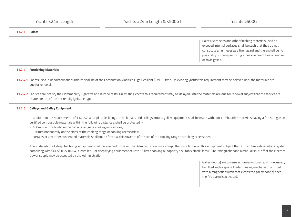**11.2.3 Paints**

Paints, varnishes and other finishing materials used on exposed internal surfaces shall be such that they do not constitute an unnecessary fire hazard and there shall be no possibility of them producing excessive quantities of smoke or toxic gases.

# **11.2.4 Furnishing Materials**

- **11.2.4.1** Foams used in upholstery and furniture shall be of the Combustion Modified High Resilient (CMHR) type. On existing yachts this requirement may be delayed until the materials are due for renewal.
- **11.2.4.2** Fabrics shall satisfy the Flammability Cigarette and Butane tests. On existing yachts this requirement may be delayed until the materials are due for renewal subject that the fabrics are treated or are of the not readily ignitable type.

# **11.2.5 Galleys and Galley Equipment**

In addition to the requirements of 11.2.2.2, as applicable, linings on bulkheads and ceilings around galley equipment shall be made with non-combustible materials having a fire rating. Noncertified combustible materials within the following distances, shall be protected :-

- 400mm vertically above the cooking range or cooking accessories;
- 150mm horizontally on the sides of the cooking range or cooking accessories;
- curtains or any other suspended materials shall not be fitted within 600mm of the top of the cooking range or cooking accessories.

The installation of deep fat frying equipment shall be avoided however the Administration may accept the installation of this equipment subject that a fixed fire extinguishing system complying with SOLAS II-2/10.6.4 is installed. For deep frying equipment of upto 15 litres cooking oil capacity a suitably sized Class F Fire Extinguisher and a manual shut-off of the electrical power supply may be accepted by the Administration.

> Galley door(s) are to remain normally closed and if necessary be fitted with a spring loaded closing mechanism or fitted with a magnetic switch that closes the galley door(s) once the fire alarm is activated.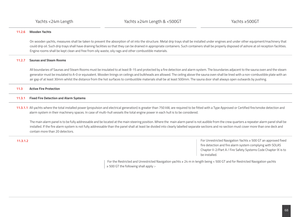# **11.2.6 Wooden Yachts**

On wooden yachts, measures shall be taken to prevent the absorption of oil into the structure. Metal drip trays shall be installed under engines and under other equipment/machinery that could drip oil. Such drip trays shall have draining facilities so that they can be drained in appropriate containers. Such containers shall be properly disposed of ashore at oil reception facilities. Engine rooms shall be kept clean and free from oily waste, oily rags and other combustible materials.

# **11.2.7 Saunas and Steam Rooms**

All boundaries of Saunas and Steam Rooms must be insulated to at least B-15 and protected by a fire detection and alarm system. The boundaries adjacent to the sauna oven and the steam generator must be insulated to A-0 or equivalent. Wooden linings on ceilings and bulkheads are allowed. The ceiling above the sauna oven shall be lined with a non-combustible plate with an air gap of at least 30mm whilst the distance from the hot surfaces to combustible materials shall be at least 500mm. The sauna door shall always open outwards by pushing.

## **11.3 Active Fire Protection**

### **11.3.1 Fixed Fire Detection and Alarm Systems**

**11.3.1.1** All yachts where the total installed power (propulsion and electrical generation) is greater than 750 kW, are required to be fitted with a Type Approved or Certified fire/smoke detection and alarm system in their machinery spaces. In case of multi-hull vessels the total engine power in each hull is to be considered.

The main alarm panel is to be fully addressable and be located at the main steering position. Where the main alarm panel is not audible from the crew quarters a repeater alarm panel shall be installed. If the fire alarm system is not fully addressable than the panel shall at least be divided into clearly labelled separate sections and no section must cover more than one deck and contain more than 20 detectors.

**11.3.1.2** For Unrestricted Navigation Yachts ≥ 500 GT an approved fixed fire detection and fire alarm system complying with SOLAS Chapter II-2/Part A / Fire Safety Systems Code Chapter IX is to be installed.

> For the Restricted and Unrestricted Navigation yachts ≥ 24 m in length being < 500 GT and for Restricted Navigation yachts ≥ 500 GT the following shall apply :-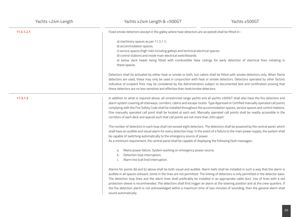| 11.3.1.2.1 | Fixed smoke detectors (except in the galley where heat detectors are accepted) shall be fitted in:-                                                                                                                                                                                                                                                                                                                                                                                                                                                                                                                                                                                                             |
|------------|-----------------------------------------------------------------------------------------------------------------------------------------------------------------------------------------------------------------------------------------------------------------------------------------------------------------------------------------------------------------------------------------------------------------------------------------------------------------------------------------------------------------------------------------------------------------------------------------------------------------------------------------------------------------------------------------------------------------|
|            | a) machinery spaces as per 11.3.1.1;<br>b) accommodation spaces;<br>c) service spaces (high risk) including galleys and technical electrical spaces;<br>d) control stations and inside main electrical switchboards;<br>e) below deck heads being fitted with combustible false ceilings for early detection of electrical fires initiating in<br>these spaces.                                                                                                                                                                                                                                                                                                                                                 |
|            | Detectors shall be activated by either heat or smoke or both, but cabins shall be fitted with smoke detectors only. When flame<br>detectors are used, these may only be used in conjunction with heat or smoke detectors. Detectors operated by other factors<br>indicative of incipient fires may be considered by the Administration subject to documented test and certification proving that<br>these detectors are no less sensitive and effective than heat/smoke detectors.                                                                                                                                                                                                                              |
| 11.3.1.3   | In addition to what is required above, all unrestricted range yachts and all yachts ≥500GT shall also have the fire detection and<br>alarm system covering all stairways, corridors, cabins and escape routes. Type Approved or Certified manually operated call points<br>complying with the Fire Safety Code shall be installed throughout the accommodation spaces, service spaces and control stations.<br>One manually operated call point shall be located at each exit. Manually operated call points shall be readily accessible in the<br>corridors of each deck and spaced such that call points are not more than 20m apart.                                                                         |
|            | The number of detectors in each loop shall not exceed eight detectors. The detectors shall be powered by the central panel, which<br>shall have an audible and visual alarm for every detection loop. In the event of a failure to the main power supply, the system shall<br>be capable of switching automatically to the emergency source of power.<br>As a minimum requirement, the central panel shall be capable of displaying the following fault messages:-                                                                                                                                                                                                                                              |
|            | Mains power failure. System working on emergency power source;<br>a.<br>Detection loop interruption;<br>b.<br>Alarm line (call line) interruption.<br>C.                                                                                                                                                                                                                                                                                                                                                                                                                                                                                                                                                        |
|            | Alarms for points (b) and (c) above shall be both visual and audible. Alarm bells shall be installed in such a way that the alarm is<br>audible in all spaces onboard. Joints in the lines are not permitted. The linking of detectors is only permitted in the detector base.<br>The detection loop lines and the alarm lines shall preferably be installed in an appropriate cable duct. Use of lines with a red<br>protection sleeve is recommended. The detectors shall first trigger an alarm at the steering position and at the crew quarters. If<br>the fire detection alarm is not acknowledged within a maximum time of two minutes of sounding, then the general alarm shall<br>sound automatically. |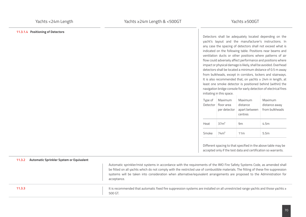# **11.3.1.4 Positioning of Detectors**

Detectors shall be adequately located depending on the yacht's layout and the manufacturer's instructions. In any case the spacing of detectors shall not exceed what is indicated on the following table. Positions near beams and ventilation ducts or other positions where patterns of air flow could adversely affect performance and positions where impact or physical damage is likely, shall be avoided. Overhead detectors shall be located a minimum distance of 0.5 m away from bulkheads, except in corridors, lockers and stairways. It is also recommended that, on yachts ≥ 24m in length, at least one smoke detector is positioned behind (within) the navigation bridge console for early detection of electrical fires initiating in this space.

| Type of  | Maximum          | Maximum         | Maximum        |
|----------|------------------|-----------------|----------------|
| Detector | floor area       | distance        | distance away  |
|          | per detector     | apart between   | from bulkheads |
|          |                  | centres         |                |
| Heat     | 37m <sup>2</sup> | 9m              | 4.5m           |
| Smoke    | 74m <sup>2</sup> | 11 <sub>m</sub> | 5.5m           |

Different spacing to that specified in the above table may be accepted only if the test data and certification so warrants.

| Automatic Sprinkler System or Equivalent<br>11.3.2 | Automatic sprinkler/mist systems in accordance with the requirements of the IMO Fire Safety Systems Code, as amended shall<br>be fitted on all yachts which do not comply with the restricted use of combustible materials. The fitting of these fire suppression<br>systems will be taken into consideration when alternative/equivalent arrangements are proposed to the Administration for<br>acceptance. |
|----------------------------------------------------|--------------------------------------------------------------------------------------------------------------------------------------------------------------------------------------------------------------------------------------------------------------------------------------------------------------------------------------------------------------------------------------------------------------|
| 11.3.3                                             | It is recommended that automatic fixed fire suppression systems are installed on all unrestricted range yachts and those yachts $\ge$<br>500 GT.                                                                                                                                                                                                                                                             |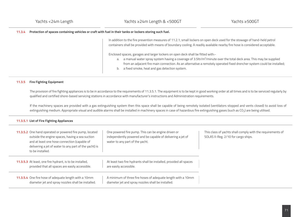## **11.3.4 Protection of spaces containing vehicles or craft with fuel in their tanks or lockers storing such fuel.**

In addition to the fire prevention measures of 11.2.1, small lockers on open deck used for the stowage of hand-held petrol containers shall be provided with means of boundary cooling. A readily available nearby fire hose is considered acceptable.

Enclosed spaces, garages and larger lockers on open deck shall be fitted with:-

- a. a manual water spray system having a coverage of  $3.5$ ltr/m<sup>2</sup>/minute over the total deck area. This may be supplied from an adjacent fire main connection. As an alternative a remotely operated fixed drencher system could be installed;
- b. a fixed smoke, heat and gas detection system.

## **11.3.5 Fire Fighting Equipment**

The provision of fire fighting appliances is to be in accordance to the requirements of 11.3.5.1. The equipment is to be kept in good working order at all times and is to be serviced regularly by qualified and certified shore-based servicing stations in accordance with manufacturer's instructions and Administration requirements.

If the machinery spaces are provided with a gas extinguishing system then this space shall be capable of being remotely isolated (ventilators stopped and vents closed) to avoid loss of extinguishing medium. Appropriate visual and audible alarms shall be installed in machinery spaces in case of hazardous fire extinguishing gases (such as CO<sub>2</sub>) are being utilised.

# **11.3.5.1 List of Fire Fighting Appliances**

| 11.3.5.2 One hand operated or powered fire pump, located<br>outside the engine spaces, having a sea suction<br>and at least one hose connection (capable of<br>delivering a jet of water to any part of the yacht) is<br>to be installed. | One powered fire pump. This can be engine driven or<br>independently powered and be capable of delivering a jet of<br>water to any part of the yacht. | This class of yachts shall comply with the requirements of<br>SOLAS II-Reg. 2/10 for cargo ships. |
|-------------------------------------------------------------------------------------------------------------------------------------------------------------------------------------------------------------------------------------------|-------------------------------------------------------------------------------------------------------------------------------------------------------|---------------------------------------------------------------------------------------------------|
| <b>11.3.5.3</b> At least, one fire hydrant, is to be installed,<br>provided that all spaces are easily accessible.                                                                                                                        | At least two fire hydrants shall be installed, provided all spaces<br>are easily accessible.                                                          |                                                                                                   |
| 11.3.5.4 One fire hose of adequate length with a 10mm<br>diameter jet and spray nozzles shall be installed.                                                                                                                               | A minimum of three fire hoses of adequate length with a 10mm<br>diameter jet and spray nozzles shall be installed.                                    |                                                                                                   |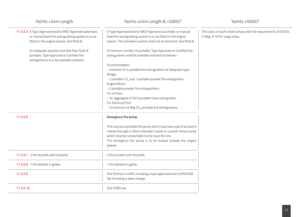| Yachts <24m Length                                                                                                                                       | Yachts ≥24m Length & <500GT                                                                                                                                                                    | Yachts ≥500GT                                                                                    |
|----------------------------------------------------------------------------------------------------------------------------------------------------------|------------------------------------------------------------------------------------------------------------------------------------------------------------------------------------------------|--------------------------------------------------------------------------------------------------|
| 11.3.5.5 A Type Approved and/or MED Approved automatic<br>or manual fixed fire extinguishing system is to be<br>fitted in the engine spaces. See Note 8. | A Type Approved and/or MED Approved automatic or manual<br>fixed fire extinguishing system is to be fitted in the engine<br>spaces. The activation system shall not be electrical. See Note 8. | This class of yacht shall comply with the requirements of SOLAS<br>II-Reg. 2/10 for cargo ships. |
| An adequate quantity (not less than five) of<br>portable, Type Approved or Certified fire<br>extinguishers is to be available onboard.                   | A minimum number of portable, Type Approved or Certified fire<br>extinguishers shall be available onboard as follows :-                                                                        |                                                                                                  |
|                                                                                                                                                          | Accommodation:                                                                                                                                                                                 |                                                                                                  |
|                                                                                                                                                          | - minimum of 4 portable fire extinguishers of adequate type;<br>Bridge:                                                                                                                        |                                                                                                  |
|                                                                                                                                                          | - 1 portable CO <sub>2</sub> and 1 portable powder fire extinguisher;<br>Engine Room:                                                                                                          |                                                                                                  |
|                                                                                                                                                          | - 2 portable powder fire extinguishers;                                                                                                                                                        |                                                                                                  |
|                                                                                                                                                          | For oil fires:                                                                                                                                                                                 |                                                                                                  |
|                                                                                                                                                          | - An aggregate of 20 lt portable foam extinguisher                                                                                                                                             |                                                                                                  |
|                                                                                                                                                          | For Electrical Fire:                                                                                                                                                                           |                                                                                                  |
|                                                                                                                                                          | - A minimum of 9Kg CO <sub>2</sub> portable fire extinguishers                                                                                                                                 |                                                                                                  |
| 11.3.5.6                                                                                                                                                 | <b>Emergency fire pump.</b>                                                                                                                                                                    |                                                                                                  |
|                                                                                                                                                          | This may be a portable fire pump which may have a jet of at least 6                                                                                                                            |                                                                                                  |
|                                                                                                                                                          | metres through a 10mm diameter nozzle or a power driven pump                                                                                                                                   |                                                                                                  |
|                                                                                                                                                          | which shall be connectable to the main fire line.                                                                                                                                              |                                                                                                  |
|                                                                                                                                                          | The emergency fire pump is to be located outside the engine                                                                                                                                    |                                                                                                  |
|                                                                                                                                                          | spaces.                                                                                                                                                                                        |                                                                                                  |
| 11.3.5.7 2 fire buckets with lanyards.                                                                                                                   | 2 fire buckets with lanyards.                                                                                                                                                                  |                                                                                                  |
| 11.3.5.8 1 fire blanket in galley.                                                                                                                       | 1 fire blanket in galley.                                                                                                                                                                      |                                                                                                  |
| 11.3.5.9                                                                                                                                                 | One fireman's outfit, including a type approved and certified BA<br>Set Including a spare charge.                                                                                              |                                                                                                  |
| 11.3.5.10                                                                                                                                                | One EEBD set.                                                                                                                                                                                  |                                                                                                  |
|                                                                                                                                                          |                                                                                                                                                                                                |                                                                                                  |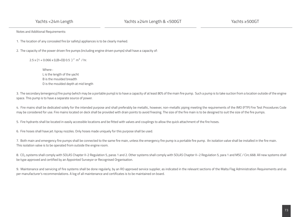Yachts <24m Length

Notes and Additional Requirements:

1. The location of any concealed fire (or safety) appliances is to be clearly marked.

2. The capacity of the power driven fire pumps (including engine driven pumps) shall have a capacity of:

2.5 x {1 + 0.066 x (L(B+D)) 0.5 }<sup>2</sup> m<sup>3</sup> / hr.

 Where : L is the length of the yacht B is the moulded breadth D is the moulded depth at mid length

3. The secondary (emergency) fire pump (which may be a portable pump) is to have a capacity of at least 80% of the main fire pump. Such a pump is to take suction from a location outside of the engine space. This pump is to have a separate source of power.

4. Fire mains shall be dedicated solely for the intended purpose and shall preferably be metallic, however, non-metallic piping meeting the requirements of the IMO (FTP) Fire Test Procedures Code may be considered for use. Fire mains located on deck shall be provided with drain points to avoid freezing. The size of the fire main is to be designed to suit the size of the fire pumps.

5. Fire hydrants shall be located in easily accessible locations and be fitted with valves and couplings to allow the quick attachment of the fire hoses.

6. Fire hoses shall have jet /spray nozzles. Only hoses made uniquely for this purpose shall be used.

7. Both main and emergency fire pumps shall be connected to the same fire main, unless the emergency fire pump is a portable fire pump. An isolation valve shall be installed in the fire main. This isolation valve is to be operated from outside the engine room.

8. CO<sub>2</sub> systems shall comply with SOLAS Chapter II-2 Regulation 5, paras 1 and 2. Other systems shall comply with SOLAS Chapter II-2 Regulation 5, para 1 and MSC / Circ.668. All new systems shall be type approved and certified by an Appointed Surveyor or Recognised Organisation.

9. Maintenance and servicing of fire systems shall be done regularly, by an RO approved service supplier, as indicated in the relevant sections of the Malta Flag Administration Requirements and as per manufacturer's recommendations. A log of all maintenance and certificates is to be maintained on board.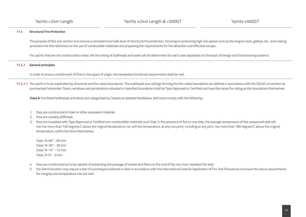# **11.4 Structural Fire Protection**

The purpose of this sub-section is to ensure a consistent and safe level of structural fire protection, focusing on protecting high risk spaces such as the engine room, galleys, etc. and making provisions for the restriction on the use of combustible materials and proposing the requirements for fire detection and effective escape.

For yachts that are not constructed in steel, the fire rating of bulkheads and walls will be determined for each case separately on the basis of design and functional equivalence.

## **11.4.1 General principles**

In order to ensure containment of fires in the space of origin, the herebelow functional requirements shall be met.

**11.4.1.1** The yacht is to be subdivided by structural and fire-rated boundaries. The bulkheads and ceilings forming the fire-rated boundaries are defined in accordance with the SOLAS convention as summarised hereunder. Doors, windows and penetrations situated in classified boundaries shall be Type Approved or Certified and have the same fire rating as the boundaries themselves.

**Class A** Fire Rated bulkheads and decks are categorised by Classes as detailed herebelow, and must comply with the following :

- 1. they are constructed of steel or other equivalent material:
- 2. they are suitably stiffened;
- 3. they are insulated with Type Approved or Certified non-combustible materials such that, in the presence of fire on one side, the average temperature of the unexposed side will not rise more than 140 degrees C above the original temperature, nor will the temperature, at any one point, including at any joint, rise more than 180 degrees C above the original temperature, within the time listed below:

Class "A-60" - 60 min Class "A-30" - 30 min Class "A-15" - 15 min Class "A-0" - 0 min

- 4. they are constructed as to be capable of preventing the passage of smoke and flame to the end of the one-hour standard fire test;
- 5. the Administration may require a test of a prototype bulkhead or deck in accordance with the International Code for Application of Fire Test Procedures to ensure the above requirements for integrity and temperature rise are met.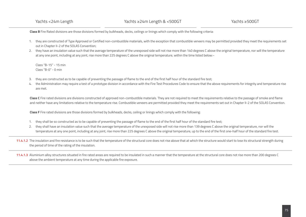**Class B** Fire Rated divisions are those divisions formed by bulkheads, decks, ceilings or linings which comply with the following criteria:

- 1. they are constructed of Type Approved or Certified non-combustible materials, with the exception that combustible veneers may be permitted provided they meet the requirements set out in Chapter II-2 of the SOLAS Convention;
- 2. they have an insulation value such that the average temperature of the unexposed side will not rise more than 140 degrees C above the original temperature, nor will the temperature at any one point, including at any joint, rise more than 225 degrees C above the original temperature, within the time listed below:~

Class "B-15" - 15 min  $Class "B-0" - 0 min$ 

- 3. they are constructed as to be capable of preventing the passage of flame to the end of the first half hour of the standard fire test;
- the Administration may require a test of a prototype division in accordance with the Fire Test Procedures Code to ensure that the above requirements for integrity and temperature rise are met.

Class C Fire rated divisions are divisions constructed of approved non-combustible materials. They are not required to meet the requirements relative to the passage of smoke and flame and neither have any limitations relative to the temperature rise. Combustible veneers are permitted provided they meet the requirements set out in Chapter II-2 of the SOLAS Convention.

**Class F** Fire rated divisions are those divisions formed by bulkheads, decks, ceiling or linings which comply with the following:

- 1. they shall be so constructed as to be capable of preventing the passage of flame to the end of the first half hour of the standard fire test;
- 2. they shall have an insulation value such that the average temperature of the unexposed side will not rise more than 139 degrees C above the original temperature, nor will the temperature at any one point, including at any joint, rise more than 225 degrees C above the original temperature, up to the end of the first one-half hour of the standard fire test.

**11.4.1.2** The insulation and fire resistance is to be such that the temperature of the structural core does not rise above that at which the structure would start to lose its structural strength during the period of time of the rating of the insulation.

**11.4.1.3** Aluminium alloy structures situated in fire rated areas are required to be insulated in such a manner that the temperature at the structural core does not rise more than 200 degrees C above the ambient temperature at any time during the applicable fire exposure.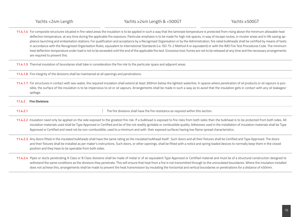**11.4.1.4** For composite structures situated in fire rated areas the insulation is to be applied in such a way that the laminate temperature is protected from rising above the minimum allowable heat deflection temperature, at any time during the applicable fire exposure. Particular emphasis is to be made for high risk spaces, in way of escape routes, in muster areas and in life saving appliance launching and embarkation stations. For qualification and acceptance by a Recognised Organisation or by the Administration, fire rated bulkheads shall be certified by means of tests in accordance with the Recognised Organisation Rules, equivalent to International Standards (i.e. ISO 75-2 Method A or equivalent) or with the IMO Fire Test Procedures Code. The minimum heat deflection temperature under load is not to be exceeded until the end of the applicable fire test. Excessive toxic fumes are not to be released at any time and the necessary arrangements are required to prevent this.

**11.4.1.5** Thermal insulation of boundaries shall take in consideration the fire risk to the particular space and adjacent areas.

**11.4.1.6** Fire integrity of the divisions shall be maintained at all openings and penetrations.

**11.4.1.7** For structures in contact with sea-water, the required insulation shall extend at least 300mm below the lightest waterline. In spaces where penetration of oil products or oil vapours is possible, the surface of the insulation is to be impervious to oil or oil vapours. Arrangements shall be made in such a way as to avoid that the insulation gets in contact with any oil leakages/ spillage.

**11.4.2 Fire Divisions**

**11.4.2.1 11.4.2.1 The fire divisions shall have the fire resistance as required within this section.** 

- **11.4.2.2** Insulation need only be applied on the side exposed to the greatest fire risk. If a bulkhead is exposed to fire risks from both sides then the bulkhead is to be protected from both sides. All insulation materials used shall be Type Approved or Certified and be of the not readily ignitable or combustible quality. Adhesives used in the installation of insulation materials shall be Type Approved or Certified and need not be non-combustible, used to a minimum and with their exposed surfaces having low flame spread characteristics.
- **11.4.2.3** Any doors fitted in the insulated bulkheads shall have the same rating as the insulated bulkhead itself. Such doors and all their fixtures shall be Certified and Type Approved. The doors and their fixtures shall be installed as per maker's instructions. Such doors, or other openings, shall be fitted with a notice and spring loaded devices to normally keep them in the closed position and they have to be openable from both sides.
- **11.4.2.4** Pipes or ducts penetrating A Class or B Class divisions shall be made of metal or of an equivalent Type Approved or Certified material and must be of a structural construction designed to withstand the same conditions as the divisions they penetrate. This will ensure that heat from a fire is not transmitted through to the uninsulated boundaries. Where the insulation installed does not achieve this, arrangements shall be made to prevent the heat transmission by insulating the horizontal and vertical boundaries or penetrations for a distance of 450mm.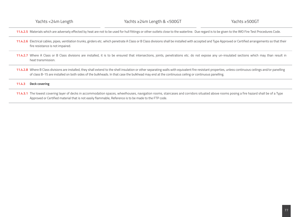**11.4.2.5** Materials which are adversely effected by heat are not to be used for hull fittings or other outlets close to the waterline. Due regard is to be given to the IMO Fire Test Procedures Code.

- **11.4.2.6** Electrical cables, pipes, ventilation trunks, girders etc. which penetrate A Class or B Class divisions shall be installed with accepted and Type Approved or Certified arrangements so that their fire resistance is not impaired.
- **11.4.2.7** Where A Class or B Class divisions are installed, it is to be ensured that intersections, joints, penetrations etc. do not expose any un-insulated sections which may than result in heat transmission.
- 11.4.2.8 Where B Class divisions are installed, they shall extend to the shell insulation or other separating walls with equivalent fire resistant properties, unless continuous ceilings and/or panelling of class B-15 are installed on both sides of the bulkheads. In that case the bulkhead may end at the continuous ceiling or continuous panelling.

## **11.4.3 Deck covering**

**11.4.3.1** The lowest covering layer of decks in accommodation spaces, wheelhouses, navigation rooms, staircases and corridors situated above rooms posing a fire hazard shall be of a Type Approved or Certified material that is not easily flammable, Reference is to be made to the FTP code.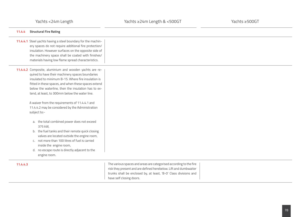| 11.4.4   | <b>Structural Fire Rating</b>                                                                                                                                                                                                                                                                                                                                                                                                                                                                                                                                                                                                                                                                                                                                         |                                                                                                                                                                                                                                        |  |
|----------|-----------------------------------------------------------------------------------------------------------------------------------------------------------------------------------------------------------------------------------------------------------------------------------------------------------------------------------------------------------------------------------------------------------------------------------------------------------------------------------------------------------------------------------------------------------------------------------------------------------------------------------------------------------------------------------------------------------------------------------------------------------------------|----------------------------------------------------------------------------------------------------------------------------------------------------------------------------------------------------------------------------------------|--|
|          | 11.4.4.1 Steel yachts having a steel boundary for the machin-<br>ery spaces do not require additional fire protection/<br>insulation. However surfaces on the opposite side of<br>the machinery space shall be coated with finishes/<br>materials having low flame spread characteristics.                                                                                                                                                                                                                                                                                                                                                                                                                                                                            |                                                                                                                                                                                                                                        |  |
|          | 11.4.4.2 Composite, aluminium and wooden yachts are re-<br>quired to have their machinery spaces boundaries<br>insulated to minimum B-15. Where fire insulation is<br>fitted in these spaces, and when these spaces extend<br>below the waterline, then the insulation has to ex-<br>tend, at least, to 300mm below the water line.<br>A waiver from the requirements of 11.4.4.1 and<br>11.4.4.2 may be considered by the Administration<br>subject to:-<br>a. the total combined power does not exceed<br>375 kW,<br>b. the fuel tanks and their remote quick closing<br>valves are located outside the engine room,<br>c. not more than 100 litres of fuel is carried<br>inside the engine room,<br>d. no escape route is directly adjacent to the<br>engine room. |                                                                                                                                                                                                                                        |  |
| 11.4.4.3 |                                                                                                                                                                                                                                                                                                                                                                                                                                                                                                                                                                                                                                                                                                                                                                       | The various spaces and areas are categorised according to the fire<br>risk they present and are defined herebelow. Lift and dumbwaiter<br>trunks shall be enclosed by, at least, 'B-O' Class divisions and<br>have self closing doors. |  |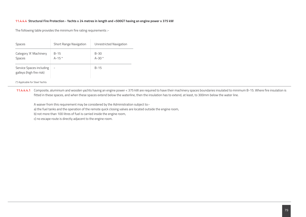## **11.4.4.4 Structural Fire Protection - Yachts ≥ 24 metres in length and <500GT having an engine power ≥ 375 kW**

The following table provides the minimum fire rating requirements :-

| <b>Spaces</b>                                        | <b>Short Range Navigation</b> | Unrestricted Navigation |
|------------------------------------------------------|-------------------------------|-------------------------|
| Category 'A' Machinery<br><b>Spaces</b>              | $B-15$<br>$A-15*$             | $B-30$<br>$A-30*$       |
| Service Spaces including<br>galleys (high fire risk) | $\overline{\phantom{0}}$      | $B-15$                  |

(\*) Applicable for Steel Yachts

**11.4.4.4.1** Composite, aluminium and wooden yachts having an engine power < 375 kW are required to have their machinery spaces boundaries insulated to minimum B-15. Where fire insulation is fitted in these spaces, and when these spaces extend below the waterline, then the insulation has to extend, at least, to 300mm below the water line.

A waiver from this requirement may be considered by the Administration subject to:-

a) the fuel tanks and the operation of the remote quick closing valves are located outside the engine room,

b) not more than 100 litres of fuel is carried inside the engine room,

c) no escape route is directly adjacent to the engine room.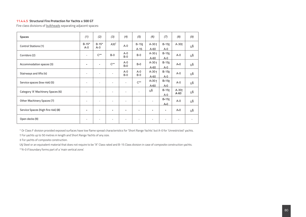# **11.4.4.5 Structural Fire Protection for Yachts ≥ 500 GT**

Fire class divisions of **bulkheads** separating adjacent spaces:

| <b>Spaces</b>                       | (1)                | (2)                | (3)             | (4)                      | (5)                      | (6)               | (7)                          | (8)               | (9) |
|-------------------------------------|--------------------|--------------------|-----------------|--------------------------|--------------------------|-------------------|------------------------------|-------------------|-----|
| <b>Control Stations (1)</b>         | $B-15*$<br>$A - 0$ | $B-15*$<br>$A - 0$ | $A30^{\dagger}$ | $A-0$                    | $B-15t$<br>$A-15$        | $A-30+$<br>$A-60$ | $B-15t$<br>$A-0$             | $A-30+$           | UŜ  |
| Corridors (2)                       | ۰                  | $C^{\star\star}$   | $B-0$           | A-0<br>$B-0$             | $B-0$                    | $A-30+$<br>$A-60$ | $B-15+$<br>$A-0$             | $A-0$             | υ§  |
| Accommodation spaces (3)            | ÷.                 | $\blacksquare$     | $C^{**}$        | $A - 0$<br>$B-0$         | $B-0$                    | $A-30+$<br>$A-60$ | $B-15+$<br>$A-0$             | $A-0$             | UŜ  |
| Stairways and lifts (4)             | ۰                  | ٠                  |                 | $A - 0$<br>$B-0$         | $A - 0$<br>$B-0$         | $A-30+$<br>$A-60$ | $B-15+$<br>$A-0$             | $A-0$             | υ§  |
| Service spaces (low risk) (5)       | ۰                  | $\blacksquare$     |                 | $\blacksquare$           | $C^{**}$                 | $A-30+$<br>$A-60$ | $B-151$<br>$A-0$             | $A-0$             | υ§  |
| Category 'A' Machinery Spaces (6)   | ÷.                 | ۰                  |                 | ٠                        | $\sim$                   | υ§                | $B-15t$<br>$A-0$             | $A-30+$<br>$A-60$ | UŜ  |
| Other Machinery Spaces (7)          |                    | ۰                  |                 | $\overline{\phantom{0}}$ | $\overline{\phantom{0}}$ | $\blacksquare$    | $B-151$<br>$A-0$             | $A-0$             | υ§  |
| Service Spaces (high fire risk) (8) |                    | ۰                  |                 |                          | $\overline{\phantom{0}}$ |                   | $\qquad \qquad \blacksquare$ | $A-0$             | UŜ  |
| Open decks (9)                      |                    | ٠                  |                 |                          |                          |                   | ٠                            |                   |     |

\* Or Class F division provided exposed surfaces have low flame spread characteristics for 'Short Range Yachts' but A-0 for 'Unrestricted' yachts.

† For yachts up to 50 metres in length and Short Range Yachts of any size.

‡ For yachts of composite construction.

U§ Steel or an equivalent material that does not require to be "A" Class rated and B-15 Class division in case of composite construction yachts. \*\*A-0 if boundary forms part of a 'main vertical zone'.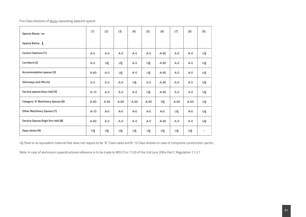# Fire Class divisions of decks separating adjacent spaces

| Spaces Above $\rightarrow$               | (1)     | (2)     | (3)     | (4)     | (5)     | (6)    | (7)     | (8)     | (9) |
|------------------------------------------|---------|---------|---------|---------|---------|--------|---------|---------|-----|
| Spaces Below                             |         |         |         |         |         |        |         |         |     |
| <b>Control Stations (1)</b>              | $A - 0$ | $A-0$   | $A-0$   | $A-0$   | $A-0$   | $A-60$ | $A-0$   | $A-0$   | U§  |
| Corridors (2)                            | $A - 0$ | U§      | U§      | $A - 0$ | U§      | $A-60$ | $A - 0$ | $A-0$   | U§  |
| <b>Accommodation spaces (3)</b>          | $A-60$  | $A-0$   | U§      | $A - 0$ | U§      | A-60   | $A - 0$ | $A - 0$ | U§  |
| Stairways and lifts (4)                  | $A-0$   | $A - 0$ | $A - 0$ | U§      | $A-0$   | $A-60$ | $A-0$   | $A-0$   | U§  |
| Service spaces (low risk) (5)            | $A-15$  | $A-0$   | $A - 0$ | $A-0$   | U§      | $A-60$ | $A - 0$ | $A-0$   | U§  |
| <b>Category 'A' Machinery Spaces (6)</b> | $A-60$  | $A-60$  | $A-60$  | $A-60$  | $A-60$  | U§     | $A-60$  | $A-60$  | U§  |
| <b>Other Machinery Spaces (7)</b>        | $A-15$  | $A-0$   | $A-0$   | $A - 0$ | $A-0$   | $A-0$  | U§      | $A-0$   | U§  |
| Service Spaces (high fire risk) (8)      | $A-60$  | $A-0$   | $A-0$   | $A-0$   | $A - 0$ | $A-60$ | $A-0$   | $A-0$   | U§  |
| Open decks (9)                           | U§      | U§      | U§      | U§      | U§      | U§     | U§      | U§      |     |

U§ Steel or an equivalent material that does not require to be "A" Class rated and B-15 Class division in case of composite construction yachts.

Note: In case of aluminium superstructures reference is to be made to MSC/Circ.1120 of the 2nd June 2004 Part C Regulation 11.3.1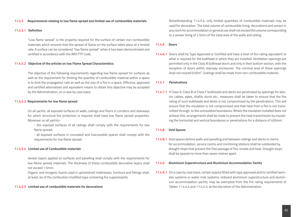#### **11.4.5 Requirements relating to low flame spread and limited use of combustible materials.**

#### **11.4.5.1 Definition**

"Low flame spread" is the property required for the surface of certain non-combustible materials which ensures that the spread of flame on the surface takes place at a limited rate. A surface can be considered "low flame spread" when it has been demonstrated and certified in accordance with the IMO FTP Code.

#### **11.4.5.2 Objective of the articles on low Flame Spread Characteristics**

The objective of the following requirements regarding low flame spread for surfaces as well as the requirement for limiting the quantity of combustible material within a space is to limit the propagation rate as well as the size of a fire in a space. Effective, approved and certified alternatives and equivalent means to obtain this objective may be accepted by the Administration, on a case by case basis.

#### **11.4.5.3 Requirements for low flame spread**

On all yachts, all exposed surfaces of walls, ceilings and floors in corridors and stairways for which structural fire protection is required shall have low flame spread properties. Moreover on all yachts:-

- the exposed surfaces of all ceilings shall comply with the requirements for low flame spread;
- all exposed surfaces in concealed and inaccessible spaces shall comply with the requirements for low flame spread.

## **11.4.5.4 Limited use of Combustible materials**

Veneer layers applied on surfaces and panelling shall comply with the requirements for low flame spread materials. The thickness of these combustible decorative layers shall not exceed 1.5mm.

Organic and inorganic foams used in upholstered mattresses, furniture and fittings shall, at least, be of the combustion modified type containing fire suppressants.

## **11.4.5.5 Limited use of combustible materials for decorations**

Notwithstanding 11.4.5.4, only limited quantities of combustible materials may be used for decoration. The total volume of combustible lining, decorations and veneer in any room for accommodation or general use shall not exceed the volume corresponding to a veneer lining of 2.5mm of the total area of the walls and ceiling.

#### **11.4.6 Doors**

**11.4.6.1** Doors shall be Type Approved or Certified and have a level of fire rating equivalent to what is required for the bulkhead in which they are installed. Ventilation openings are permitted only in the Class B bulkhead doors and only in their bottom section, with the exception of doors within stairway enclosures. The nominal area of these openings shall not exceed 0.05m². Gratings shall be made from non-combustible material.

#### **11.4.7 Penetrations**

**11.4.7.1** If Class A, Class B or Class F bulkheads and decks are penetrated by openings for electric cables, pipes, shafts, ducts etc., measures shall be taken to ensure that the fire rating of such bulkheads and decks is not compromised by the penetrations. This will ensure that the insulation is not compromised and that heat from a fire is not transmitted through, to the uninsulated boundaries. Where the insulation installed does not achieve this, arrangements shall be made to prevent the heat transmission by insulating the horizontal and vertical boundaries or penetrations for a distance of 450mm.

#### **11.4.8 Void Spaces**

**11.4.8.1** Void spaces behind walls and panelling and between ceilings and decks in rooms for accommodation, service rooms and monitoring stations shall be subdivided by draught stops that prevent the free passage of fire, smoke and heat. Draught stops shall be spaced no more than seven metres apart.

#### **11.4.9 Aluminium Superstructure and Aluminium Accommodation Yachts**

**11.4.9.1** On a case by case basis, certain spaces fitted with type approved and/or certified sprinkler systems or water mist systems, onboard aluminium superstructure and aluminium accommodation yachts, may be exempted from the fire rating requirements of Tables 11.4.4.4 and 11.4.4.5, at the discretion of the Administration.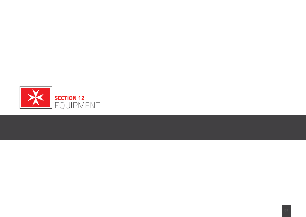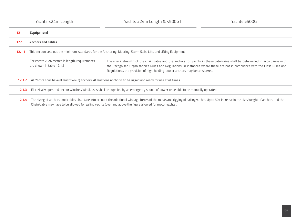| 12     | <b>Equipment</b>                                                                                                    |                                                                                                                                                                                                                                                                                                                                             |  |  |
|--------|---------------------------------------------------------------------------------------------------------------------|---------------------------------------------------------------------------------------------------------------------------------------------------------------------------------------------------------------------------------------------------------------------------------------------------------------------------------------------|--|--|
| 12.1   | <b>Anchors and Cables</b>                                                                                           |                                                                                                                                                                                                                                                                                                                                             |  |  |
| 12.1.1 | This section sets out the minimum standards for the Anchoring, Mooring, Storm Sails, Lifts and Lifting Equipment    |                                                                                                                                                                                                                                                                                                                                             |  |  |
|        | For yachts < 24 metres in length, requirements<br>are shown in table 12.1.5.                                        | The size / strength of the chain cable and the anchors for yachts in these categories shall be determined in accordance with<br>the Recognised Organisation's Rules and Regulations. In instances where these are not in compliance with the Class Rules and<br>Regulations, the provision of high-holding power anchors may be considered. |  |  |
| 12.1.2 | All Yachts shall have at least two (2) anchors. At least one anchor is to be rigged and ready for use at all times. |                                                                                                                                                                                                                                                                                                                                             |  |  |
| 12.1.3 |                                                                                                                     | Electrically operated anchor winches/windlasses shall be supplied by an emergency source of power or be able to be manually operated.                                                                                                                                                                                                       |  |  |
|        |                                                                                                                     |                                                                                                                                                                                                                                                                                                                                             |  |  |

12.1.4 The sizing of anchors and cables shall take into account the additional windage forces of the masts and rigging of sailing yachts. Up to 50% increase in the size/weight of anchors and the Chain/cable may have to be allowed for sailing yachts (over and above the figure allowed for motor yachts).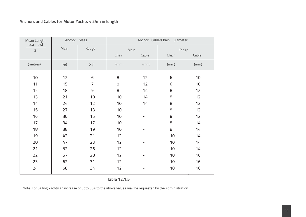# **Anchors and Cables for Motor Yachts < 24m in length**

| Mean Length<br>$Loa + LwI$ | Anchor Mass |              | Anchor Cable/Chain Diameter |                |                 |                 |
|----------------------------|-------------|--------------|-----------------------------|----------------|-----------------|-----------------|
| $\overline{2}$             | Main        | Kedge        |                             | Main           | Kedge           |                 |
|                            |             |              | Chain                       | Cable          | Chain           | Cable           |
| (metres)                   | (kg)        | (kg)         | (mm)                        | (mm)           | (mm)            | (mm)            |
| 10                         | 12          | $\,$ 6 $\,$  | 8                           | 12             | 6               | 10 <sup>°</sup> |
| 11                         | 15          | 7            | 8                           | 12             | 6               | 10 <sup>°</sup> |
| 12                         | 18          | $\mathsf{S}$ | 8                           | 14             | 8               | 12              |
| 13                         | 21          | 10           | 10                          | 14             | 8               | 12              |
| 14                         | 24          | 12           | 10                          | 14             | 8               | 12              |
| 15                         | 27          | 13           | 10                          | $\blacksquare$ | 8               | 12              |
| 16                         | 30          | 15           | 10                          |                | 8               | 12              |
| 17                         | 34          | 17           | 10                          | ÷.             | 8               | 14              |
| 18                         | 38          | 19           | 10                          | -              | 8               | 14              |
| 19                         | 42          | 21           | 12                          | Ξ.             | 10              | 14              |
| 20                         | 47          | 23           | 12                          |                | 10              | 14              |
| 21                         | 52          | 26           | 12                          | ۰              | 10              | 14              |
| 22                         | 57          | 28           | 12                          | -              | 10              | 16              |
| 23                         | 62          | 31           | 12                          | -              | 10 <sup>°</sup> | 16              |
| 24                         | 68          | 34           | 12                          |                | 10              | 16              |

**Table 12.1.5**

Note: For Sailing Yachts an increase of upto 50% to the above values may be requested by the Administration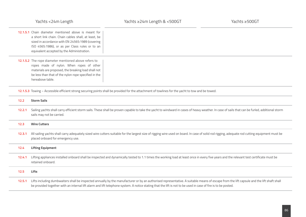|        | Yachts <24m Length                                                                                                                                                                                                                                               | Yachts ≥24m Length & <500GT                                                                                                                                                                                                                                                                                                                                | Yachts ≥500GT |
|--------|------------------------------------------------------------------------------------------------------------------------------------------------------------------------------------------------------------------------------------------------------------------|------------------------------------------------------------------------------------------------------------------------------------------------------------------------------------------------------------------------------------------------------------------------------------------------------------------------------------------------------------|---------------|
|        | 12.1.5.1 Chain diameter mentioned above is meant for<br>a short link chain. Chain cables shall, at least, be<br>sized in accordance with EN 24565:1989 (covering<br>ISO 4565:1986), or as per Class rules or to an<br>equivalent accepted by the Administration. |                                                                                                                                                                                                                                                                                                                                                            |               |
|        | 12.1.5.2 The rope diameter mentioned above refers to<br>ropes made of nylon. When ropes of other<br>materials are proposed, the breaking load shall not<br>be less than that of the nylon rope specified in the<br>hereabove table.                              |                                                                                                                                                                                                                                                                                                                                                            |               |
|        |                                                                                                                                                                                                                                                                  | 12.1.5.3 Towing - Accessible efficient strong securing points shall be provided for the attachment of towlines for the yacht to tow and be towed.                                                                                                                                                                                                          |               |
| 12.2   | <b>Storm Sails</b>                                                                                                                                                                                                                                               |                                                                                                                                                                                                                                                                                                                                                            |               |
| 12.2.1 | sails may not be carried.                                                                                                                                                                                                                                        | Sailing yachts shall carry efficient storm sails. These shall be proven capable to take the yacht to windward in cases of heavy weather. In case of sails that can be furled, additional storm                                                                                                                                                             |               |
| 12.3   | <b>Wire Cutters</b>                                                                                                                                                                                                                                              |                                                                                                                                                                                                                                                                                                                                                            |               |
| 12.3.1 | placed onboard for emergency use.                                                                                                                                                                                                                                | All sailing yachts shall carry adequately sized wire cutters suitable for the largest size of rigging wire used on board. In case of solid rod rigging, adequate rod cutting equipment must be                                                                                                                                                             |               |
| 12.4   | <b>Lifting Equipment</b>                                                                                                                                                                                                                                         |                                                                                                                                                                                                                                                                                                                                                            |               |
| 12.4.1 | retained onboard.                                                                                                                                                                                                                                                | Lifting appliances installed onboard shall be inspected and dynamically tested to 1.1 times the working load at least once in every five years and the relevant test certificate must be                                                                                                                                                                   |               |
| 12.5   | <b>Lifts</b>                                                                                                                                                                                                                                                     |                                                                                                                                                                                                                                                                                                                                                            |               |
| 12.5.1 |                                                                                                                                                                                                                                                                  | Lifts including dumbwaiters shall be inspected annually by the manufacturer or by an authorised representative. A suitable means of escape from the lift capsule and the lift shaft shall<br>be provided together with an internal lift alarm and lift telephone system. A notice stating that the lift is not to be used in case of fire is to be posted. |               |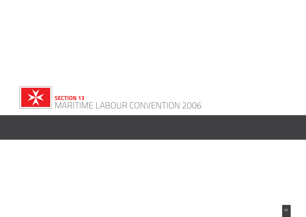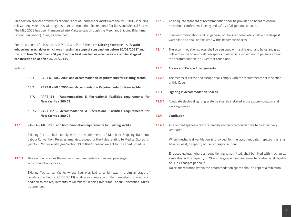This section provides standards of compliance of Commercial Yachts with the MLC 2006, including relevant equivalencies with regards to Accommodation, Recreational Facilities and Medical Stores. The MLC 2006 has been transposed into Maltese Law through the Merchant Shipping (Maritime Labour Convention) Rules, as amended.

For the purpose of this section, in Part A and Part B the term **Existing Yacht** means **"A yacht whose keel was laid or which was in a similar stage of construction before 20/08/2013"** and the term **New Yacht** means **"A yacht whose keel was laid or which was in a similar stage of construction on or after 20/08/2013".**

## Index :-

- **13.1 PART A MLC 2006 and Accommodation Requirements for Existing Yachts**
- **13.7 PART B MLC 2006 and Accommodation Requirements for New Yachts**
- **13.7.1 PART B1 Accommodation & Recreational Facilities requirements for New Yachts ≤ 200 GT**
- **13.7.2 PART B2 Accommodation & Recreational Facilities requirements for New Yachts ≥ 200 GT**
- **13.1 PART A MLC 2006 and Accommodation requirements for Existing Yachts**

Existing Yachts shall comply with the requirements of Merchant Shipping (Maritime Labour Convention) Rules as amended, except for the Rules relating to Medical Stores for yachts < 24m in length (see Section 19 of this Code) and except for the Third Schedule.

**13.1.1** This section provides the minimum requirements for crew and passenger accommodation spaces.

> Existing Yachts (i.e. Yachts whose keel was laid or which was in a similar stage of construction before 20/08/2013) shall also comply with the herebelow provisions in addition to the requirements of Merchant Shipping (Maritime Labour Convention) Rules, as amended:

- **13.1.2** An adequate standard of accommodation shall be provided on board to ensure recreation, comfort, well-being and safety of all persons onboard.
- **13.1.3** Crew accommodation shall, in general, not be sited completely below the deepest water line and shall not be sited within hazardous spaces.
- **13.1.4** The accommodation spaces shall be equipped with sufficient hand holds and grab rails within the accommodation spaces to allow safe movement of persons around the accommodation in all weather conditions.

#### **13.2 Access and Escape Arrangements**

**13.2.1** The means of access and escape shall comply with the requirements set in Section 11 of this Code.

#### **13.3 Lighting in Accommodation Spaces**

- **13.3.1** Adequate electrical lighting systems shall be installed in the accommodation and working spaces.
- **13.4 Ventilation**
- **13.4.1** All enclosed spaces which are used by onboard personnel have to be effectively ventilated.

When mechanical ventilation is provided for the accommodation spaces this shall have, at least, a capacity of 6 air changes per hour.

Enclosed galleys, where air-conditioning is not fitted, shall be fitted with mechanical ventilation with a capacity of 20 air changes per hour and a mechanical exhaust capable of 30 air changes per hour.

Noise and vibration within the accommodation spaces shall be kept at a minimum.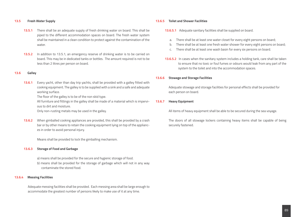## **13.5 Fresh Water Supply**

- **13.5.1** There shall be an adequate supply of fresh drinking water on board. This shall be piped to the different accommodation spaces on board. The fresh water system shall be maintained in a clean condition to protect against the contamination of the water.
- **13.5.2** In addition to 13.5.1, an emergency reserve of drinking water is to be carried on board. This may be in dedicated tanks or bottles. The amount required is not to be less than 2 litres per person on board.

#### **13.6 Galley**

**13.6.1** Every yacht, other than day trip yachts, shall be provided with a galley fitted with cooking equipment. The galley is to be supplied with a sink and a safe and adequate working surface.

The floor of the galley is to be of the non skid type.

All furniture and fittings in the galley shall be made of a material which is impervious to dirt and moisture.

Only non-rusting metals may be used in the galley.

**13.6.2** When gimballed cooking appliances are provided, this shall be provided by a crash bar or by other means to retain the cooking equipment lying on top of the appliances in order to avoid personal injury.

Means shall be provided to lock the gimballing mechanism.

#### **13.6.3 Storage of Food and Garbage**

a) means shall be provided for the secure and hygienic storage of food. b) means shall be provided for the storage of garbage which will not in any way contaminate the stored food.

#### **13.6.4 Messing Facilities**

Adequate messing facilities shall be provided. Each messing area shall be large enough to accommodate the greatest number of persons likely to make use of it at any time.

#### **13.6.5 Toilet and Shower Facilities**

- **13.6.5.1** Adequate sanitary facilities shall be supplied on board.
	- a. There shall be at least one water closet for every eight persons on board;
	- b. There shall be at least one fresh water shower for every eight persons on board;
	- c. There shall be at least one wash basin for every six persons on board.
- **13.6.5.2** In cases when the sanitary system includes a holding tank, care shall be taken to ensure that no toxic or foul fumes or odours would leak from any part of the system to the toilet and into the accommodation spaces.

#### **13.6.6 Stowage and Storage Facilities**

 Adequate stowage and storage facilities for personal effects shall be provided for each person on board.

#### **13.6.7 Heavy Equipment**

All items of heavy equipment shall be able to be secured during the sea voyage.

 The doors of all stowage lockers containing heavy items shall be capable of being securely fastened.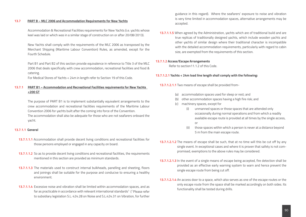#### **13.7 PART B – MLC 2006 and Accommodation Requirements for New Yachts**

Accommodation & Recreational Facilities requirements for New Yachts (i.e. yachts whose keel was laid or which was in a similar stage of construction on or after 20/08/2013).

New Yachts shall comply with the requirements of the MLC 2006 as transposed by the Merchant Shipping (Maritime Labour Convention) Rules, as amended, except for the Fourth Schedule.

Part B1 and Part B2 of this section provide equivalence in reference to Title 3 of the MLC 2006 that deals specifically with crew accommodation, recreational facilities and food & catering.

For Medical Stores of Yachts < 24m in length refer to Section 19 of this Code.

# **13.7.1 PART B1 – Accommodation and Recreational Facilities requirements for New Yachts <200 GT**

The purpose of PART B1 is to implement substantially equivalent arrangements to the crew accommodation and recreational facilities requirements of the Maritime Labour Convention 2006 for yachts built after the coming into force of the Convention. The accommodation shall also be adequate for those who are not seafarers onboard the yacht.

#### **13.7.1.1 General**

- **13.7.1.1.1** Accommodation shall provide decent living conditions and recreational facilities for those persons employed or engaged in any capacity on board.
- **13.7.1.1.2** So as to provide decent living conditions and recreational facilities, the requirements mentioned in this section are provided as minimum standards.
- **13.7.1.1.3** The materials used to construct internal bulkheads, panelling and sheeting, floors and joinings shall be suitable for the purpose and conducive to ensuring a healthy environment.
- **13.7.1.1.4** Excessive noise and vibration shall be limited within accommodation spaces, and as far as practicable in accordance with relevant international standards<sup>1</sup> (<sup>1</sup> Please refer to subsidiary legislation S.L. 424.28 on Noise and S.L.424.31 on Vibration, for further

guidance in this regard). Where the seafarers' exposure to noise and vibration is very time limited in accommodation spaces, alternative arrangements may be accepted.

**13.7.1.1.5** When agreed by the Administration, yachts which are of traditional build and are true replicas of traditionally designed yachts, which include wooden yachts and other yachts of similar design where their traditional character is incompatible with the detailed accommodation requirements, particularly with regard to cabin size, are exempted from the requirements of this section.

#### **13.7.1.2 Access/Escape Arrangements**

Refer to section11.1.2 of this Code.

## **13.7.1.2.1 Yachts < 24m load line length shall comply with the following:**

**13.7.1.2.1.1** Two means of escape shall be provided from-

- (a) accommodation spaces used for sleep or rest; and
- (b) other accommodation spaces having a high fire risk; and
- (c) machinery spaces, except for
	- (i) unmanned spaces or those spaces that are attended only occasionally during normal operations and from which a readily available escape route is provided at all times by the single access, or
	- (ii) those spaces within which a person is never at a distance beyond 5 m from the main escape route.
- **13.7.1.2.1.2** The means of escape shall be such, that at no time will this be cut off by any single event. In exceptional cases and where it is proven that safety is not compromised, exemptions to the above rules may be considered.
- **13.7.1.2.1.3** In the event of a single means of escape being accepted, fire detection shall be provided as an effective early warning system to warn and hence prevent the single escape route from being cut off.
- **13.7.1.2.1.4** An access door to a space, which also serves as one of the escape routes or the only escape route from the space shall be marked accordingly on both sides. Its functionality shall be tested during drills.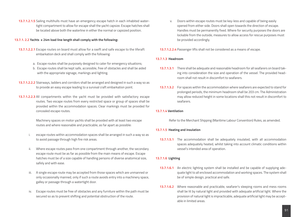**13.7.1.2.1.5** Sailing multihulls must have an emergency escape hatch in each inhabited watertight compartment to allow for escape shall the yacht capsize. Escape hatches shall be located above both the waterline in either the normal or capsized position.

## **13.7.1. 2.2 Yachts ≥ 24m load line length shall comply with the following:**

- **13.7.1.2.2.1** Escape routes on board must allow for a swift and safe escape to the liferaft embarkation deck and shall comply with the following:
	- a. Escape routes shall be purposely designed to cater for emergency situations;
	- b. Escape routes shall be kept safe, accessible, free of obstacles and shall be aided with the appropriate signage, markings and lighting.
- **13.7.1.2.2.2** Stairways, ladders and corridors shall be arranged and designed in such a way so as to provide an easy escape leading to a survival craft embarkation point.
- **13.7.1.2.2.3** All compartments within the yacht must be provided with satisfactory escape routes. Two escape routes from every restricted space or group of spaces shall be provided within the accommodation spaces. Clear markings must be provided for concealed escape routes.

Machinery spaces on motor yachts shall be provided with at least two escape routes and where reasonable and practicable, as far apart as possible:

- i. escape routes within accommodation spaces shall be arranged in such a way so as to avoid passage through high fire risk areas.
- ii. Where escape routes pass from one compartment through another, the secondary escape route must be as far as possible from the main means of escape. Escape hatches must be of a size capable of handling persons of diverse anatomical size, safely and with ease.
- iii. A single escape route may be accepted from those spaces which are unmanned or only occasionally manned, only if such a route avoids entry into a machinery space, galley or passage through a watertight door.
- iv. Escape routes must be free of obstacles and any furniture within the path must be secured so as to prevent shifting and potential obstruction of the route.

Doors within escape routes must be key-less and capable of being easily opened from either side. Doors shall open towards the direction of escape. Handles must be permanently fixed. Where for security purposes the doors are lockable from the outside, measures to allow access for rescue purposes must be provided accordingly.

**13.7.1.2.2.4** Passenger lifts shall not be considered as a means of escape.

## **13.7.1.3 Headroom**

- **13.7.1.3.1** There shall be adequate and reasonable headroom for all seafarers on board taking into consideration the size and operation of the vessel. The provided headroom shall not result in discomfort to seafarers.
- **13.7.1.3.2** For spaces within the accommodation where seafarers are expected to stand for prolonged periods, the minimum headroom shall be 203 cm. The Administration may allow reduced height in some locations shall this not result in discomfort to seafarers.

## **13.7.1.4 Ventilation**

Refer to the Merchant Shipping (Maritime Labour Convention) Rules, as amended.

## **13.7.1.5 Heating and insulation**

**13.7.1.5.1** The accommodation shall be adequately insulated, with all accommodation spaces adequately heated, whilst taking into account climatic conditions within vessel's intended area of operation.

## **13.7.1.6 Lighting**

- **13.7.1.6.1** An electric lighting system shall be installed and be capable of supplying adequate light to all enclosed accommodation and working spaces. The system shall be of simple design, practical and safe.
- **13.7.1.6.2** Where reasonable and practicable, seafarer's sleeping rooms and mess rooms shall be lit by natural light and provided with adequate artificial light. Where the provision of natural light is impracticable, adequate artificial light may be acceptable in limited areas.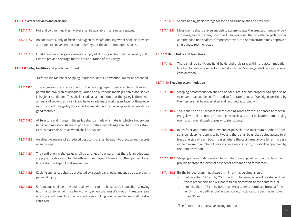#### **13.7.1.7 Water services and provision**

- **13.7.1.7.1** Hot and cold running fresh water shall be available in all sanitary spaces.
- **13.7.1.7.2** An adequate supply of fresh and hygienically safe drinking water shall be provided and piped to convenient positions throughout the accommodation spaces.
- **13.7.1.7.3** In addition, an emergency reserve supply of drinking water shall be carried, sufficient to provide coverage for the entire duration of the voyage.

#### **13.7.1.8 Galley facilities and provision of food**

Refer to the Merchant Shipping (Maritime Labour Convention) Rules, as amended.

- **13.7.1.8.1** The organisation and equipment of the catering department shall be such so as to permit the provision of adequate, varied and nutritious meals prepared and served in hygienic conditions. This shall include as a minimum that the galley is fitted with a means of cooking and a sink and have an adequate working surface for the preparation of food. The galley floor shall be provided with a non-slip surface providing a good foothold.
- **13.7.1.8.2** All furniture and fittings in the galley shall be made of a material which is impervious to dirt and moisture. All metal parts of furniture and fittings shall be rust resistant. Porous materials such as wood shall be avoided.
- **13.7.1.8.3** An effective means of scheduled pest control shall be put into practice and records of same kept.
- **13.7.1.8.4** The ventilation in the galley shall be arranged to ensure that there is an adequate supply of fresh air and for the efficient discharge of fumes into the open air. Hood filters shall be kept oil and grease free.
- **13.7.1.8.5** Cooking appliances shall be protected by a crash bar or other means so as to prevent personal injury.
- **13.7.1.8.6** Safe means shall be provided to allow the cook to be secured in position, allowing both hands to remain free for working, when the vessel's motion threatens safe working conditions. In extreme conditions cooking over open flames shall be discouraged.
- **13.7.1.8.7** Secure and hygienic storage for food and garbage shall be provided.
- **13.7.1.8.8** Mess rooms shall be large enough to accommodate the greatest number of persons likely to use it, at any one time. Following consultation with the yacht owner and the bona fide seafarers' representatives, the Administration may approve a single mess room onboard.

## **13.7.1.9 Hand Holds and Grab Rails**

**13.7.1.9.1** There shall be sufficient hand holds and grab rails within the accommodation to allow for safe movement around at all times. Stairways shall be given special consideration.

#### **13.7.1.10 Sleeping accommodation**

- **13.7.1.10.1** Sleeping accommodation shall be of adequate size and properly equipped so as to ensure reasonable comfort and to facilitate tidiness. Weekly inspections by the master shall be undertaken and recorded accordingly.
- **13.7.1.10.2** There shall be no direct access into sleeping rooms from such spaces as machinery, galleys, paint rooms or from engine, deck, and other bulk storerooms, drying rooms, communal wash places or water closets.
- **13.7.1.10.3** In seafarer accommodation, wherever possible, the maximum number of persons per sleeping room is to be two and there shall be unobstructed access to at least one side of each bed. In cases where the cabin area allows for an increase in the maximum number of persons per sleeping room, this shall be approved by the Administration.
- **13.7.1.10.4** Sleeping accommodation shall be situated or equipped, as practicable, so as to provide appropriate levels of privacy for both men and for women.
- **13.7.1.10.5** Berths for seafarers must have a minimum inside dimension of:
	- a. not less than 190 cm by 70 cm, with no tapering, where it is satisfied that this is reasonable and will not result in discomfort to the seafarers; or
	- b. not less than 198 cm by 80 cm, where a taper is permitted from half the length of the berth so that under no circumstances the berth is narrower than 50 cm.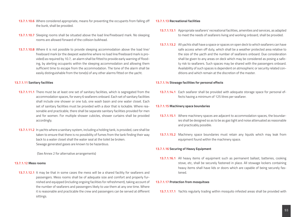- **13.7.1.10.6** Where considered appropriate, means for preventing the occupants from falling off the bunk, shall be provided.
- **13.7.1.10.7** Sleeping rooms shall be situated above the load line/freeboard mark. No sleeping rooms are allowed forward of the collision bulkhead.
- **13.7.1.10.8** Where it is not possible to provide sleeping accommodation above the load line/ freeboard mark (or the deepest waterline where no load line/freeboard mark is provided) as required by 10.7, an alarm shall be fitted to provide early warning of flooding, by alerting occupants within the sleeping accommodation and allowing them sufficient time to escape from the accommodation. The tone of the alarm shall be easily distinguishable from the tone(s) of any other alarms fitted on the yacht.

## **13.7.1.11 Sanitary facilities**

- **13.7.1.11.1** There must be at least one set of sanitary facilities, which is segregated from the accommodation spaces, for every 6 seafarers onboard. Each set of sanitary facilities shall include one shower or one tub, one wash basin and one water closet. Each set of sanitary facilities must be provided with a door that is lockable. Where reasonable and practicable, there shall be separate sanitary facilities provided for men and for women. For multiple shower cubicles, shower curtains shall be provided accordingly.
- **13.7.1.11.2** In yachts where a sanitary system, including a holding tank, is provided, care shall be taken to ensure that there is no possibility of fumes from the tank finding their way back to a water closet shall the water seal at the toilet be broken. Sewage generated gases are known to be hazardous.

(See Annex 2 for alternative arrangements)

## **13.7.1.12 Mess rooms**

**13.7.1.12.1** It may be that in some cases the mess will be a shared facility for seafarers and passengers. Mess rooms shall be of adequate size and comfort and properly furnished and equipped (including ongoing facilities for refreshment), taking account of the number of seafarers and passengers likely to use them at any one time. Where it is reasonable and practicable the crew and passengers can be served at different sittings.

## **13.7.1.13 Recreational facilities**

- **13.7.1.13.1** Appropriate seafarers' recreational facilities, amenities and services, as adapted to meet the needs of seafarers living and working onboard, shall be provided.
- **13.7.1.13.2** All yachts shall have a space or spaces on open deck to which seafarers can have safe access when off duty, which shall be a weather protected area relative to the size of the yacth and the number of seafarers onboard. Due consideration shall be given to any areas on deck which may be considered as posing a safety risk to seafarers. Such spaces may be shared with the passengers onboard. Availability of such spaces is dependent on atmospheric or security related conditions and which remain at the discretion of the master.

## **13.7.1.14 Stowage facilities for personal effects**

**13.7.1.14.1** Each seafarer shall be provided with adequate storage space for personal effects having a minimum of 125 litres per seafarer.

## **13.7.1.15 Machinery space boundaries**

- **13.7.1.15.1** Where machinery spaces are adjacent to accommodation spaces, the boundaries shall be designed so as to be as gas tight and noise attenuated as reasonable and practicably possible.
- **13.7.1.15.2** Machinery space boundaries must retain any liquids which may leak from equipment found within the machinery space.

# **13.7.1.16 Securing of Heavy Equipment**

**13.7.1.16.1** All heavy items of equipment such as permanent ballast, batteries, cooking stove, etc, shall be securely fastened in place. All stowage lockers containing heavy items shall have lids or doors which are capable of being securely fastened.

## **13.7.1.17 Protection from mosquitoes**

**13.7.1.17.1** Yachts regularly trading within mosquito infested areas shall be provided with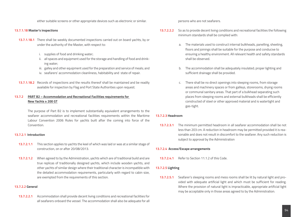either suitable screens or other appropriate devices such as electronic or similar.

## **13.7.1.18 Master's inspections**

- **13.7.1.18.1** There shall be weekly documented inspections carried out on board yachts, by or under the authority of the Master, with respect to:
	- i. supplies of food and drinking water;
	- ii. all spaces and equipment used for the storage and handling of food and drinking water;
	- iii. galley and other equipment used for the preparation and service of meals; and
	- iv. seafarers' accommodation cleanliness, habitability and state of repair.
- **13.7.1.18.2** Records of inspections and the results thereof shall be maintained and be readily available for inspection by Flag and Port State Authorities upon request.

# **13.7.2 PART B2 – Accommodation and Recreational Facilities requirements for New Yachts ≥ 200 GT**

The purpose of Part B2 is to implement substantially equivalent arrangements to the seafarer accommodation and recreational facilities requirements within the Maritime Labour Convention 2006 Rules for yachts built after the coming into force of the Convention.

#### **13.7.2.1 Introduction**

- **13.7.2.1.1** This section applies to yachts the keel of which was laid or was at a similar stage of construction, on or after 20/08/2013.
- **13.7.2.1.2** When agreed to by the Administration, yachts which are of traditional build and are true replicas of traditionally designed yachts, which include wooden yachts, and other yachts of similar design where their traditional character is incompatible with the detailed accommodation requirements, particularly with regard to cabin size, are exempted from the requirements of this section.

## **13.7.2.2 General**

**13.7.2.2.1** Accommodation shall provide decent living conditions and recreational facilities for all seafarers onboard the vessel. The accommodation shall also be adequate for all persons who are not seafarers.

- **13.7.2.2.2** So as to provide decent living conditions and recreational facilities the following minimum standards shall be complied with:
	- a. The materials used to construct internal bulkheads, panelling, sheeting, floors and joinings shall be suitable for the purpose and conducive to ensuring a healthy environment. All relevant health and safety standards shall be observed.
	- b. The accommodation shall be adequately insulated; proper lighting and sufficient drainage shall be provided.
	- c. There shall be no direct openings into sleeping rooms, from storage areas and machinery spaces or from galleys, storerooms, drying rooms or communal sanitary areas. That part of a bulkhead separating such places from sleeping rooms and external bulkheads shall be efficiently constructed of steel or other approved material and is watertight and gas-tight.

## **13.7.2.3 Headroom**

**13.7.2.3.1** The minimum permitted headroom in all seafarer accommodation shall be not less than 203 cm. A reduction in headroom may be permitted provided it is reasonable and does not result in discomfort to the seafarer. Any such reduction is subject to approval by the Administration

## **13.7.2.4 Access/Escape arrangements**

13.7.2.4.1 Refer to Section 11.1.2 of this Code

## **13.7.2.5 Lighting**

**13.7.2.5.1** Seafarer's sleeping rooms and mess rooms shall be lit by natural light and provided with adequate artificial light and which must be sufficient for reading. Where the provision of natural light is impracticable, appropriate artificial light may be acceptable only in those areas agreed to by the Administration.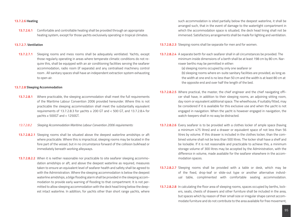#### **13.7.2.6 Heating**

**13.7.2.6.1** Comfortable and controllable heating shall be provided through an appropriate heating system, except for those yachts exclusively operating in tropical climates.

## **13.7.2.7. Ventilation**

**13.7.2.7.1** Sleeping rooms and mess rooms shall be adequately ventilated. Yachts, except those regularly operating in areas where temperate climatic conditions do not require this, shall be equipped with an air conditioning facilities serving the seafarer accommodation, radio room (if separate) and any centralised machinery control room . All sanitary spaces shall have an independent extraction system exhausting to open air.

#### **13.7.2.8 Sleeping Accommodation**

- **13.7.2.8.1** Where practicable, the sleeping accommodation shall meet the full requirements of the Maritime Labour Convention 2006 provided hereunder. Where this is not practicable the sleeping accommodation shall meet the substantially equivalent requirements of 13.7.2.8.3 for yachts ≥ 200 GT and < 500 GT, and 13.7.2.8.4 for yachts ≥ 500GT and < 1250GT.
- *13.7.2.8.2 Sleeping Accommodation Maritime Labour Convention 2006 requirements:*
- **13.7.2.8.2.1** Sleeping rooms shall be situated above the deepest waterline amidships or aft where practicable. Where this is impractical, sleeping rooms may be located in the fore part of the vessel, but in no circumstance forward of the collision bulkhead or immediately beneath working alleyways.
- **13.7.2.8.2.2** When it is neither reasonable nor practicable to site seafarer sleeping accommodation amidships or aft, and above the deepest waterline as required, measures taken to ensure an equivalent level of seafarer health and safety shall be agreed to with the Administration. Where the sleeping accommodation is below the deepest waterline amidships, a bilge flooding alarm shall be provided in the sleeping accommodation to provide early warning of flooding to that compartment. It is not permitted to allow sleeping accommodation with the deck head lining below the deepest intact waterline. In addition, for yachts other than short range yachts, where

such accommodation is sited partially below the deepest waterline, it shall be arranged such, that in the event of damage to the watertight compartment in which the accommodation space is situated, the deck head lining shall not be immersed. Satisfactory arrangements shall be made for lighting and ventilation.

**13.7.2.8.2.3** Sleeping rooms shall be separate for men and for women.

**13.7.2.8.2.4** A separate berth for each seafarer shall in all circumstances be provided. The minimum inside dimensions of a berth shall be at least 198 cm by 80 cm. Narrower berths may be permitted in either:

(a) sleeping rooms occupied by only one seafarer or

(b) sleeping rooms where en-suite sanitary facilities are provided, as long as the width at one end is no less than 50 cm and the width is at least 80 cm at the opposite end and over half the length of the bed.

- **13.7.2.8.2.5** Where practical, the master, the chief engineer and the chief navigating officer shall have, in addition to their sleeping rooms, an adjoining sitting room, day room or equivalent additional space. The wheelhouse, if suitably fitted, may be considered if it is available for this exclusive use and when the yacht is not engaged in navigation. When the yacht is however engaged in navigation, the watch-keepers shall in no way be distracted.
- **13.7.2.8.2.6** Every seafarer is to be provided with a clothes locker of ample space (having a minimum 475 litres) and a drawer or equivalent space of not less than 56 litres by volume. If this drawer is included in the clothes locker, than the combined volume shall not be less than 500 litres. The locker shall have a shelf and be lockable. If it is not reasonable and practicable to achieve this, a minimum storage volume of 300 litres may be accepted by the Administration, with the difference in volume, made available for the seafarer elsewhere in the accommodation spaces.
- **13.7.2.8.2.7** Sleeping rooms shall be provided with a table or desk, which may be of the fixed, drop-leaf or slide-out type or another alternative individual table, complimented with comfortable seating accommodation.
- **13.7.2.8.2.8** In calculating the floor area of sleeping rooms, spaces occupied by berths, lockers, seats, chests of drawers and other furniture shall be included in the area, but spaces which by reason of their small size or irregular shape cannot accommodate furniture and do not contribute to the area available for free movement,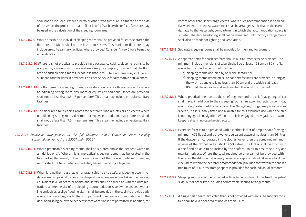shall not be included. Where a berth or other fixed furniture is situated at the side of the vessel the projected area (to floor level) of such berths or fixed furniture may be used in the calculation of the sleeping room area.

- **13.7.2.8.2.9** Where possible an individual sleeping room shall be provided for each seafarer, the floor area of which, shall not be less than  $4.5 \text{ m}^2$ . This minimum floor area may include en-suite sanitary facilities where provided. Consider Annex 2 for alternative equivalences.
- **13.7.2.8.2.10** Where it is not practical to provide single occupancy cabins, sleeping rooms to be occupied by a maximum of two seafarers may be accepted, provided that the floor area of such sleeping rooms, is not less than  $7 \text{ m}^2$ . The floor area may include ensuite sanitary facilities, if provided. Consider Annex 2 for alternative equivalences.
- **13.7.2.8.2.11**The floor area for sleeping rooms for seafarers who are officers on yachts where an adjoining sitting room, day room or equivalent additional space are provided, shall not be less than  $4.5$  m<sup>2</sup> per seafarer. This area may include en-suite sanitary facilities.
- **13.7.2.8.2.12** The floor area for sleeping rooms for seafarers who are officers on yachts where no adjoining sitting room, day room or equivalent additional space are provided, shall not be less than 7.5  $m^2$  per seafarer. This area may include en-suite sanitary facilities.
- *13.7.2.8.3 Equivalent arrangements to the full Maritime Labour Convention 2006 sleeping accommodation for yachts ≥ 200GT and < 500GT.*
	- **13.7.2.8.3.1** Where practicable sleeping rooms shall be situated above the deepest waterline amidships or aft. Where this is impractical, sleeping rooms may be located in the fore part of the vessel, but in no case forward of the collision bulkhead. Sleeping rooms shall not be situated immediately beneath working alleyways.
	- **13.7.2.8.3.2** When it is neither reasonable nor practicable to site seafarer sleeping accommodation amidships or aft, above the deepest waterline, measures taken to ensure an equivalent level of seafarer health and safety shall be agreed to with the Administration. Where the site of the sleeping accommodation is below the deepest waterline amidships, a bilge flooding alarm shall be provided in the cabin to provide early warning of water ingress to that compartment. Sleeping accommodation with the deck head lining below the deepest intact waterline is not permitted. In addition, for

yachts other than short range yachts, where such accommodation is sited partially below the deepest waterline it shall be arranged such, that in the event of damage to the watertight compartment in which the accommodation space is situated, the deck head lining shall not be immersed. Satisfactory arrangements shall also be made for lighting and ventilation.

**13.7.2.8.3.3** Separate sleeping rooms shall be provided for men and for women.

**13.7.2.8.3.4** A separate berth for each seafarer shall in all circumstances be provided. The minimum inside dimensions of a berth shall be at least 198 cm by 80 cm. Narrower berths may be permitted in either:

(a). sleeping rooms occupied by only one seafarer or

- (b). sleeping rooms where en-suite sanitary facilities are provided, as long as the width at one end is no less than 50 cm and the width is at least 80 cm at the opposite end and over half the length of the bed.
- **13.7.2.8.3.5** Where practical, the master, the chief engineer and the chief navigating officer shall have, in addition to their sleeping rooms, an adjoining sitting room, day room or equivalent additional space. The Navigating Bridge, may also be considered, if it is suitably fitted and available for this exclusive use when the ship is not engaged in navigation. When the ship is engaged in navigation, the watch keepers shall in no case be distracted.
- **13.7.2.8.3.6** Every seafarer is to be provided with a clothes locker of ample space (having a minimum 475 litres) and a drawer or equivalent space of not less than 56 litres. If the drawer is incorporated in the clothes locker then the combined minimum volume of the clothes locker shall be 500 litres. The locker shall be fitted with a shelf and be able to be locked by the seafarer so as to ensure security and maintain privacy. Where the total required volume cannot be provided within the cabin, the Administration may consider accepting individual secure facilities, elsewhere within the seafarer accommodation, provided that within the cabin a minimum of 300 litres storage space is provided for each individual seafarer.
- **13.7.2.8.3.7** Sleeping rooms shall be provided with a table or desk of the fixed, drop-leaf slide-out or other type including comfortable seating arrangements.
- **13.7.2.8.3.8** A single berth seafarer's cabin that is not provided with en-suite sanitary facilities shall have a floor area of not less than  $3.6 \text{ m}^2$ .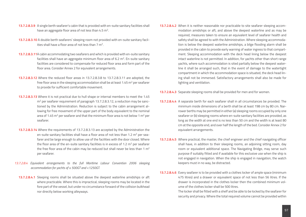- **13.7.2.8.3.9** A single berth seafarer's cabin that is provided with en-suite sanitary facilities shall have an aggregate floor area of not less than 4.5 m<sup>2</sup>.
- **13.7.2.8.3.10** A double berth seafarers' sleeping room not provided with en-suite sanitary facilities shall have a floor area of not less than  $7 \text{ m}^2$ .
- **13.7.2.8.3.11**A cabin accommodating two seafarers and which is provided with en-suite sanitary facilities shall have an aggregate minimum floor area of 6.2  $m<sup>2</sup>$ . En-suite sanitary facilities are considered to compensate for reduced floor area and form part of the floor area. Consider Annex 2 for equivalent arrangements.
- **13.7.2.8.3.12** Where the reduced floor areas in 13.7.2.8.3.8 to 13.7.2.8.3.11 are adopted, the free floor area in the sleeping accommodation shall be at least 1.45  $m^2$  per seafarer to provide for sufficient comfortable movement.
- **13.7.2.8.3.13** Where it is not practical due to hull shape or internal members to meet the 1.45 m<sup>2</sup> per seafarer requirement of paragraph 13.7.2.8.3.12, a reduction may be sanctioned by the Administration. Reduction is subject to the cabin arrangement allowing for free movement of the upper part of the body equivalent to the nominal area of 1.45  $m^2$  per seafarer and that the minimum floor area is not below 1  $m^2$  per seafarer.
- **13.7.2.8.3.14** Where the requirements of 13.7.2.8.3.13 are accepted by the Administration the en-suite sanitary facilities shall have a floor area of not less than 1.2  $m^2$  per seafarer and be large enough to allow use of the facilities with the door closed. Where the floor area of the en-suite sanitary facilities is in excess of 1.2  $m<sup>2</sup>$  per seafarer the free floor area of the cabin may be reduced but shall never be less than 1  $m<sup>2</sup>$ per seafarer.
- *13.7.2.8.4 Equivalent arrangements to the full Maritime Labour Convention 2006 sleeping accommodation for yachts of ≥ 500GT and <1250GT.*
	- **13.7.2.8.4.1** Sleeping rooms shall be situated above the deepest waterline amidships or aft where practicable. Where this is impractical, sleeping rooms may be located in the fore part of the vessel, but under no circumstance forward of the collision bulkhead nor directly below working alleyways.
- **13.7.2.8.4.2** When it is neither reasonable nor practicable to site seafarer sleeping accommodation amidships or aft, and above the deepest waterline and as may be required, measures taken to ensure an equivalent level of seafarer health and safety shall be agreed to with the Administration. Where sleeping accommodation is below the deepest waterline amidships, a bilge flooding alarm shall be provided in the cabin to provide early warning of water ingress to that compartment. Sleeping accommodation with the deck head lining below the deepest intact waterline is not permitted. In addition, for yachts other than short range yachts, where such accommodation is sited partially below the deepest waterline it shall be arranged such, that in the event of damage to the watertight compartment in which the accommodation space is situated, the deck head lining shall not be immersed. Satisfactory arrangements shall also be made for lighting and ventilation.
- **13.7.2.8.4.3** Separate sleeping rooms shall be provided for men and for women.
- **13.7.2.8.4.4** A separate berth for each seafarer shall in all circumstances be provided. The minimum inside dimensions of a berth shall be at least 198 cm by 80 cm. Narrower berths may be permitted in either (a) sleeping rooms occupied by only one seafarer or (b) sleeping rooms where en-suite sanitary facilities are provided, as long as the width at one end is no less than 50 cm and the width is at least 80 cm at the opposite end, and over half the length of the bed. Consider Annex 2 for equivalent arrangements.
- **13.7.2.8.4.5** Where practical, the master, the chief engineer and the chief navigating officer shall have, in addition to their sleeping rooms, an adjoining sitting room, day room or equivalent additional space. The Navigating Bridge, may serve such purpose if suitably fitted and if available for this exclusive use when the ship is not engaged in navigation. When the ship is engaged in navigation, the watch keepers must in no way, be distracted.
- **13.7.2.8.4.6** Every seafarer is to be provided with a clothes locker of ample space (minimum 475 litres) and a drawer or equivalent space of not less than 56 litres. If the drawer is incorporated in the clothes locker then the combined minimum volume of the clothes locker shall be 500 litres.

The locker shall be fitted with a shelf and be able to be locked by the seafarer for security and privacy. Where the total required volume cannot be provided within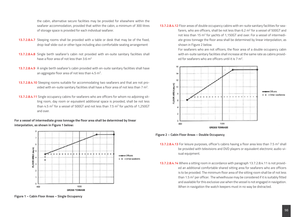the cabin, alternative secure facilities may be provided for elsewhere within the seafarer accommodation, provided that within the cabin, a minimum of 300 litres of storage space is provided for each individual seafarer.

- **13.7.2.8.4.7** Sleeping rooms shall be provided with a table or desk that may be of the fixed, drop-leaf slide-out or other type including also comfortable seating arrangement
- **13.7.2.8.4.8** Single berth seafarer's cabin not provided with en-suite sanitary facilities shall have a floor area of not less than 3.6 m2
- **13.7.2.8.4.9** A single berth seafarer's cabin provided with en-suite sanitary facilities shall have an aggregate floor area of not less than 4.5 m<sup>2</sup>.
- **13.7.2.8.4.10** Sleeping rooms suitable for accommodating two seafarers and that are not provided with en-suite sanitary facilities shall have a floor area of not less than 7 m2.
- **13.7.2.8.4.11** Single occupancy cabins for seafarers who are officers for whom no adjoining sitting room, day room or equivalent additional space is provided, shall be not less than 4.5  $m^2$  for a vessel of 500GT and not less than 7.5  $m^2$  for yachts of 1,250GT and over.

# **For a vessel of intermediate gross tonnage the floor area shall be determined by linear interpolation, as shown in Figure 1 below:**



**Figure 1 – Cabin Floor Areas – Single Occupancy**

**13.7.2.8.4.12** Floor areas of double occupancy cabins with en-suite sanitary facilities for seafarers, who are officers, shall be not less than 6.2 m<sup>2</sup> for a vessel of 500GT and not less than 15 m<sup>2</sup> for yachts of 1,150GT and over. For a vessel of intermediate gross tonnage the floor area shall be determined by linear interpolation, as shown in Figure 2 below.

> For seafarers who are not officers, the floor area of a double occupancy cabin with en-suite sanitary facilities shall increase at the same rate as cabins provided for seafarers who are officers until it is 7 m2.



**Figure 2 – Cabin Floor Areas – Double Occupancy**

- **13.7.2.8.4.13** For leisure purposes, officer's cabins having a floor area less than 7.5 m<sup>2</sup> shall be provided with televisions and DVD players or equivalent electronic audio-visual equipment.
- **13.7.2.8.4.14** Where a sitting room in accordance with paragraph 13.7.2.8.4.11 is not provided an additional comfortable shared sitting area for seafarers who are officers is to be provided. The minimum floor area of the sitting room shall be of not less than 1.5  $m^2$  per officer. The wheelhouse may be considered if it is suitably fitted and available for this exclusive use when the vessel is not engaged in navigation. When in navigation the watch keepers must in no way be distracted.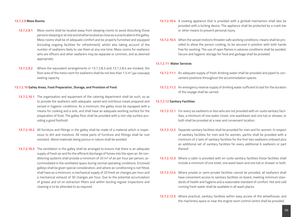#### **13.7.2.9 Mess Rooms**

- **13.7.2.9.1** Mess rooms shall be located away from sleeping rooms to avoid disturbing those persons sleeping or at rest and shall be located as close as is practicable to the galley. Mess rooms shall be of adequate comfort and be properly furnished and equipped (including ongoing facilities for refreshment), whilst also taking account of the number of seafarers likely to use them at any one time. Mess rooms for seafarers who are officers and other seafarers may be separate or common, and as deemed appropriate.
- **13.7.2.9.2** Where the equivalent arrangements in 13.7.2.8.3 and 13.7.2.8.4 are invoked, the floor area of the mess room for seafarers shall be not less than 1.5  $m<sup>2</sup>$  per intended seating capacity.

#### **13.7.2.10 Galley Areas, Food Preparation, Storage, and Provision of Food**

- **13.7.2.10.1** The organisation and equipment of the catering department shall be such, so as to provide the seafarers with adequate, varied and nutritious meals prepared and served in hygienic conditions. As a minimum, the galley must be equipped with a means for cooking and a sink, and shall have an adequate working surface for the preparation of food. The galley floor shall be provided with a non-slip surface providing a good foothold.
- **13.7.2.10.2** All furniture and fittings in the galley shall be made of a material which is impervious to dirt and moisture. All metal parts of furniture and fittings shall be rust resistant. Wood materials being porous in nature shall be avoided.
- **13.7.2.10.3** The ventilation in the galley shall be arranged to ensure that there is an adequate supply of fresh air and for the efficient discharge of fumes into the open air. Air conditioning systems shall provide a minimum of 25  $m<sup>3</sup>$  of air per hour per person, accommodated in the ventilated space during normal operating conditions. Enclosed galleys shall be given special consideration, and where air conditioning is not fitted, shall have as a minimum, a mechanical supply of 20 fresh air changes per hour and a mechanical exhaust of 30 changes per hour. Due to the potential accumulation of grease and oil on extraction filters and within ducting regular inspections and cleaning is to be attended to as required.
- **13.7.2.10.4** A cooking appliance that is provided with a gimball mechanism shall also be provided with a locking device. The appliance shall be protected by a crash bar or other means to prevent personal injury.
- **13.7.2.10.5** When the vessel motions threaten safe working conditions, means shall be provided to allow the person cooking, to be secured in position with both hands free for working. The use of open flames in adverse conditions shall be avoided. Secure and hygienic storage for food and garbage shall be provided.

#### **13.7.2.11 Water Services**

- **13.7.2.11.1** An adequate supply of fresh drinking water shall be provided and piped to convenient positions throughout the accommodation spaces.
- **13.7.2.11.2** An emergency reserve supply of drinking water sufficient to last for the duration of the voyage shall be carried.

#### **13.7.2.12 Sanitary Facilities**

- **13.7.2.12.1** For every six seafarers or less who are not provided with en-suite sanitary facilities, a minimum of one water closet, one washbasin and one tub or shower, or both shall be provided at a near and convenient location.
- **13.7.2.12.2** Separate sanitary facilities shall be provided for men and for women. In respect of sanitary facilities for men and for women, yachts shall be provided with a minimum of 2 sets of sanitary facilities for the first two seafarers onboard plus an additional set of sanitary facilities for every additional 6 seafarers or part thereof.
- **13.7.2.12.3** Where a cabin is provided with en-suite sanitary facilities those facilities shall include a minimum of one toilet, one wash basin and one tub or shower or both.
- **13.7.2.12.4** Where private or semi-private facilities cannot be provided, all seafarers shall have convenient access to sanitary facilities on board, meeting minimum standards of health and hygiene and a reasonable standard of comfort. Hot and cold running fresh water shall be available in all wash places.
- **13.7.2.12.5** Where practical, sanitary facilities within easy access of the wheelhouse, and the machinery space or near the engine room control centre shall be provided.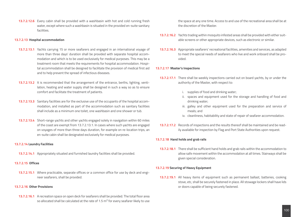**13.7.2.12.6** Every cabin shall be provided with a washbasin with hot and cold running fresh water, except where such a washbasin is situated in the provided en-suite sanitary facilities.

## **13.7.2.13 Hospital accommodation**

- **13.7.2.13.1** Yachts carrying 15 or more seafarers and engaged in an international voyage of more than three days' duration shall be provided with separate hospital accommodation and which is to be used exclusively for medical purposes. This may be a treatment room that meets the requirements for hospital accommodation. Hospital accommodation shall be designed to facilitate the provision of medical first aid and to help prevent the spread of infectious diseases.
- **13.7.2.13.2** It is recommended that the arrangement of the entrance, berths, lighting, ventilation, heating and water supply shall be designed in such a way so as to ensure comfort and facilitate the treatment of patients.
- **13.7.2.13.3** Sanitary facilities are for the exclusive use of the occupants of the hospital accommodation, and installed as part of the accommodation such as sanitary facilities shall include as a minimum one toilet, one washbasin and one shower or tub.
- **13.7.2.13.4** Short-range yachts and other yachts engaged solely in navigation within 60 miles of the coast are exempt from 13.7.2.13.1. In cases where such yachts are engaged on voyages of more than three days duration, for example on re-location trips, an en-suite cabin shall be designated exclusively for medical purposes.

#### **13.7.2.14 Laundry Facilities**

**13.7.2.14.1** Appropriately situated and furnished laundry facilities shall be provided.

# **13.7.2.15 Offices**

**13.7.2.15.1** Where practicable, separate offices or a common office for use by deck and engineer seafarers, shall be provided.

# **13.7.2.16 Other Provisions**

**13.7.2.16.1** A recreation space on open deck for seafarers shall be provided. The total floor area so allocated shall be calculated at the rate of 1.5  $m^2$  for every seafarer likely to use

the space at any one time. Access to and use of the recreational area shall be at the discretion of the Master.

- **13.7.2.16.2** Yachts trading within mosquito infested areas shall be provided with either suitable screens or other appropriate devices, such as electronic or similar.
- **13.7.2.16.3** Appropriate seafarers' recreational facilities, amenities and services, as adapted to meet the special needs of seafarers who live and work onboard shall be provided.

## **13.7.2.17 Master's Inspections**

- **13.7.2.17.1** There shall be weekly inspections carried out on board yachts, by or under the authority of the Master, with respect to:
	- i. supplies of food and drinking water;
	- ii. spaces and equipment used for the storage and handling of food and drinking water;
	- iii. galley and other equipment used for the preparation and service of meals; and
	- iv. cleanliness, habitability and state of repair of seafarer accommodation.
- **13.7.2.17.2** Records of inspections and the results thereof shall be maintained and be readily available for inspection by Flag and Port State Authorities upon request.

## **13.7.2.18 Hand holds and grab rails**

**13.7.2.18.1** There shall be sufficient hand holds and grab rails within the accommodation to allow safe movement within the accommodation at all times. Stairways shall be given special consideration.

## **13.7.2.19 Securing of Heavy Equipment**

**13.7.2.19.1** All heavy items of equipment such as permanent ballast, batteries, cooking stove, etc, shall be securely fastened in place. All stowage lockers shall have lids or doors capable of being securely fastened.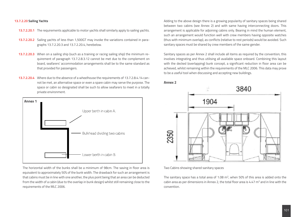#### **13.7.2.20 Sailing Yachts**

- **13.7.2.20.1** The requirements applicable to motor yachts shall similarly apply to sailing yachts.
- **13.7.2.20.2** Sailing yachts of less than 1,500GT may invoke the variations contained in paragraphs 13.7.2.20.3 and 13.7.2.20.4, herebelow.
- **13.7.2.20.3** When on a sailing ship (such as a training or racing sailing ship) the minimum requirement of paragraph 13.7.2.8.3.12 cannot be met due to the complement on board, seafarers' accommodation arrangements shall be to the same standard as that provided for passengers.
- **13.7.2.20.4** Where due to the absence of a wheelhouse the requirements of 13.7.2.8.4.14 cannot be met, an alternative space or even a spare cabin may serve the purpose. The space or cabin so designated shall be such to allow seafarers to meet in a totally private environment.



The horizontal width of the bunks shall be a minimum of 98cm. The saving in floor area is equivalent to approximately 50% of the bunk width. The drawback for such an arrangement is that cabins must be in line with one another, the plus point being that an area can be deducted from the width of a cabin (due to the overlap in bunk design) whilst still remaining close to the requirements of the MLC 2006.

Adding to the above design there is a growing popularity of sanitary spaces being shared between two cabins (see Annex 2) and with same having interconnecting doors. This arrangement is applicable for adjoining cabins only. Bearing in mind the human element, such an arrangement would function well with crew members having opposite watches (thus with minimum overlap), as conflicts (relative to rest periods) would be avoided. Such sanitary spaces must be shared by crew members of the same gender.

Sanitary spaces as per Annex 2 shall include all items as required by the convention; this involves integrating and thus utilising all available space onboard. Combining this layout with the decked (overlapping) bunk concept, a significant reduction in floor area can be achieved, whilst remaining within the requirements of the MLC 2006. This data may prove to be a useful tool when discussing and accepting new buildings.





Two Cabins showing shared sanitary spaces

The sanitary space has a total area of 1.08  $m^2$ , when 50% of this area is added onto the cabin area as per dimensions in Annex 2, the total floor area is 4.47  $m<sup>2</sup>$  and in line with the convention.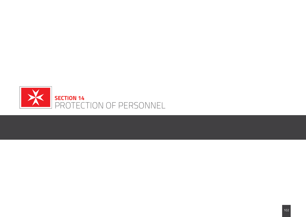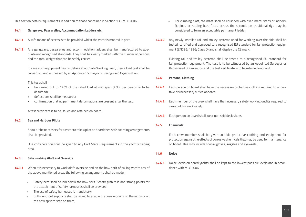This section details requirements in addition to those contained in Section 13 - MLC 2006.

- **14.1 Gangways, Passarelles, Accommodation Ladders etc.**
- **14.1.1** A safe means of access is to be provided whilst the yacht is moored in port.
- **14.1.2** Any gangways, passarelles and accommodation ladders shall be manufactured to adequate and recognised standards. They shall be clearly marked with the number of persons and the total weight that can be safely carried.

In case such equipment has no details about Safe Working Load, then a load test shall be carried out and witnessed by an Appointed Surveyor or Recognised Organisation.

This test shall:-

- be carried out to 120% of the rated load at mid span (75kg per person is to be assumed);
- deflections shall be measured;
- confirmation that no permanent deformations are present after the test.

A test certificate is to be issued and retained on board.

## **14.2 Sea and Harbour Pilots**

Should it be necessary for a yacht to take a pilot on board then safe boarding arrangements shall be provided.

Due consideration shall be given to any Port State Requirements in the yacht's trading area.

# **14.3 Safe working Aloft and Overside**

- **14.3.1** When it is necessary to work aloft, overside and on the bow sprit of sailing yachts any of the above mentioned areas the following arrangements shall be made:-
	- Safety nets shall be laid below the bow sprit. Safety grab rails and strong points for the attachment of safety harnesses shall be provided;
	- The use of safety harnesses is mandatory;
	- Sufficient foot supports shall be rigged to enable the crew working on the yards or on the bow sprit to step on them;
- For climbing aloft, the mast shall be equipped with fixed metal steps or ladders. Ratlines or rattling bars fitted across the shrouds on traditional rigs may be considered to form an acceptable permanent ladder.
- **14.3.2** Any newly installed rail and trolley systems used for working over the side shall be tested, certified and approved to a recognised EU standard for fall protection equipment (EN795; 1996; Class D) and shall display the CE mark.

Existing rail and trolley systems shall be tested to a recognised EU standard for fall protection equipment. The test is to be witnessed by an Appointed Surveyor or Recognised Organisation and the test certificate is to be retained onboard.

## **14.4 Personal Clothing**

- 14.4.1 Each person on board shall have the necessary protective clothing required to undertake his necessary duties onboard.
- **14.4.2** Each member of the crew shall have the necessary safety working outfits required to carry out his work safely.
- **14.4.3** Each person on board shall wear non skid deck shoes.
- **14.5 Chemicals**

Each crew member shall be given suitable protective clothing and equipment for protection against the effects of corrosive chemicals that may be used for maintenance on board. This may include special gloves, goggles and eyewash.

**14.6 Noise**

**14.6.1** Noise levels on board yachts shall be kept to the lowest possible levels and in accordance with MLC 2006.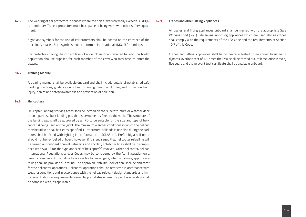**14.6.2** The wearing of ear protectors in spaces where the noise levels normally exceeds 85 dB(A) is mandatory. The ear protectors must be capable of being worn with other safety equipment.

Signs and symbols for the use of ear protectors shall be posted on the entrance of the machinery spaces. Such symbols must conform to international (IMO, EU) standards.

Ear protectors having the correct level of noise attenuation required for each particular application shall be supplied for each member of the crew who may have to enter the spaces.

#### **14.7 Training Manual**

A training manual shall be available onboard and shall include details of established safe working practices, guidance on onboard training, personal clothing and protection from injury, health and safety awareness and prevention of pollution.

#### **14.8 Helicopters**

 Helicopter Landing/Parking areas shall be located on the superstructure or weather deck or on a purpose built landing pad that is permanently fixed to the yacht. The structure of the landing pad shall be approved by an RO to be suitable for the size and type of helicopter(s) being used on the yacht. The maximum weather conditions in which the helipad may be utilised shall be clearly specified. Furthermore, helipads in use also during the dark hours shall be fitted with lighting in conformance to SOLAS II-2. Preferably a helicopter should not be re-fuelled onboard however, if it is envisaged that helicopter refuelling will be carried out onboard, than all refuelling and ancillary safety facilities shall be in compliance with SOLAS for the type and size of helicopter(s) involved. Other helicopter/helipad International Regulations and/or Codes may be considered by the Administration on a case by case basis. If the helipad is accessible to passengers, when not in use, appropriate railing shall be provided all around. The approved Stability Booklet shall include and cater for the helicopter operations. Helicopter operations shall be restricted in accordance with weather conditions and in accordance with the helipad relevant design standards and limitations. Additional requirements issued by port states where the yacht is operating shall be complied with, as applicable.

#### **14.9 Cranes and other Lifting Appliances**

All cranes and lifting appliances onboard shall be marked with the appropriate Safe Working Load (SWL). Life saving launching appliances which are used also as cranes shall comply with the requirements of the LSA Code and the requirements of Section 10.7 of this Code.

Cranes and Lifting Appliances shall be dynamically tested on an annual basis and a dynamic overload test of 1.1 times the SWL shall be carried out, at least, once in every five years and the relevant test certificate shall be available onboard.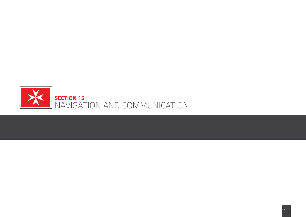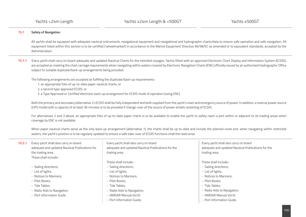# **15.1 Safety of Navigation**

All yachts shall be equipped with adequate nautical instruments, navigational equipment and navigational and hydrographic charts/data to ensure safe operation and safe navigation. All equipment listed within this section is to be certified ('wheelmarked') in accordance to the Marine Equipment Directive 96/98/EC as amended or to equivalent standards, accepted by the Administration.

**15.1.1** Every yacht shall carry on board adequate and updated Nautical Charts for the intended voyages. Yachts fitted with an approved Electronic Chart Display and Information System (ECDIS), are accepted as meeting the chart carriage requirements when navigating within waters covered by Electronic Navigation Charts (ENC) officially issued by an authorised Hydrographic Office subject to suitable duplicate/back-up arrangements being provided.

The following arrangements are accepted as fulfilling the duplicate/back-up requirements:

- 1. an appropriate folio of up-to-date paper nautical charts; or
- 2. a second type approved ECDIS; or
- 3. a Type Approved or Certified electronic back-up arrangement for ECDIS mode of operation (using ENC).

Both the primary and secondary (alternative 2.) ECDIS shall be fully independent and both supplied from the yacht's main and emergency source of power. In addition, a reserve power source (UPS mode) with a capacity of at least 30 minutes is to be provided if change-over of the source of power entails restarting of ECDIS.

For alternatives 2 and 3 above, an appropriate folio of up-to-date paper charts is to be available to enable the yacht to safely reach a port within or adjacent to its trading areas when coverage by ENC is not available.

When paper nautical charts serve as the only back-up arrangement (alternative 1), the charts shall be up to-date and include the planned route and, when navigating within restricted waters, the yacht's position is to be regularly updated to ensure a safe take-over of ECDIS functions shall the need arise.

| 15.2.1 | Every yacht shall also carry on board<br>adequate and updated Nautical Publications for<br>the trading area. | Every yacht shall also carry on board<br>adequate and updated Nautical Publications for the<br>trading area. | Every yacht shall also carry on board<br>adequate and updated Nautical Publications for the<br>trading area. |
|--------|--------------------------------------------------------------------------------------------------------------|--------------------------------------------------------------------------------------------------------------|--------------------------------------------------------------------------------------------------------------|
|        | These shall include:-                                                                                        |                                                                                                              |                                                                                                              |
|        |                                                                                                              | These shall include:-                                                                                        | These shall include:-                                                                                        |
|        | - Sailing directions;                                                                                        | - Sailing directions;                                                                                        | - Sailing directions;                                                                                        |
|        | - List of lights;                                                                                            | - List of lights;                                                                                            | - List of lights;                                                                                            |
|        | - Notices to Mariners:                                                                                       | - Notices to Mariners:                                                                                       | - Notices to Mariners;                                                                                       |
|        | - Pilot Books:                                                                                               | - Pilot Books:                                                                                               | - Pilot Books:                                                                                               |
|        | - Tide Tables:                                                                                               | - Tide Tables:                                                                                               | - Tide Tables;                                                                                               |
|        | - Radio Aids to Navigation:                                                                                  | - Radio Aids to Navigation;                                                                                  | - Radio Aids to Navigation;                                                                                  |
|        | - Port Information Guide.                                                                                    | - IAMSAR Manual Vol.III;                                                                                     | - IAMSAR Manual Vol.III:                                                                                     |
|        |                                                                                                              | - Port Information Guide.                                                                                    | - Port Information Guide.                                                                                    |
|        |                                                                                                              |                                                                                                              |                                                                                                              |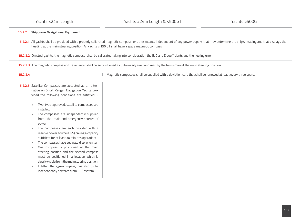# **15.2.2 Shipborne Navigational Equipment**

15.2.2.1 All yachts shall be provided with a properly calibrated magnetic compass, or other means, independent of any power supply, that may determine the ship's heading and that displays the heading at the main steering position. All yachts ≥ 150 GT shall have a spare magnetic compass.

**15.2.2.2** On steel yachts, the magnetic compass shall be calibrated taking into consideration the B, C and D coefficients and the heeling error.

**15.2.2.3** The magnetic compass and its repeater shall be so positioned as to be easily seen and read by the helmsman at the main steering position.

**15.2.2.4**

Magnetic compasses shall be supplied with a deviation card that shall be renewed at least every three years.

- **15.2.2.5** Satellite Compasses are accepted as an alternative on Short Range Navigation Yachts provided the following conditions are satisfied :-
	- Two, type-approved, satellite compasses are installed;
	- The compasses are independently supplied from the main and emergency sources of power;
	- The compasses are each provided with a reserve power source (UPS) having a capacity sufficient for at least 30 minutes operation;
	- The compasses have separate display units;
	- One compass is positioned at the main steering position and the second compass must be positioned in a location which is clearly visible from the main steering position;
	- If fitted the gyro-compass, has also to be independently powered from UPS system.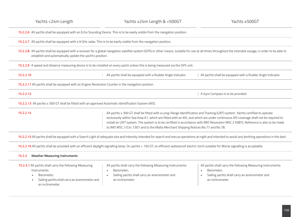**15.2.2.6** All yachts shall be equipped with an Echo Sounding Device. This is to be easily visible from the navigation position.

**15.2.2.7** All yachts shall be equipped with a 9 GHz radar. This is to be easily visible from the navigation position.

**15.2.2.8** All yachts shall be equipped with a receiver for a global navigation satellite system (GPS) or other means, suitable for use at all times throughout the intended voyage, in order to be able to establish and automatically update the yacht's position.

**15.2.2.9** A speed and distance measuring device is to be installed on every yacht unless this is being measured via the GPS unit.

| All yachts shall be equipped with a Rudder Angle Indicator. | All yachts shall be equipped with a Rudder Angle Indicator. |
|-------------------------------------------------------------|-------------------------------------------------------------|
|                                                             |                                                             |

**15.2.2.11** All yachts shall be equipped with an Engine Revolution Counter in the navigation position.

| A Gyro Compass is to be provided.

**15.2.2.13** All yachts ≥ 300 GT shall be fitted with an approved Automatic Identification System (AIS).

**15.2.2.14** All yachts ≥ 300 GT shall be fitted with a Long-Range Identification and Tracking (LRIT) system. Yachts certified to operate exclusively within Sea Area A1, which are fitted with an AIS, and which are under continuous AIS coverage shall not be required to install an LRIT system. The system is to be certified in accordance with IMO Resolution MSC.210(81). Reference is also to be made to IMO MSC.1/Circ.1307 and to the Malta Merchant Shipping Notices No.77 and No.78.

**15.2.2.15** All yachts shall be equipped with a Search Light of adequate size and intensity intended for search and rescue operations at night and intended to assist any berthing operations in the dark.

**15.2.2.16** All yachts shall be provided with an efficient daylight signalling lamp. On yachts < 150 GT, an efficient waterproof electric torch suitable for Morse signalling is acceptable.

| <b>Weather Measuring Instruments</b><br>15.2.3                                                                                                            |                                                                                                                                               |                                                                                                                                               |
|-----------------------------------------------------------------------------------------------------------------------------------------------------------|-----------------------------------------------------------------------------------------------------------------------------------------------|-----------------------------------------------------------------------------------------------------------------------------------------------|
| 15.2.3.1 All yachts shall carry the following Measuring<br>Instruments:<br>Barometer:<br>Sailing yachts shall carry an anemometer and<br>an inclinometer. | All yachts shall carry the following Measuring Instruments:<br>Barometer;<br>Sailing yachts shall carry an anemometer and<br>an inclinometer. | All yachts shall carry the following Measuring Instruments:<br>Barometer;<br>Sailing yachts shall carry an anemometer and<br>an inclinometer. |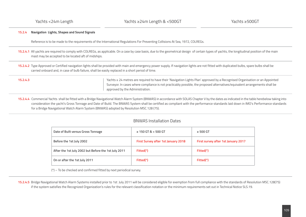# **15.2.4 Navigation Lights, Shapes and Sound Signals**

Reference is to be made to the requirements of the International Regulations For Preventing Collisions At Sea, 1972, COLREGs.

- **15.2.4.1** All yachts are required to comply with COLREGs, as applicable. On a case by case basis, due to the geometrical design of certain types of yachts, the longitudinal position of the main mast may be accepted to be located aft of midships.
- 15.2.4.2 Type Approved or Certified navigation lights shall be provided with main and emergency power supply. If navigation lights are not fitted with duplicated bulbs, spare bulbs shall be carried onboard and, in case of bulb failure, shall be easily replaced in a short period of time.

**15.2.4.3**

Yachts ≥ 24 metres are required to have their 'Navigation Lights Plan' approved by a Recognised Organisation or an Appointed Surveyor. In cases where compliance is not practicably possible, the proposed alternatives/equivalent arrangements shall be approved by the Administration.

**15.2.4.4** Commercial Yachts shall be fitted with a Bridge Navigational Watch Alarm System (BNWAS) in accordance with SOLAS Chapter V by the dates as indicated in the table herebelow taking into consideration the yacht's Gross Tonnage and Date of Build. The BNWAS System shall be certified as compliant with the performance standards laid down in IMO's Performance standards for a Bridge Navigational Watch Alarm System (BNWAS) adopted by Resolution MSC.128 (75).

# BNWAS Installation Dates

| Date of Built versus Gross Tonnage                   | $\geq$ 150 GT & < 500 GT            | $\geq 500$ GT                       |  |
|------------------------------------------------------|-------------------------------------|-------------------------------------|--|
| Before the 1st July 2002                             | First Survey after 1st January 2018 | First survey after 1st January 2017 |  |
| After the 1st July 2002 but Before the 1st July 2011 | Fitted(*)                           | Fitted(*)                           |  |
| On or after the 1st July 2011                        | Fitted(*)                           | Fitted(*)                           |  |

(\*) – To be checked and confirmed fitted by next periodical survey.

**15.2.4.5** Bridge Navigational Watch Alarm Systems installed prior to 1st July 2011 will be considered eligible for exemption from full compliance with the standards of Resolution MSC.128(75) if the system satisfies the Recognized Organization's rules for the relevant classification notation or the minimum requirements set out in Technical Notice SLS.19.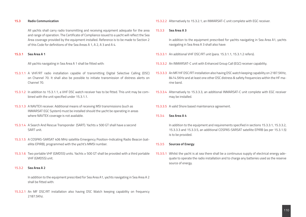#### **15.3 Radio Communication**

All yachts shall carry radio transmitting and receiving equipment adequate for the area and range of operation. The Certificate of Compliance issued to a yacht will reflect the Sea Area coverage provided by the equipment installed. Reference is to be made to Section 2 of this Code for definitions of the Sea Areas A 1, A 2, A 3 and A 4.

### **15.3.1 Sea Area A 1**

All yachts navigating in Sea Area A 1 shall be fitted with:

- 15.3.1.1 A VHF/RT radio installation capable of transmitting Digital Selective Calling (DSC) on Channel 70. It shall also be possible to initiate transmission of distress alerts on Channel 70.
- 15.3.1.2 In addition to 15.3.1.1, a VHF DSC watch receiver has to be fitted. This unit may be combined with the unit specified under 15.3.1.1.
- 15.3.1.3 A NAVTEX receiver. Additional means of receiving MSI transmissions (such as INMARSAT EGC System) must be installed should the yacht be operating in areas where NAVTEX coverage is not available.
- 15.3.1.4 A Search And Rescue Transponder (SART). Yachts ≥ 500 GT shall have a second SART unit.
- 15.3.1.5 A COSPAS-SARSAT 406 MHz satellite Emergency Position-Indicating Radio Beacon (satellite EPIRB), programmed with the yacht's MMSI number.
- 15.3.1.6 Two portable VHF (GMDSS) units. Yachts ≥ 500 GT shall be provided with a third portable VHF (GMDSS) unit.

### 15.3.2 **Sea Area A 2**

 In addition to the equipment prescribed for Sea Area A1, yachts navigating in Sea Area A 2 shall be fitted with:

15.3.2.1 An MF DSC/RT installation also having DSC Watch keeping capability on frequency 2187.5Khz.

15.3.2.2 Alternatively to 15.3.2.1, an INMARSAT-C unit complete with EGC receiver.

### 15.3.3 **Sea Area A 3**

In addition to the equipment prescribed for yachts navigating in Sea Area A1, yachts navigating in Sea Area A 3 shall also have:

- 15.3.3.1 An additional VHF DSC/RT unit (para. 15.3.1.1, 15.3.1.2 refers).
- 15.3.3.2 An INMARSAT-C unit with Enhanced Group Call (EGC) receiver capability.
- 15.3.3.3 An MF/HF DSC/RT installation also having DSC watch keeping capability on 2187.5KHz, 8414.5KHz and at least one other DSC distress & safety frequencies within the HF marine band.
- 15.3.3.4 Alternatively to 15.3.3.3, an additional INMARSAT-C unit complete with EGC receiver may be installed.
- 15.3.3.5 A valid Shore based maintenance agreement.

### 15.3.4 **Sea Area A 4**

 In addition to the equipment and requirements specified in sections 15.3.3.1, 15.3.3.2, 15.3.3.3 and 15.3.3.5, an additional COSPAS-SARSAT satellite EPIRB (as per 15.3.1.5) is to be provided.

### 15.3.5 **Sources of Energy**

15.3.5.1 Whilst the yacht is at sea there shall be a continuous supply of electrical energy adequate to operate the radio installation and to charge any batteries used as the reserve source of energy.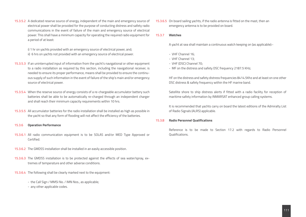15.3.5.2 A dedicated reserve source of energy, independent of the main and emergency source of electrical power shall be provided for the purpose of conducting distress and safety radio communications in the event of failure of the main and emergency source of electrical power. This shall have a minimum capacity for operating the required radio equipment for a period of at least:

i) 1 hr on yachts provided with an emergency source of electrical power, and; ii) 6 hrs on yachts not provided with an emergency source of electrical power.

- 15.3.5.3 If an uninterrupted input of information from the yacht's navigational or other equipment to a radio installation as required by this section, including the navigational receiver, is needed to ensure its proper performance, means shall be provided to ensure the continuous supply of such information in the event of failure of the ship's main and/or emergency source of electrical power.
- 15.3.5.4 When the reserve source of energy consists of a re-chargeable accumulator battery such batteries shall be able to be automatically re-charged through an independent charger and shall reach their minimum capacity requirements within 10 hrs.
- 15.3.5.5 All accumulator batteries for the radio installation shall be installed as high as possible in the yacht so that any form of flooding will not affect the efficiency of the batteries.
- 15.3.6 **Operation Performance**
- 15.3.6.1 All radio communication equipment is to be SOLAS and/or MED Type Approved or Certified.
- 15.3.6.2 The GMDSS installation shall be installed in an easily accessible position.
- 15.3.6.3 The GMDSS installation is to be protected against the effects of sea water/spray, extremes of temperature and other adverse conditions.
- 15.3.6.4 The following shall be clearly marked next to the equipment:
	- the Call Sign / MMSI No. / IMN Nos., as applicable;
	- any other applicable codes.

15.3.6.5 On board sailing yachts, if the radio antenna is fitted on the mast, then an emergency antenna is to be provided on board.

### 15.3.7 **Watches**

A yacht at sea shall maintain a continuous watch keeping on (as applicable):-

- VHF Channel 16;
- VHF Channel 13;
- VHF (DSC) Channel 70;
- MF on the distress and safety DSC frequency 2187.5 KHz;

HF on the distress and safety distress frequencies 8414.5Khz and at least on one other DSC distress & safety frequency within the HF marine band.

Satellite shore to ship distress alerts if fitted with a radio facility for reception of maritime safety information by INMARSAT enhanced group calling systems.

It is recommended that yachts carry on board the latest editions of the Admiralty List of Radio Signals (ALRS) applicable.

### 15.3.8 **Radio Personnel Qualifications**

 Reference is to be made to Section 17.2 with regards to Radio Personnel Qualifications.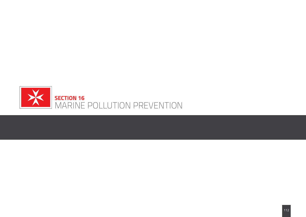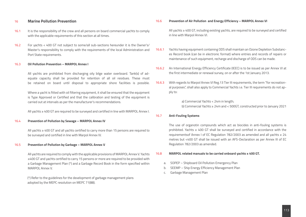## 16 **Marine Pollution Prevention**

- 16.1 It is the responsibility of the crew and all persons on board commercial yachts to comply with the applicable requirements of this section at all times.
- 16.2 For yachts < 400 GT not subject to some/all sub-sections hereunder it is the Owner's/ Master's responsibility to comply with the requirements of the local Administration and Port State requirements.

#### 16.3 **Oil Pollution Prevention – MARPOL Annex I**

 All yachts are prohibited from discharging oily bilge water overboard. Tank(s) of adequate capacity shall be provided for retention of all oil residues. These must be retained on board until disposal to appropriate shore facilities is possible.

Where a yacht is fitted with oil filtering equipment, it shall be ensured that the equipment is Type Approved or Certified and that the calibration and testing of the equipment is carried out at intervals as per the manufacturer's recommendations.

All yachts ≥ 400 GT are required to be surveyed and certified in line with MARPOL Annex I.

### 16.4 **Prevention of Pollution by Sewage – MARPOL Annex IV**

 All yachts ≥ 400 GT and all yachts certified to carry more than 15 persons are required to be surveyed and certified in line with Marpol Annex IV.

### 16.5 **Prevention of Pollution by Garbage – MARPOL Annex V**

All yachts are required to comply with the applicable provisions of MARPOL Annex V. Yachts ≥400 GT and yachts certified to carry 15 persons or more are required to be provided with a Garbage Management Plan (\*) and a Garbage Record Book in the form specified within MARPOL Annex V.

(\*) Refer to the guidelines for the development of garbage management plans adopted by the MEPC resolution on MEPC 71(88).

16.6 **Prevention of Air Pollution and Energy Efficiency – MARPOL Annex VI**

 All yachts ≥ 400 GT, including existing yachts, are required to be surveyed and certified in line with Marpol Annex VI.

- 16.6.1 Yachts having equipment containing ODS shall maintain an Ozone Depletion Substances Record book (can be in electronic format) where entries and records of repairs or maintenance of such equipment, recharge and discharge of ODS can be made.
- 16.6.2 An International Energy Efficiency Certificate (IEEC) is to be issued as per Annex VI at the first intermediate or renewal survey, on or after the 1st January 2013.
- 16.6.3 With regards to Marpol Annex VI Reg.13 Tier III requirements, the term "for recreational purposes", shall also apply to Commercial Yachts i.e. Tier III requirements do not apply to:

a) Commercial Yachts < 24m in length; b) Commercial Yachts ≥ 24m and < 500GT, constructed prior to January 2021

#### 16.7 **Anti-Fouling Systems**

The use of organotin compounds which act as biocides in anti-fouling systems is prohibited. Yachts  $\geq 400$  GT shall be surveyed and certified in accordance with the requirementsof Annex I of EC Regulation 782/2003 as amended and all yachts ≥ 24 metres but <400 GT shall be issued with an AFS-Declaration as per Annex III of EC Regulation 782/2003 as amended.

#### 16.8 **MARPOL related manuals to be carried onboard yachts ≥ 400 GT.**

- a. SOPEP Shipboard Oil Pollution Emergency Plan
- b. SEEMP Ship Energy Efficiency Management Plan
- c. Garbage Management Plan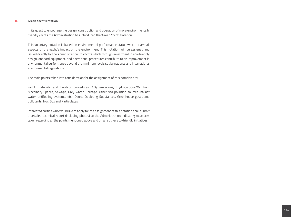### 16.9 **Green Yacht Notation**

 In its quest to encourage the design, construction and operation of more environmentally friendly yachts the Administration has introduced the 'Green Yacht' Notation.

This voluntary notation is based on environmental performance status which covers all aspects of the yacht's impact on the environment. This notation will be assigned and issued directly by the Administration, to yachts which through investment in eco-friendly design, onboard equipment, and operational procedures contribute to an improvement in environmental performance beyond the minimum levels set by national and international environmental regulations.

The main points taken into consideration for the assignment of this notation are:-

Yacht materials and building procedures,  $CO<sub>2</sub>$  emissions, Hydrocarbons/Oil from Machinery Spaces, Sewage, Grey water, Garbage, Other sea pollution sources (ballast water, antifouling systems, etc), Ozone-Depleting Substances, Greenhouse gases and pollutants, Nox, Sox and Particulates.

Interested parties who would like to apply for the assignment of this notation shall submit a detailed technical report (including photos) to the Administration indicating measures taken regarding all the points mentioned above and on any other eco-friendly initiatives.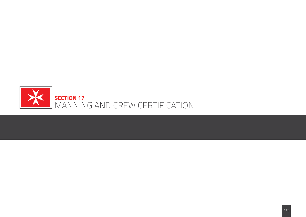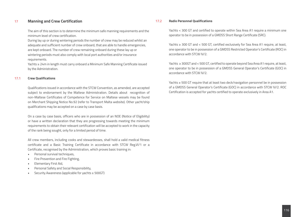# 17 **Manning and Crew Certification**

The aim of this section is to determine the minimum safe manning requirements and the minimum level of crew certification.

During lay up or during wintering periods the number of crew may be reduced whilst an adequate and sufficient number of crew onboard, that are able to handle emergencies, are kept onboard. The number of crew remaining onboard during these lay up or wintering periods must also comply with local port authorities and/or insurance requirements.

Yachts ≥ 24m in length must carry onboard a Minimum Safe Manning Certificate issued by the Administration.

### 17.1 **Crew Qualifications**

Qualifications issued in accordance with the STCW Convention, as amended, are accepted subject to endorsement by the Maltese Administration. Details about recognition of non-Maltese Certificates of Competence for Service on Maltese vessels may be found on Merchant Shipping Notice No.92 (refer to Transport Malta website). Other yacht/ship qualifications may be accepted on a case by case basis.

On a case by case basis, officers who are in possession of an NOE (Notice of Eligibility) or have a written declaration that they are progressing towards meeting the minimum requirements to obtain their relevant certification will be accepted to work in the capacity of the rank being sought, only for a limited period of time.

All crew members, including cooks and stewardesses, shall hold a valid medical fitness certificate and a Basic Training Certificate in accordance with STCW Reg.VI/1 or a Certificate, recognised by the Administration, which proves basic training in:

- Personal survival techniques,
- Fire Prevention and Fire Fighting,
- Elementary First Aid,
- Personal Safety and Social Responsibility,
- Security Awareness (applicable for yachts ≥ 500GT)

### 17.2 **Radio Personnel Qualifications**

Yachts < 300 GT and certified to operate within Sea Area A1 require a minimum one operator to be in possession of a GMDSS Short Range Certificate (SRC).

Yachts ≥ 300 GT and < 500 GT, certified exclusively for Sea Area A1 require, at least, one operator to be in possession of a GMDSS Restricted Operator's Certificate (ROC) in accordance with STCW IV/2.

Yachts ≥ 300GT and < 500 GT, certified to operate beyond Sea Area A1 require, at least, one operator to be in possession of a GMDSS General Operator's Certificate (GOC) in accordance with STCW IV/2.

Yachts ≥ 500 GT require that at least two deck/navigation personnel be in possession of a GMDSS General Operator's Certificate (GOC) in accordance with STCW IV/2. ROC Certification is accepted for yachts certified to operate exclusively in Area A1.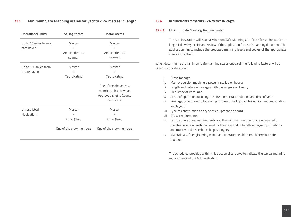# 17.3 **Minimum Safe Manning scales for yachts < 24 metres in length**

| <b>Sailing Yachts</b>   | <b>Motor Yachts</b>           |
|-------------------------|-------------------------------|
| Master                  | Master                        |
| $^{+}$                  | $^{+}$                        |
| An experienced          | An experienced                |
| seaman                  | seaman                        |
| Master                  | Master                        |
| $\ddot{}$               | $^{+}$                        |
| Yacht Rating            | Yacht Rating                  |
|                         | One of the above crew         |
|                         | members shall have an         |
|                         | <b>Approved Engine Course</b> |
|                         | certificate.                  |
| Master                  | Master                        |
| $\ddot{}$               | $\ddot{}$                     |
| OOW (Nav)               | OOW (Nav)                     |
| One of the crew members | One of the crew members       |
|                         |                               |

### 17.4 **Requirements for yachts ≥ 24 metres in length**

### 17.4.1 Minimum Safe Manning Requirements

The Administration will issue a Minimum Safe Manning Certificate for yachts ≥ 24m in length following receipt and review of the application for a safe manning document. The application has to include the proposed manning levels and copies of the appropriate crew certification.

When determining the minimum safe manning scales onboard, the following factors will be taken in consideration:

- i. Gross tonnage;
- ii. Main propulsion machinery power installed on board;
- iii. Length and nature of voyages with passengers on board;
- iv. Frequency of Port Calls;
- v. Areas of operation including the environmental conditions and time of year;
- vi. Size, age, type of yacht, type of rig (in case of sailing yachts), equipment, automation and layout;
- vii. Type of construction and type of equipment on board;
- viii. STCW requirements;
- ix. Yacht's operational requirements and the minimum number of crew required to maintain a safe operational level for the crew and to handle emergency situations and muster and disembark the passengers;
- x. Maintain a safe engineering watch and operate the ship's machinery in a safe manner.

The schedules provided within this section shall serve to indicate the typical manning requirements of the Administration.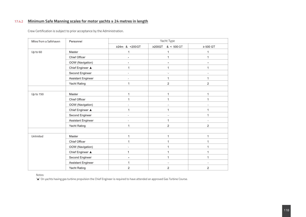# 17.4.2 **Minimum Safe Manning scales for motor yachts ≥ 24 metres in length**

Crew Certification is subject to prior acceptance by the Administration.

| Miles from a Safehaven | Personnel          | Yacht Type     |                              |                |  |
|------------------------|--------------------|----------------|------------------------------|----------------|--|
|                        |                    | ≥24m & <200GT  | ≥200GT<br>$< 500 \text{ GT}$ | $\geq 500$ GT  |  |
| Up to 60               | Master             | 1              | $\mathbf 1$                  | 1              |  |
|                        | Chief Officer      | ÷,             | $\mathbf{1}$                 | 1              |  |
|                        | OOW (Navigation)   |                | $\sim$                       |                |  |
|                        | Chief Engineer ▲   | $\mathbf{1}$   | $\mathbf 1$                  | 1              |  |
|                        | Second Engineer    |                | $\blacksquare$               |                |  |
|                        | Assistant Engineer | ÷.             | $\mathbf{1}$                 | 1              |  |
|                        | Yacht Rating       | $\mathbf{1}$   | $\overline{2}$               | $\overline{2}$ |  |
|                        |                    |                |                              |                |  |
| Up to 150              | Master             | $\mathbf{1}$   | $\mathbf 1$                  | 1              |  |
|                        | Chief Officer      | $\mathbf{1}$   | $\mathbf 1$                  | $\mathbf 1$    |  |
|                        | OOW (Navigation)   |                | $\overline{\phantom{a}}$     |                |  |
|                        | Chief Engineer ▲   | $\mathbf{1}$   | $\mathbf{1}$                 | $\mathbf 1$    |  |
|                        | Second Engineer    | L.             | $\blacksquare$               | 1              |  |
|                        | Assistant Engineer | $\blacksquare$ | $\mathbf{1}$                 | $\blacksquare$ |  |
|                        | Yacht Rating       | 1              | $\sqrt{2}$                   | $\overline{2}$ |  |
|                        |                    |                |                              |                |  |
| Unlimited              | Master             | $\mathbf 1$    | $\mathbf 1$                  | $\mathbf{1}$   |  |
|                        | Chief Officer      | $\mathbf{1}$   | $\mathbf{1}$                 | 1              |  |
|                        | OOW (Navigation)   |                | $\mathbf{1}$                 | 1              |  |
|                        | Chief Engineer ▲   | 1              | $\mathbf{1}$                 | 1              |  |
|                        | Second Engineer    |                | $\mathbf{1}$                 | 1              |  |
|                        | Assistant Engineer | 1              | $\overline{\phantom{a}}$     |                |  |
|                        | Yacht Rating       | $\overline{c}$ | $\overline{2}$               | $\overline{c}$ |  |

Notes:

"A" On yachts having gas turbine propulsion the Chief Engineer is required to have attended an approved Gas Turbine Course.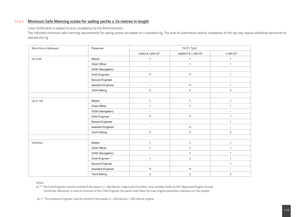# 17.4.3 **Minimum Safe Manning scales for sailing yachts ≥ 24 metres in length**

Crew Certification is subject to prior acceptance by the Administration.

The indicated minimum safe manning requirements for sailing yachts are based on a standard rig. The level of automation and/or complexity of the rig may require additional personnel to operate the rig.

| Miles from a Safehaven | Personnel          | Yacht Type     |                   |                |  |
|------------------------|--------------------|----------------|-------------------|----------------|--|
|                        |                    | ≥24m & <200 GT | ≥200GT & < 500 GT | $\geq 500$ GT  |  |
| Up to 60               | Master             | $\mathbf{1}$   | $\mathbf{1}$      | $\mathbf{1}$   |  |
|                        | Chief Officer      | $\blacksquare$ | $\mathbf{1}$      | $\mathbf{1}$   |  |
|                        | OOW (Navigation)   | $\blacksquare$ | $\blacksquare$    |                |  |
|                        | Chief Engineer     | $1^*$          | $1^*$             | $\mathbf{1}$   |  |
|                        | Second Engineer    | $\blacksquare$ | ÷,                |                |  |
|                        | Assistant Engineer | $\blacksquare$ | $1+$              | $\mathbf{1}$   |  |
|                        | Yacht Rating       | $\overline{2}$ | $\overline{2}$    | $\mathbf{3}$   |  |
|                        |                    |                |                   |                |  |
| Up to 150              | Master             | $\mathbf{1}$   | $\mathbf{1}$      | $\mathbf{1}$   |  |
|                        | Chief Officer      | $\mathbf{1}$   | $\mathbf{1}$      | $\mathbf{1}$   |  |
|                        | OOW (Navigation)   | $\blacksquare$ | $\blacksquare$    | $\blacksquare$ |  |
|                        | Chief Engineer     | $1^*$          | $1^{\star}$       | $\mathbf{1}$   |  |
|                        | Second Engineer    | $\blacksquare$ | $\blacksquare$    | $\mathbf{1}$   |  |
|                        | Assistant Engineer | $\sim$         | $1+$              | $\blacksquare$ |  |
|                        | Yacht Rating       | $\overline{2}$ | $\overline{2}$    | 3              |  |
|                        |                    |                |                   |                |  |
| Unlimited              | Master             | $\mathbf{1}$   | $\mathbf{1}$      | $\mathbf{1}$   |  |
|                        | Chief Officer      | $\mathbf{1}$   | $\mathbf{1}$      | $\mathbf{1}$   |  |
|                        | OOW (Navigation)   | $\blacksquare$ | $\mathbf{1}$      | $\mathbf{1}$   |  |
|                        | Chief Engineer     | $\mathbf{1}$   | $\mathbf{1}$      | $\mathbf{1}$   |  |
|                        | Second Engineer    | $\sim$         | $\blacksquare$    | $\mathbf{1}$   |  |
|                        | Assistant Engineer | $1+$           | $1+$              | $\blacksquare$ |  |
|                        | Yacht Rating       | $\overline{a}$ | $\sqrt{2}$        | 3              |  |

Notes:

a) "\*" The Chief Engineer may be omitted if the power is < 300 kW per engine and if another crew member holds an AEC (Approved Engine Course) Certificate. Moreover, in case of omission of the Chief Engineer the yacht must have the main engine parameter indicators on the cockpit.

b) "+" The Assistant Engineer may be omitted if the power is > 300 kW but < 500 kW per engine.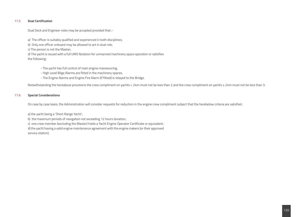# 17.5 **Dual Certification**

Dual Deck and Engineer roles may be accepted provided that :-

a) The officer is suitably qualified and experienced in both disciplines;

b) Only one officer onboard may be allowed to act in dual role;

c) The person is not the Master;

d) The yacht is issued with a full UMS Notation for unmanned machinery space operation or satisfies

the following:

- The yacht has full control of main engine manoeuvring,
- High Level Bilge Alarms are fitted in the machinery spaces,
- The Engine Alarms and Engine Fire Alarm (if fitted) is relayed to the Bridge.

Notwithstanding the hereabove provisions the crew compliment on yachts < 24m must not be less than 2 and the crew compliment on yachts ≥ 24m must not be less than 3.

# 17.6 **Special Considerations**

On case by case basis, the Administration will consider requests for reduction in the engine crew compliment subject that the herebelow criteria are satisfied :

a) the yacht being a 'Short Range Yacht';

b) the maximum periods of navigation not exceeding 12 hours duration;

c) one crew member (excluding the Master) holds a Yacht Engine Operator Certificate or equivalent;

d) the yacht having a valid engine maintenance agreement with the engine makers (or their approved service station).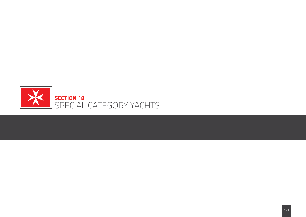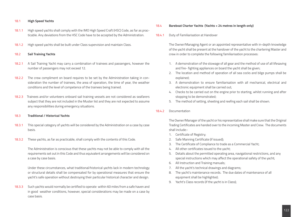### 18.1 **High Speed Yachts**

- 18.1.1 High speed yachts shall comply with the IMO High Speed Craft (HSC) Code, as far as practicable. Any deviations from the HSC Code have to be accepted by the Administration.
- 18.1.2 High speed yachts shall be built under Class supervision and maintain Class.

### 18.2 **Sail Training Yachts**

- 18.2.1 A Sail Training Yacht may carry a combination of trainees and passengers, however the number of passengers may not exceed 12.
- 18.2.2 The crew compliment on board requires to be set by the Administration taking in consideration the number of trainees, the area of operation, the time of year, the weather conditions and the level of competence of the trainees being trained.
- 18.2.3 Trainees and/or volunteers onboard sail training vessels are not considered as seafarers subject that they are not included in the Muster list and they are not expected to assume any responsibilities during emergency situations.

## 18.3 **Traditional / Historical Yachts**

- 18.3.1 This special category of yachts will be considered by the Administration on a case by case basis.
- 18.3.2 These yachts, as far as practicable, shall comply with the contents of this Code.

The Administration is conscious that these yachts may not be able to comply with all the requirements set out in this Code and thus equivalent arrangements will be considered on a case by case basis.

Under these circumstances, what traditional/historical yachts lack in modern technology or structural details shall be compensated for by operational measures that ensure the yacht's safe operation without destroying their particular historical character and design.

18.3.3 Such yachts would normally be certified to operate within 60 miles from a safe haven and in good weather conditions, however, special considerations may be made on a case by case basis.

### 18.4 **Bareboat Charter Yachts (Yachts < 24 metres in length only)**

18.4.1 Duty of Familiarisation at Handover

The Owner/Managing Agent or an appointed representative with in-depth knowledge of the yacht shall be present at the handover of the yacht to the chartering Master and crew in order to complete the following familiarisation processes:

- 1. A demonstration of the stowage of all gear and the method of use of all lifesaving and fire- fighting appliances on board the yacht shall be given;
- 2. The location and method of operation of all sea cocks and bilge pumps shall be explained;
- 3. A demonstration to ensure familiarisation with all mechanical, electrical and electronic equipment shall be carried out;
- 4. Checks to be carried out on the engine prior to starting, whilst running and after stopping to be demonstrated;
- 5. The method of setting, sheeting and reefing each sail shall be shown.
- 18.4.2 Documentation

The Owner/Manager of the yacht or his representative shall make sure that the Original Trading Certificates are handed over to the incoming Master and Crew. The documents shall include:-

- 1. Certificate of Registry;
- 2. Safe Manning Certificate (if issued);
- 3. The Certificate of Compliance to trade as a Commercial Yacht;
- 4. All other certificates issued to the yacht;
- 5. Details about the permitted operating area, navigational restrictions, and any special instructions which may affect the operational safety of the yacht;
- 6. All Instruction and Training manuals;
- 7. All the yacht's technical drawings and diagrams;
- 8. The yacht's maintenance records. The due dates of maintenance of all equipment shall be highlighted;
- 9. Yacht's Class records (if the yacht is in Class);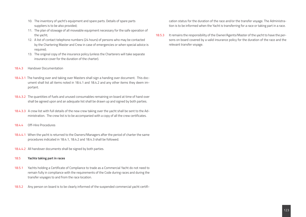- 10. The inventory of yacht's equipment and spare parts. Details of spare parts suppliers is to be also provided;
- 11. The plan of stowage of all moveable equipment necessary for the safe operation of the yacht;
- 12. A list of contact telephone numbers (24 hours) of persons who may be contacted by the Chartering Master and Crew in case of emergencies or when special advice is required;
- 13. The original copy of the insurance policy (unless the Charterers will take separate insurance cover for the duration of the charter).
- 18.4.3 Handover Documentation
- 18.4.3.1 The handing over and taking over Masters shall sign a handing over document. This document shall list all items noted in 18.4.1 and 18.4.2 and any other items they deem important.
- 18.4.3.2 The quantities of fuels and unused consumables remaining on board at time of hand over shall be agreed upon and an adequate list shall be drawn up and signed by both parties.
- 18.4.3.3 A crew list with full details of the new crew taking over the yacht shall be sent to the Administration. The crew list is to be accompanied with a copy of all the crew certificates.
- 18.4.4 Off-Hire Procedures
- 18.4.4.1 When the yacht is returned to the Owners/Managers after the period of charter the same procedures indicated in 18.4.1, 18.4.2 and 18.4.3 shall be followed.
- 18.4.4.2 All handover documents shall be signed by both parties.

### 18.5 **Yachts taking part in races**

- 18.5.1 Yachts holding a Certificate of Compliance to trade as a Commercial Yacht do not need to remain fully in compliance with the requirements of the Code during races and during the transfer voyages to and from the race location.
- 18.5.2 Any person on board is to be clearly informed of the suspended commercial yacht certifi-

cation status for the duration of the race and/or the transfer voyage. The Administration is to be informed when the Yacht is transferring for a race or taking part in a race.

18.5.3 It remains the responsibility of the Owner/Agents/Master of the yacht to have the persons on board covered by a valid insurance policy for the duration of the race and the relevant transfer voyage.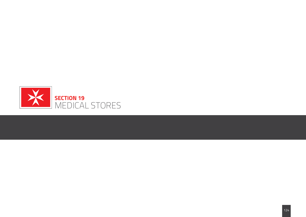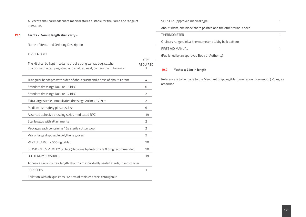All yachts shall carry adequate medical stores suitable for their area and range of operation.

# **19.1 Yachts < 24m in length shall carry:-**

Name of Items and Ordering Description

## **FIRST AID KIT**

The kit shall be kept in a damp proof strong canvas bag, satchel or a box with a carrying strap and shall, at least, contain the following:-<br>1

| Triangular bandages with sides of about 90cm and a base of about 127cm               | 4              |
|--------------------------------------------------------------------------------------|----------------|
| Standard dressings No.8 or 13 BPC                                                    | 6              |
| Standard dressings No.9 or 14 BPC                                                    | 2              |
| Extra large sterile unmedicated dressings 28cm x 17.7cm                              | 2              |
| Medium size safety pins, rustless                                                    | 6              |
| Assorted adhesive dressing strips medicated BPC                                      | 19             |
| Sterile pads with attachments                                                        | 2              |
| Packages each containing 15g sterile cotton wool                                     | $\overline{2}$ |
| Pair of large disposable polythene gloves                                            | 5              |
| PARACETAMOL - 500mg tablet                                                           | 50             |
| SEASICKNESS REMEDY tablets (Hyoscine hydrobromide 0.3mg recommended)                 | 50             |
| <b>BUTTERFLY CLOSURES</b>                                                            | 19             |
| Adhesive skin closures, length about 5cm individually sealed sterile, in a container |                |
| <b>FORECEPS</b>                                                                      | 1              |
| Epilation with oblique ends, 12.5cm of stainless steel throughout                    |                |

| SCISSORS (approved medical type)                              |  |
|---------------------------------------------------------------|--|
| About 18cm, one blade sharp pointed and the other round-ended |  |
| <b>THERMOMETER</b>                                            |  |
| Ordinary range clinical thermometer, stubby bulb pattern      |  |
| FIRST AID MANUAL                                              |  |
| (Published by an approved Body or Authority)                  |  |
|                                                               |  |

# **19.2 Yachts ≥ 24m in length**

QTY REQUIRED

> Reference is to be made to the Merchant Shipping (Maritime Labour Convention) Rules, as amended.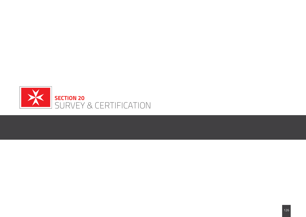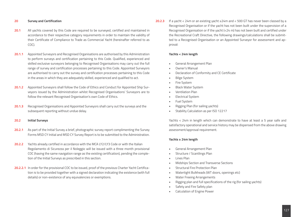### **20 Survey and Certification**

- **20.1** All yachts covered by this Code are required to be surveyed, certified and maintained in accordance to their respective category requirements in order to maintain the validity of their Certificate of Compliance to Trade as Commercial Yacht (hereinafter referred to as COC).
- **20.1.1** Appointed Surveyors and Recognised Organisations are authorised by this Administration to perform surveys and certification pertaining to this Code. Qualified, experienced and skilled exclusive surveyors belonging to Recognised Organisations may carry out the full range of survey and certification processes pertaining to this Code. Appointed Surveyors are authorised to carry out the survey and certification processes pertaining to this Code in the areas in which they are adequately skilled, experienced and qualified to act.
- 20.1.2 Appointed Surveyors shall follow the Code of Ethics and Conduct for Appointed Ship Surveyors issued by the Administration whilst Recognised Organisations' Surveyors are to follow the relevant Recognised Organisation's own Code of Ethics.
- **20.1.3** Recognised Organisations and Appointed Surveyors shall carry out the surveys and the subsequent reporting without undue delay.

### **20.2 Initial Surveys**

- **20.2.1** As part of the Initial Survey a brief, photographic survey report complimenting the Survey Forms MSD CY Initial and MSD CY Survey Report is to be submitted to the Administration.
- **20.2.2** Yachts already certified in accordance with the MCA LY2/LY3 Code or with the Italian Regolamento di Sicurezza per il Noleggio will be issued with a three month provisional COC (having the same navigation range as the existing certification), pending the completion of the Initial Surveys as prescribed in this section.
- **20.2.2.1** In order for the provisional COC to be issued, proof of the previous Charter Yacht Certification is to be provided together with a signed declaration indicating the existence (with full details) or non-existence of any equivalencies or exemptions.

**20.2.3** If a yacht < 24m or an existing yacht ≥24m and < 500 GT has never been classed by a Recognised Organisation or if the yacht has not been built under the supervision of a Recognised Organisation or if the yacht (<24 m) has not been built and certified under the Recreational Craft Directive, the following drawings/calculations shall be submitted to a Recognised Organisation or an Appointed Surveyor for assessment and approval:

### **Yachts < 24m length**

- General Arrangement Plan
- Owner's Manual
- Declaration of Conformity and CE Certificate
- Bilge System
- Fire System
- Black Water System
- Ventilation Plan
- Electrical System
- Fuel System
- Rigging Plan (for sailing yachts)
- **Stability Calculation as per ISO 12217**

Yachts < 24m in length which can demonstrate to have at least a 5 year safe and satisfactory operational and service history may be dispensed from the above drawing assessment/approval requirement.

### **Yachts ≥ 24m length**

- General Arrangement Plan
- Structure / Scantlings Plan
- Lines Plan
- Midships Section and Transverse Sections
- Structural Fire Protection Plan
- Watertight Bulkheads (WT doors, openings etc)
- Water Freeing Arrangements
- Rigging plan and full specifications of the rig (for sailing yachts)
- Safety and Fire Safety plan
- Calculation of Engine Power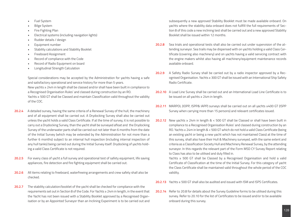- Fuel System
- Bilge System
- Fire Fighting Plan
- Electrical systems (including navigation lights)
- Rudder details / design
- Equipment number
- Stability calculations and Stability Booklet
- Freeboard Assignment
- Record of compliance with the Code
- Record of Radio Equipment on board
- Longitudinal Strength Calculation

Special considerations may be accepted by the Administration for yachts having a safe and satisfactory operational and service history for more than 5 years. New yachts ≥ 24m in length shall be classed and/or shall have been built in compliance to a Recognised Organisation Rules' and classed during construction by an RO. Yachts ≥ 500 GT shall be Classed and maintain Classification valid throughout the validity of the COC.

- **20.2.4** A detailed survey, having the same criteria of a Renewal Survey of the hull, the machinery and of all equipment shall be carried out. A Drydocking Survey shall also be carried out unless the yacht holds a valid Class Certificate. If at the time of survey, it is not possible to carry out a Drydocking Survey, than the yacht shall be surveyed afloat and the Drydocking Survey of the underwater parts shall be carried out not later than 6 months from the date of the Initial Survey (which may be extended by the Administration for not more than a further 6 months) subject to an internal hull inspection (including internal inspection of any hull tanks) being carried out during the Initial Survey itself. Drydocking of yachts holding a valid Class Certificate is not required.
- **20.2.5** For every class of yacht a full survey and operational test of safety equipment, life saving appliances, fire detection and fire fighting equipment shall be carried out.
- **20.2.6** All items relating to freeboard, waterfreeing arrangements and crew safety shall also be checked.
- **20.2.7** The stability calculation/booklet of the yacht shall be checked for compliance with the requirements set out in Section 8 of the Code. For Yachts ≥ 24m in length, in the event that the Yacht has not been issued with a Stability Booklet approved by a Recognised Organisation or by an Appointed Surveyor than an Inclining Experiment is to be carried out and

subsequently a new approved Stability Booklet must be made available onboard. On yachts where the stability data onboard does not fullfill the full requirements of Section 8 of this code a new inclining test shall be carried out and a new approved Stability Booklet shall be issued within 12 months.

- **20.2.8** Sea trials and operational tests shall also be carried out under supervision of the attending surveyor. Sea trails may be dispensed with on yachts holding a valid Class Certificate (covering also machinery) and on yachts having a valid servicing contract with the engine makers whilst also having all machinery/equipment maintenance records available onboard.
- **20.2.9** A Safety Radio Survey shall be carried out by a radio inspector approved by a Recognised Organisation. Yachts ≥ 300 GT shall be issued with an International Ship Safety Radio Certificate.
- **20.2.10** A Load Line Survey shall be carried out and an International Load Line Certificate is to be issued on all yachts ≥ 24m in length.
- **20.2.11** MARPOL (IOPP, ISPP& IAPP) surveys shall be carried out on all yachts ≥400 GT (ISPP Survey when carrying more than 15 persons) and relevant certificates issued.
- **20.2.12** New yachts ≥ 24m in length & < 500 GT shall be Classed or shall have been built in compliance to a Recognised Organisation Rules' and classed during construction by an RO. Yachts ≥ 24m in length & < 500 GT which do not hold a valid Class Certificate (being an existing yacht or being a new yacht which has not maintained Class) at the time of this survey, shall also have their Hull & Machinery surveyed, with the same extent and criteria as a Classification Society Hull and Machinery Renewal Survey, by the attending surveyor. In this regards the relevant part of the Form MSD CY Survey Report relating to Class has also to be utilised and duly filled in.

 Yachts ≥ 500 GT shall be Classed by a Recognised Organisation and hold a valid Certificate of Classification at the time of the Initial Survey. For this category of yacht the Class Certificate shall be maintained valid throughout the whole period of the COC validity.

**20.2.13** Yachts ≥ 500 GT shall also be audited and issued with ISM and ISPS Certificates.

**20.2.14** Refer to 20.8 for details about the Survey Guideline forms to be utilised during this survey. Refer to 20.10 for the list of Certificates to be issued and/or to be available onboard during this survey.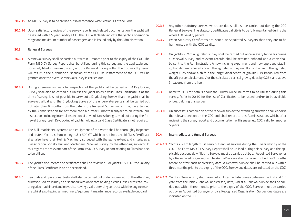- **20.2.15** An MLC Survey is to be carried out in accordance with Section 13 of the Code.
- **20.2.16** Upon satisfactory review of the survey reports and related documentation, the yacht will be issued with a 5 year validity COC. The COC will clearly indicate the yacht's operational range and maximum number of passengers and is issued only by the Administration.

### **20.3 Renewal Surveys**

- **20.3.1** A renewal survey shall be carried out within 3 months prior to the expiry of the COC. The Form MSD CY Survey Report shall be utilised during this survey and the applicable sections duly filled in. Failure to carry out the Renewal Survey within the COC validity period will result in the automatic suspension of the COC. Re-instatement of the COC will be granted once the overdue renewal survey is carried out.
- **20.3.2** During a renewal survey a full inspection of the yacht shall be carried out. A Drydocking Survey shall also be carried out unless the yacht holds a valid Class Certificate. If at the time of survey, it is not possible to carry out a Drydocking Survey, than the yacht shall be surveyed afloat and the Drydocking Survey of the underwater parts shall be carried out not later than 6 months from the date of the Renewal Survey (which may be extended by the Administration for not more than a further 6 months) subject to an internal hull inspection (including internal inspection of any hull tanks) being carried out during the Renewal Survey itself. Drydocking of yachts holding a valid Class Certificate is not required.
- **20.3.3** The hull, machinery, systems and equipment of the yacht shall be thoroughly inspected and tested. Yachts ≥ 24m in length & < 500 GT which do not hold a valid Class Certificate shall also have their Hull & Machinery surveyed with the same extent and criteria as a Classification Society Hull and Machinery Renewal Survey, by the attending surveyor. In this regards the relevant part of the Form MSD CY Survey Report relating to Class has also to be utilised.
- **20.3.4** The yacht's documents and certificates shall be reviewed. For yachts ≥ 500 GT the validity of the Class Certificate is to be ascertained.
- **20.3.5** Sea trials and operational tests shall also be carried out under supervision of the attending surveyor. Sea trails may be dispensed with on yachts holding a valid Class Certificate (covering also machinery) and on yachts having a valid servicing contract with the engine makers whilst also having all machinery/equipment maintenance records available onboard.
- **20.3.6** Any other statutory surveys which are due shall also be carried out during the COC Renewal Surveys. The statutory certificates validity is to be fully maintained during the whole COC validity period.
- **20.3.7** When Statutory Certificates are issued by Appointed Surveyors than they are to be harmonised with the COC validity.
- **20.3.8** On yachts ≥ 24m a lightship survey shall be carried out once in every ten years during a Renewal Survey and relevant records shall be retained onboard and a copy shall be sent to the Administration. A new inclining experiment and new approved stability booklet are required should the lightship survey result in a change in the lightship weight ≥ 2% and/or a shift in the longitudinal centre of gravity ≥ 1% (measured from the aft perpendicular) and / or the calculated vertical gravity rises by 0.25% and above (measured from the keel).
- **20.3.9** Refer to 20.8 for details about the Survey Guideline forms to be utilised during this survey. Refer to 20.10 for the list of Certificates to be issued and/or to be available onboard during this survey.
- **20.3.10** On successful completion of the renewal survey the attending surveyor, shall endorse the relevant section on the COC and shall report to this Administration, which, after reviewing the survey report and documentation, will issue a new COC, valid for another 5 years.

### **20.4 Intermediate and Annual Surveys**

- **20.4.1.1** Yachts ≥ 24m length must carry out annual surveys during the 5 year validity of the COC. The Form MSD CY Survey Report shall be utilised during this survey and the applicable sections duly filled in. Surveys must be carried out by an Appointed Surveyor or by a Recognised Organisation. The Annual Surveys shall be carried out within 3 months before or after each anniversary date. A Renewal Survey shall be carried out within three months prior to the expiry of the COC. Survey due dates are indicated on the COC.
- **20.4.1.2** Yachts < 24m length, shall carry out an Intermediate Survey between the 2nd and 3rd year from the Initial/Renewal anniversary date, whilst a Renewal Survey shall be carried out within three months prior to the expiry of the COC. Surveys must be carried out by an Appointed Surveyor or by a Recognised Organisation. Survey due dates are indicated on the COC.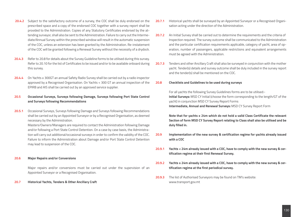- **20.4.2** Subject to the satisfactory outcome of a survey, the COC shall be duly endorsed on the prescribed space and a copy of the endorsed COC together with a survey report shall be provided to the Administration. Copies of any Statutory Certificates endorsed by the attending surveyor, shall also be sent to the Administration. Failure to carry out the Intermediate/Annual Survey within the prescribed window will result in the automatic suspension of the COC, unless an extension has been granted by the Administration. Re-instatement of the COC will be granted following a Renewal Survey without the necessity of a drydock.
- **20.4.3** Refer to 20.8 for details about the Survey Guideline forms to be utilised during this survey. Refer to 20.10 for the list of Certificates to be issued and/or to be available onboard during this survey.
- **20.4.4** On Yachts ≥ 300GT an annual Safety Radio Survey shall be carried out by a radio inspector approved by a Recognised Organisation. On Yachts < 300 GT an annual inspection of the EPIRB and AIS shall be carried out by an approved service supplier.

# **20.5 Occasional Surveys, Surveys following Damage, Surveys following Port State Control and Surveys following Recommendations**

**20.5.1** Occasional Surveys, Surveys following Damage and Surveys following Recommendations shall be carried out by an Appointed Surveyor or by a Recognised Organisation, as deemed necessary by the Administration.

 Masters/Owners/Managers are required to contact the Administration following Damage and/or following a Port State Control Detention. On a case by case basis, the Administration will carry out additional/occasional surveys in order to confirm the validity of the COC. Failure to inform the Administration about Damage and/or Port State Control Detention may lead to suspension of the COC.

### **20.6 Major Repairs and/or Conversions**

Major repairs and/or conversions must be carried out under the supervision of an Appointed Surveyor or a Recognised Organisation.

### **20.7 Historical Yachts, Tenders & Other Ancillary Craft**

- **20.7.1** Historical yachts shall be surveyed by an Appointed Surveyor or a Recognised Organisation acting under the direction of the Administration.
- **20.7.2** An Initial Survey shall be carried out to determine the requirements and the criteria of Inspection required. The survey outcome shall be communicated to the Administration and the particular certification requirements applicable, category of yacht, area of operation, number of passengers, applicable restrictions and equivalent arrangements must be agreed with the Administration.
- **20.7.3** Tenders and other Ancillary Craft shall also be surveyed in conjunction with the mother yacht. Tender(s) details and survey outcome shall be duly included in the survey report and the tender(s) shall be mentioned on the COC.

### **20.8 Checklists and Guidelines to be used during surveys**

For all yachts the following Survey Guidelines forms are to be utilised:- **Initial Surveys:** MSD CY Initial (choose the form corresponding to the length/GT of the yacht) in conjunction MSD CY Survey Report Forms **Intermediate, Annual and Renewal Surveys:** MSD CY Survey Report Form

**Note that for yachts ≥ 24m which do not hold a valid Class Certificate the relevant Section of form MSD CY Survey Report relating to Class shall also be utilised and be duly filled in.**

- **20.9 Implementation of the new survey & certification regime for yachts already issued with a COC**
- **20.9.1 Yachts < 24m already issued with a COC, have to comply with the new survey & certification regime at their first Renewal Survey.**
- **20.9.2 Yachts ≥ 24m already issued with a COC, have to comply with the new survey & certification regime at the first periodical survey.**
- **20.9.3** The list of Authorised Surveyors may be found on TM's website: www.transport.gov.mt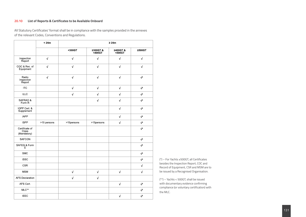# **20.10 List of Reports & Certificates to be Available Onboard**

All Statutory Certificates' format shall be in compliance with the samples provided in the annexes of the relevant Codes, Conventions and Regulations.

|                                        | < 24m       | $\geq 24m$ |                   |                   |                |
|----------------------------------------|-------------|------------|-------------------|-------------------|----------------|
|                                        |             | <300GT     | ≥300GT&<br><400GT | ≥400GT&<br><500GT | ≥500GT         |
| Inspection<br>Report                   | $\sqrt{}$   | $\sqrt{}$  | $\sqrt{ }$        | $\sqrt{ }$        | $\sqrt{ }$     |
| COC & Rec of<br>Equipment              | $\sqrt{ }$  | $\sqrt{ }$ | $\sqrt{ }$        | $\sqrt{ }$        | $\sqrt{ }$     |
| Radio<br>Inspection<br>Report          | $\sqrt{ }$  | $\sqrt{}$  | $\sqrt{ }$        | $\sqrt{ }$        | $\sqrt{ }$     |
| <b>ITC</b>                             |             | $\sqrt{ }$ | $\sqrt{ }$        | $\sqrt{ }$        | $\sqrt{\star}$ |
| <b>ILLC</b>                            |             | $\sqrt{ }$ | $\sqrt{ }$        | $\sqrt{ }$        | $\sqrt{\star}$ |
| SAFRAD &<br>Form R                     |             |            | $\sqrt{ }$        | $\sqrt{ }$        | $\sqrt{ }$     |
| IOPP Cert &<br>Supplement              |             |            |                   | $\sqrt{ }$        | $\sqrt{ }$     |
| <b>IAPP</b>                            |             |            |                   | $\sqrt{ }$        | $\sqrt{*}$     |
| <b>ISPP</b>                            | >15 persons | >15persons | >15persons        | $\sqrt{ }$        | $\sqrt{*}$     |
| Certificate of<br>Class<br>(Mandatory) |             |            |                   |                   | $\sqrt{*}$     |
| <b>SAFCON</b>                          |             |            |                   |                   | $\sqrt{*}$     |
| SAFEQ & Form<br>E                      |             |            |                   |                   | $\sqrt{*}$     |
| <b>SMC</b>                             |             |            |                   |                   | $\sqrt{*}$     |
| <b>ISSC</b>                            |             |            |                   |                   | $\sqrt{*}$     |
| <b>CSR</b>                             |             |            |                   |                   | $\sqrt{ }$     |
| <b>MSM</b>                             |             | $\sqrt{ }$ | $\sqrt{ }$        | $\sqrt{ }$        | $\sqrt{ }$     |
| <b>AFS Declaration</b>                 |             | $\sqrt{ }$ | $\sqrt{ }$        |                   |                |
| AFS Cert.                              |             |            |                   | $\sqrt{ }$        | $\sqrt{\star}$ |
| $MLC**$                                |             |            |                   |                   | $\sqrt{ }$     |
| <b>IEEC</b>                            |             |            |                   | $\sqrt{ }$        | $\sqrt{\star}$ |

(\*) – For Yachts ≥500GT, all Certificates besides the Inspection Report, COC and Record of Equipment, CSR and MSM are to be issued by a Recognised Organisation.

(\*\*) – Yachts < 500GT, shall be issued with documentary evidence confirming compliance (or voluntary certification) with the MLC.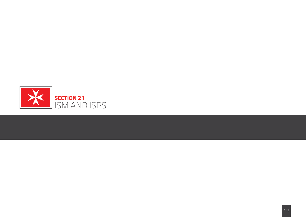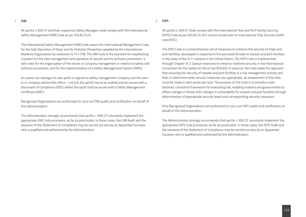#### 1. **ISM**

### 2. **ISPS**

All yachts ≥ 500 GT and their respective Safety Managers shall comply with the International Safety Management (ISM) Code as per SOLAS Ch.IX.

The International Safety Management (ISM) Code means the International Management Code for the Safe Operation of Ships and for Pollution Prevention adopted by the International Maritime Organization by resolution A.741 (18). The ISM Code is the standard for establishing a system for the safe management and operation of vessels and for pollution prevention. It sets rules for the organisation of the owner or company management in relation to safety and pollution prevention, and for the implementation of a Safety Management System (SMS).

An owner can manage his own yacht or appoint a safety management company, but the owner or company ashore (the office – not just the yacht) has to be audited and be issued with a Document of Compliance (DOC) whilst the yacht shall be issued with a Safety Management Certificate (SMC).

Recognised Organisations are authorised to carry out ISM audits and certification on behalf of this Administration.

The Administration strongly recommends that yachts < 500 GT voluntarily implement the appropriate ISM Code provisions, as far as practicable. In these cases, the ISM Audit and the issuance of the Statement of Compliance may be carried out also by an Appointed Surveyor who is qualified and authorised by the Administration.

All yachts ≥ 500 GT shall comply with the International Ship and Port Facility Security (ISPS) Code as per SOLAS Ch.XI/2 and be issued with an International Ship Security Certificate (ISSC).

The ISPS Code is a comprehensive set of measures to enhance the security of ships and port facilities, developed in response to the perceived threats to vessels and port facilities in the wake of the 9/11 attacks in the United States. The ISPS Code is implemented through Chapter XI-2 Special measures to enhance maritime security in the International Convention for the Safety of Life at Sea (SOLAS). In essence, the Code takes the approach that ensuring the security of vessels and port facilities is a risk management activity and that, to determine what security measures are appropriate, an assessment of the risks must be made in each particular case. The purpose of the Code is to provide a standardised, consistent framework for evaluating risk, enabling masters and governments to offset changes in threat with changes in vulnerability for vessels and port facilities through determination of appropriate security levels and corresponding security measures.

Only Recognised Organisations are authorised to carry out ISPS audits and certification on behalf of this Administration.

The Administration strongly recommends that yachts < 500 GT voluntarily implement the appropriate ISPS Code provisions, as far as practicable. In these cases, the ISPS Audit and the issuance of the Statement of Compliance may be carried out also by an Appointed Surveyor who is qualified and authorised by the Administration.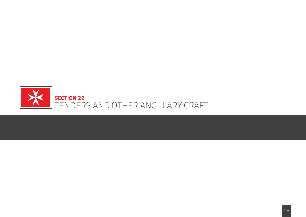